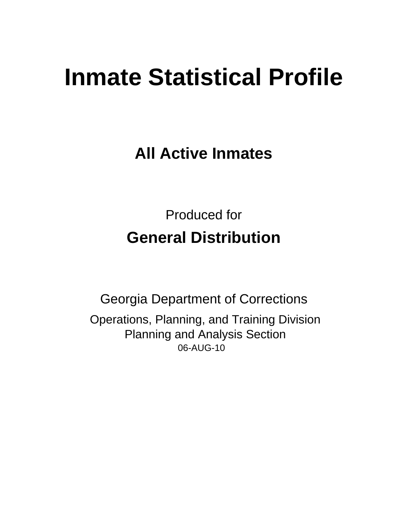# **Inmate Statistical Profile**

**All Active Inmates** 

**Produced for General Distribution** 

**Georgia Department of Corrections** Operations, Planning, and Training Division **Planning and Analysis Section** 06-AUG-10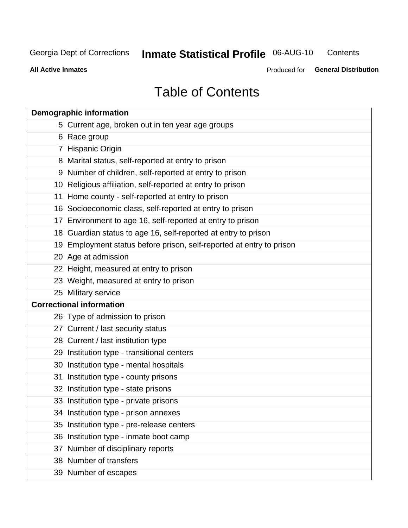**Inmate Statistical Profile 06-AUG-10** Contents

**All Active Inmates** 

Produced for General Distribution

# **Table of Contents**

| <b>Demographic information</b>                                       |  |  |  |  |  |  |
|----------------------------------------------------------------------|--|--|--|--|--|--|
| 5 Current age, broken out in ten year age groups                     |  |  |  |  |  |  |
| 6 Race group                                                         |  |  |  |  |  |  |
| 7 Hispanic Origin                                                    |  |  |  |  |  |  |
| 8 Marital status, self-reported at entry to prison                   |  |  |  |  |  |  |
| 9 Number of children, self-reported at entry to prison               |  |  |  |  |  |  |
| 10 Religious affiliation, self-reported at entry to prison           |  |  |  |  |  |  |
| 11 Home county - self-reported at entry to prison                    |  |  |  |  |  |  |
| 16 Socioeconomic class, self-reported at entry to prison             |  |  |  |  |  |  |
| 17 Environment to age 16, self-reported at entry to prison           |  |  |  |  |  |  |
| 18 Guardian status to age 16, self-reported at entry to prison       |  |  |  |  |  |  |
| 19 Employment status before prison, self-reported at entry to prison |  |  |  |  |  |  |
| 20 Age at admission                                                  |  |  |  |  |  |  |
| 22 Height, measured at entry to prison                               |  |  |  |  |  |  |
| 23 Weight, measured at entry to prison                               |  |  |  |  |  |  |
| 25 Military service                                                  |  |  |  |  |  |  |
| <b>Correctional information</b>                                      |  |  |  |  |  |  |
| 26 Type of admission to prison                                       |  |  |  |  |  |  |
| 27 Current / last security status                                    |  |  |  |  |  |  |
| 28 Current / last institution type                                   |  |  |  |  |  |  |
| 29 Institution type - transitional centers                           |  |  |  |  |  |  |
| 30 Institution type - mental hospitals                               |  |  |  |  |  |  |
| 31 Institution type - county prisons                                 |  |  |  |  |  |  |
| 32 Institution type - state prisons                                  |  |  |  |  |  |  |
| 33 Institution type - private prisons                                |  |  |  |  |  |  |
| 34 Institution type - prison annexes                                 |  |  |  |  |  |  |
| 35 Institution type - pre-release centers                            |  |  |  |  |  |  |
| 36 Institution type - inmate boot camp                               |  |  |  |  |  |  |
| 37 Number of disciplinary reports                                    |  |  |  |  |  |  |
| 38 Number of transfers                                               |  |  |  |  |  |  |
| 39 Number of escapes                                                 |  |  |  |  |  |  |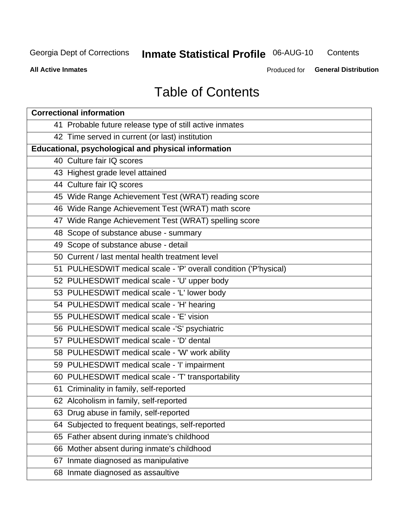# **Inmate Statistical Profile 06-AUG-10**

Contents

**All Active Inmates** 

Produced for General Distribution

# **Table of Contents**

| <b>Correctional information</b>                                  |  |  |  |  |  |  |
|------------------------------------------------------------------|--|--|--|--|--|--|
| 41 Probable future release type of still active inmates          |  |  |  |  |  |  |
| 42 Time served in current (or last) institution                  |  |  |  |  |  |  |
| Educational, psychological and physical information              |  |  |  |  |  |  |
| 40 Culture fair IQ scores                                        |  |  |  |  |  |  |
| 43 Highest grade level attained                                  |  |  |  |  |  |  |
| 44 Culture fair IQ scores                                        |  |  |  |  |  |  |
| 45 Wide Range Achievement Test (WRAT) reading score              |  |  |  |  |  |  |
| 46 Wide Range Achievement Test (WRAT) math score                 |  |  |  |  |  |  |
| 47 Wide Range Achievement Test (WRAT) spelling score             |  |  |  |  |  |  |
| 48 Scope of substance abuse - summary                            |  |  |  |  |  |  |
| 49 Scope of substance abuse - detail                             |  |  |  |  |  |  |
| 50 Current / last mental health treatment level                  |  |  |  |  |  |  |
| 51 PULHESDWIT medical scale - 'P' overall condition ('P'hysical) |  |  |  |  |  |  |
| 52 PULHESDWIT medical scale - 'U' upper body                     |  |  |  |  |  |  |
| 53 PULHESDWIT medical scale - 'L' lower body                     |  |  |  |  |  |  |
| 54 PULHESDWIT medical scale - 'H' hearing                        |  |  |  |  |  |  |
| 55 PULHESDWIT medical scale - 'E' vision                         |  |  |  |  |  |  |
| 56 PULHESDWIT medical scale -'S' psychiatric                     |  |  |  |  |  |  |
| 57 PULHESDWIT medical scale - 'D' dental                         |  |  |  |  |  |  |
| 58 PULHESDWIT medical scale - 'W' work ability                   |  |  |  |  |  |  |
| 59 PULHESDWIT medical scale - 'I' impairment                     |  |  |  |  |  |  |
| 60 PULHESDWIT medical scale - 'T' transportability               |  |  |  |  |  |  |
| 61 Criminality in family, self-reported                          |  |  |  |  |  |  |
| 62 Alcoholism in family, self-reported                           |  |  |  |  |  |  |
| 63 Drug abuse in family, self-reported                           |  |  |  |  |  |  |
| 64 Subjected to frequent beatings, self-reported                 |  |  |  |  |  |  |
| 65 Father absent during inmate's childhood                       |  |  |  |  |  |  |
| 66 Mother absent during inmate's childhood                       |  |  |  |  |  |  |
| 67 Inmate diagnosed as manipulative                              |  |  |  |  |  |  |
| 68 Inmate diagnosed as assaultive                                |  |  |  |  |  |  |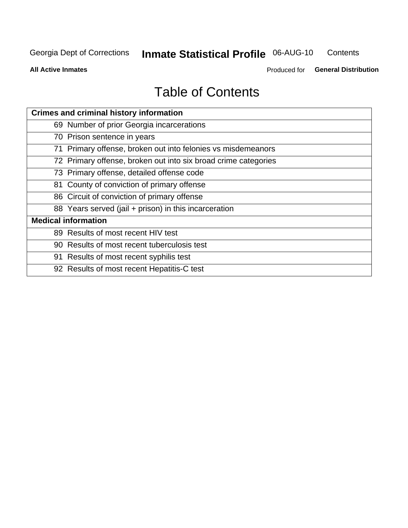# **Inmate Statistical Profile 06-AUG-10**

Contents

**All Active Inmates** 

Produced for General Distribution

# **Table of Contents**

| <b>Crimes and criminal history information</b>                 |
|----------------------------------------------------------------|
| 69 Number of prior Georgia incarcerations                      |
| 70 Prison sentence in years                                    |
| 71 Primary offense, broken out into felonies vs misdemeanors   |
| 72 Primary offense, broken out into six broad crime categories |
| 73 Primary offense, detailed offense code                      |
| 81 County of conviction of primary offense                     |
| 86 Circuit of conviction of primary offense                    |
| 88 Years served (jail + prison) in this incarceration          |
| <b>Medical information</b>                                     |
| 89 Results of most recent HIV test                             |
| 90 Results of most recent tuberculosis test                    |
| 91 Results of most recent syphilis test                        |
| 92 Results of most recent Hepatitis-C test                     |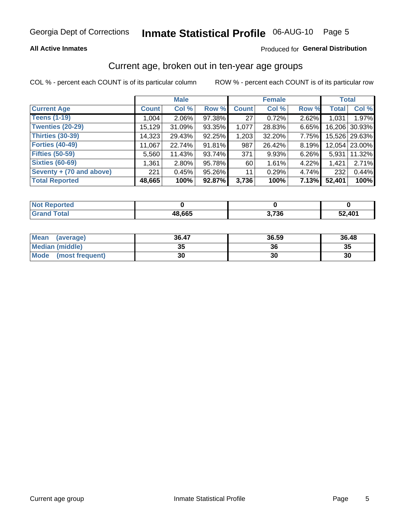### **All Active Inmates**

### Produced for General Distribution

### Current age, broken out in ten-year age groups

COL % - percent each COUNT is of its particular column

|                          |              | <b>Male</b> |        |              | <b>Female</b> |       | <b>Total</b> |               |
|--------------------------|--------------|-------------|--------|--------------|---------------|-------|--------------|---------------|
| <b>Current Age</b>       | <b>Count</b> | Col %       | Row %  | <b>Count</b> | Col %         | Row % | <b>Total</b> | Col %         |
| <b>Teens (1-19)</b>      | 1,004        | $2.06\%$    | 97.38% | 27           | 0.72%         | 2.62% | 1,031        | 1.97%         |
| <b>Twenties (20-29)</b>  | 15,129       | 31.09%      | 93.35% | 1,077        | 28.83%        | 6.65% | 16,206       | 30.93%        |
| <b>Thirties (30-39)</b>  | 14,323       | 29.43%      | 92.25% | 1,203        | 32.20%        | 7.75% |              | 15,526 29.63% |
| <b>Forties (40-49)</b>   | 11,067       | 22.74%      | 91.81% | 987          | 26.42%        | 8.19% |              | 12,054 23.00% |
| <b>Fifties (50-59)</b>   | 5,560        | 11.43%      | 93.74% | 371          | 9.93%         | 6.26% | 5,931        | 11.32%        |
| <b>Sixties (60-69)</b>   | 1,361        | $2.80\%$    | 95.78% | 60           | 1.61%         | 4.22% | 1,421        | 2.71%         |
| Seventy + (70 and above) | 221          | 0.45%       | 95.26% | 11           | 0.29%         | 4.74% | 232          | 0.44%         |
| <b>Total Reported</b>    | 48,665       | 100%        | 92.87% | 3,736        | 100%          | 7.13% | 52,401       | 100%          |

| <b>Not Reported</b> |        |       |        |
|---------------------|--------|-------|--------|
| Total<br>Cro        | 48,665 | 3,736 | 52,401 |

| <b>Mean</b><br>(average) | 36.47    | 36.59 | 36.48 |
|--------------------------|----------|-------|-------|
| Median (middle)          | つん<br>vu | 36    | 35    |
| Mode<br>(most frequent)  | 30       | 30    | 30    |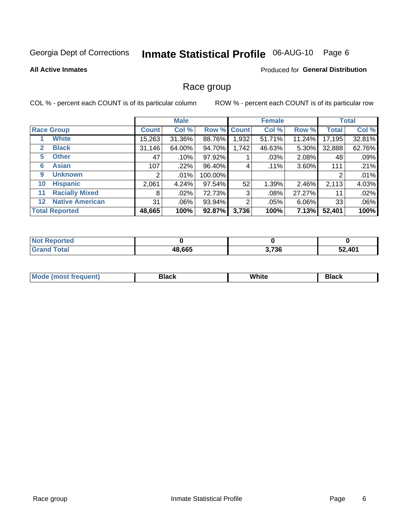# Inmate Statistical Profile 06-AUG-10 Page 6

#### **All Active Inmates**

#### **Produced for General Distribution**

### Race group

COL % - percent each COUNT is of its particular column

|         |                        | <b>Male</b>  |         |         |             | <b>Female</b> |          |              | <b>Total</b> |  |
|---------|------------------------|--------------|---------|---------|-------------|---------------|----------|--------------|--------------|--|
|         | <b>Race Group</b>      | <b>Count</b> | Col %   |         | Row % Count | Col %         | Row %    | <b>Total</b> | Col %        |  |
|         | <b>White</b>           | 15,263       | 31.36%  | 88.76%  | 1,932       | 51.71%        | 11.24%   | 17,195       | 32.81%       |  |
| 2       | <b>Black</b>           | 31,146       | 64.00%  | 94.70%  | 1,742       | 46.63%        | 5.30%    | 32,888       | 62.76%       |  |
| 5       | <b>Other</b>           | 47           | .10%    | 97.92%  |             | .03%          | 2.08%    | 48           | .09%         |  |
| 6       | <b>Asian</b>           | 107          | .22%    | 96.40%  | 4           | $.11\%$       | $3.60\%$ | 111          | .21%         |  |
| 9       | <b>Unknown</b>         | 2            | $.01\%$ | 100.00% |             |               |          | 2            | .01%         |  |
| 10      | <b>Hispanic</b>        | 2,061        | 4.24%   | 97.54%  | 52          | 1.39%         | 2.46%    | 2,113        | 4.03%        |  |
| 11      | <b>Racially Mixed</b>  | 8            | $.02\%$ | 72.73%  | 3           | .08%          | 27.27%   | 11           | .02%         |  |
| $12 \,$ | <b>Native American</b> | 31           | $.06\%$ | 93.94%  | 2           | .05%          | 6.06%    | 33           | .06%         |  |
|         | <b>Total Reported</b>  | 48,665       | 100%    | 92.87%  | 3,736       | 100%          | 7.13%    | 52,401       | 100%         |  |

| <b>orted</b><br>NO. |        |       |        |
|---------------------|--------|-------|--------|
| <b>otal</b>         | 48,665 | 3,736 | 52.401 |

| Mode (<br>most freduent) | ⊃lack | White | ا تا 1 |
|--------------------------|-------|-------|--------|
|                          |       |       |        |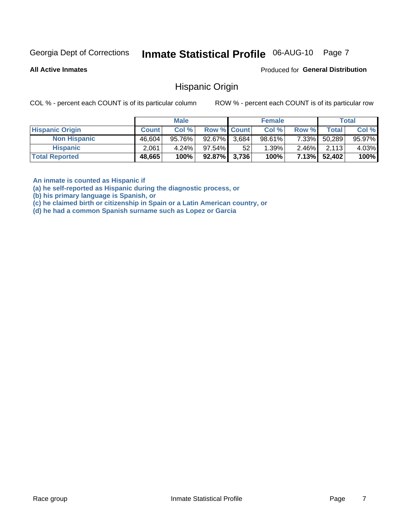#### Inmate Statistical Profile 06-AUG-10 Page 7

**All Active Inmates** 

Produced for General Distribution

### **Hispanic Origin**

COL % - percent each COUNT is of its particular column

ROW % - percent each COUNT is of its particular row

|                        |              | <b>Male</b> |                    |                 | <b>Female</b> |          |        | <b>Total</b> |
|------------------------|--------------|-------------|--------------------|-----------------|---------------|----------|--------|--------------|
| <b>Hispanic Origin</b> | <b>Count</b> | Col %       | <b>Row % Count</b> |                 | Col %         | Row %    | Totall | Col %        |
| <b>Non Hispanic</b>    | 46,604       | 95.76%      | 92.67% 3,684       |                 | $98.61\%$     | $7.33\%$ | 50,289 | 95.97%       |
| <b>Hispanic</b>        | 2.061        | $4.24\%$    | $97.54\%$          | 52 <sup>°</sup> | 1.39%         | $2.46\%$ | 2,113  | 4.03%        |
| <b>Total Reported</b>  | 48,665       | 100%        | 92.87% 3,736       |                 | 100%          | $7.13\%$ | 52,402 | 100%         |

An inmate is counted as Hispanic if

(a) he self-reported as Hispanic during the diagnostic process, or

(b) his primary language is Spanish, or

(c) he claimed birth or citizenship in Spain or a Latin American country, or

(d) he had a common Spanish surname such as Lopez or Garcia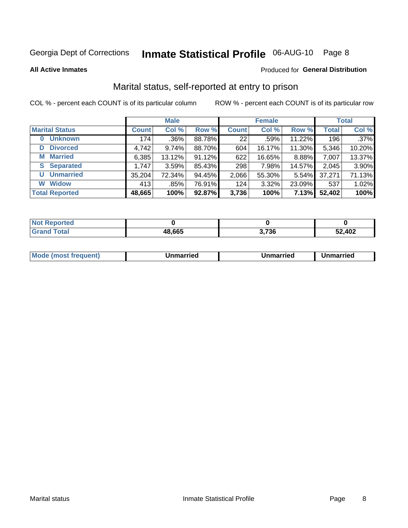# Inmate Statistical Profile 06-AUG-10 Page 8

**All Active Inmates** 

#### Produced for General Distribution

### Marital status, self-reported at entry to prison

COL % - percent each COUNT is of its particular column

|                            | <b>Male</b>  |         |        | <b>Female</b> |        |        | <b>Total</b> |        |
|----------------------------|--------------|---------|--------|---------------|--------|--------|--------------|--------|
| <b>Marital Status</b>      | <b>Count</b> | Col %   | Row %  | <b>Count</b>  | Col %  | Row %  | <b>Total</b> | Col %  |
| <b>Unknown</b><br>$\bf{0}$ | 174          | $.36\%$ | 88.78% | 22            | .59%   | 11.22% | 196          | .37%   |
| <b>Divorced</b><br>D       | 4,742        | 9.74%   | 88.70% | 604           | 16.17% | 11.30% | 5,346        | 10.20% |
| <b>Married</b><br>М        | 6,385        | 13.12%  | 91.12% | 622           | 16.65% | 8.88%  | 7,007        | 13.37% |
| <b>Separated</b><br>S.     | 1,747        | 3.59%   | 85.43% | 298           | 7.98%  | 14.57% | 2,045        | 3.90%  |
| <b>Unmarried</b><br>U      | 35,204       | 72.34%  | 94.45% | 2,066         | 55.30% | 5.54%  | 37,271       | 71.13% |
| <b>Widow</b><br>W          | 413          | $.85\%$ | 76.91% | 124           | 3.32%  | 23.09% | 537          | 1.02%  |
| <b>Total Reported</b>      | 48,665       | 100%    | 92.87% | 3,736         | 100%   | 7.13%  | 52,402       | 100%   |

| <b>Not Reported</b> |        |                       |        |
|---------------------|--------|-----------------------|--------|
| Total               | 48,665 | <b>720</b><br>ა. / ახ | 52,402 |

|--|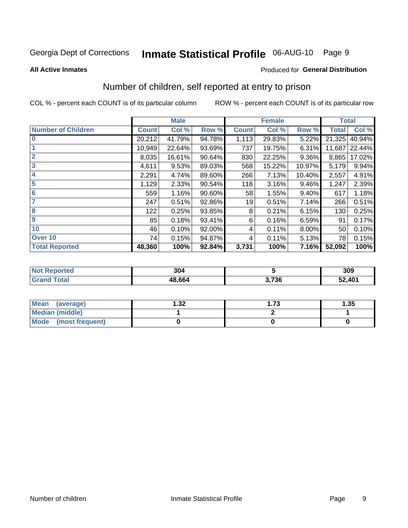# Inmate Statistical Profile 06-AUG-10 Page 9

#### **All Active Inmates**

### **Produced for General Distribution**

### Number of children, self reported at entry to prison

COL % - percent each COUNT is of its particular column

|                           |              | <b>Male</b> |           |              | <b>Female</b> |          | <b>Total</b> |        |  |
|---------------------------|--------------|-------------|-----------|--------------|---------------|----------|--------------|--------|--|
| <b>Number of Children</b> | <b>Count</b> | Col %       | Row %     | <b>Count</b> | Col %         | Row %    | <b>Total</b> | Col %  |  |
| $\overline{0}$            | 20,212       | 41.79%      | 94.78%    | 1,113        | 29.83%        | 5.22%    | 21,325       | 40.94% |  |
|                           | 10,949       | 22.64%      | 93.69%    | 737          | 19.75%        | 6.31%    | 11,687       | 22.44% |  |
| $\overline{2}$            | 8,035        | 16.61%      | 90.64%    | 830          | 22.25%        | 9.36%    | 8,865        | 17.02% |  |
| $\overline{\mathbf{3}}$   | 4,611        | 9.53%       | 89.03%    | 568          | 15.22%        | 10.97%   | 5,179        | 9.94%  |  |
| 4                         | 2,291        | 4.74%       | 89.60%    | 266          | 7.13%         | 10.40%   | 2,557        | 4.91%  |  |
| 5                         | 1,129        | 2.33%       | 90.54%    | 118          | 3.16%         | $9.46\%$ | 1,247        | 2.39%  |  |
| 6                         | 559          | 1.16%       | $90.60\%$ | 58           | 1.55%         | $9.40\%$ | 617          | 1.18%  |  |
| 7                         | 247          | 0.51%       | 92.86%    | 19           | 0.51%         | 7.14%    | 266          | 0.51%  |  |
| 8                         | 122          | 0.25%       | 93.85%    | 8            | 0.21%         | 6.15%    | 130          | 0.25%  |  |
| 9                         | 85           | 0.18%       | 93.41%    | 6            | 0.16%         | 6.59%    | 91           | 0.17%  |  |
| 10                        | 46           | 0.10%       | 92.00%    | 4            | 0.11%         | 8.00%    | 50           | 0.10%  |  |
| Over 10                   | 74           | 0.15%       | 94.87%    | 4            | 0.11%         | 5.13%    | 78           | 0.15%  |  |
| <b>Total Reported</b>     | 48,360       | 100%        | 92.84%    | 3,731        | 100%          | 7.16%    | 52,092       | 100%   |  |

| 304    |              | 309    |
|--------|--------------|--------|
| 48 664 | 2.72C<br>סכי | 52,401 |

| Mean (average)          | .32 | 72<br>I . / J | l.35 |
|-------------------------|-----|---------------|------|
| Median (middle)         |     |               |      |
| Mode<br>(most frequent) |     |               |      |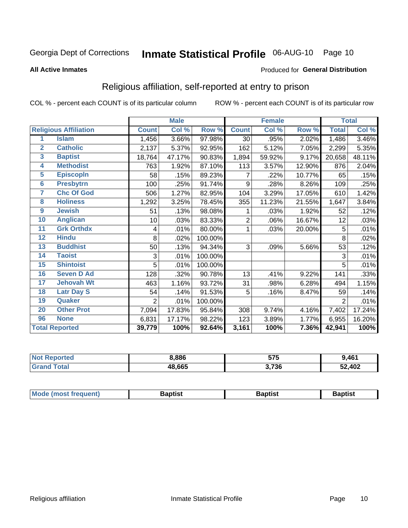# Inmate Statistical Profile 06-AUG-10 Page 10

#### **All Active Inmates**

#### Produced for General Distribution

### Religious affiliation, self-reported at entry to prison

COL % - percent each COUNT is of its particular column

|                |                              | <b>Male</b>    |        | <b>Female</b> |                |        | <b>Total</b> |                |        |
|----------------|------------------------------|----------------|--------|---------------|----------------|--------|--------------|----------------|--------|
|                | <b>Religious Affiliation</b> | <b>Count</b>   | Col %  | Row %         | <b>Count</b>   | Col %  | Row %        | <b>Total</b>   | Col %  |
| 1              | <b>Islam</b>                 | 1,456          | 3.66%  | 97.98%        | 30             | .95%   | 2.02%        | 1,486          | 3.46%  |
| $\overline{2}$ | <b>Catholic</b>              | 2,137          | 5.37%  | 92.95%        | 162            | 5.12%  | 7.05%        | 2,299          | 5.35%  |
| 3              | <b>Baptist</b>               | 18,764         | 47.17% | 90.83%        | 1,894          | 59.92% | 9.17%        | 20,658         | 48.11% |
| 4              | <b>Methodist</b>             | 763            | 1.92%  | 87.10%        | 113            | 3.57%  | 12.90%       | 876            | 2.04%  |
| 5              | <b>EpiscopIn</b>             | 58             | .15%   | 89.23%        | 7              | .22%   | 10.77%       | 65             | .15%   |
| $6\phantom{a}$ | <b>Presbytrn</b>             | 100            | .25%   | 91.74%        | 9              | .28%   | 8.26%        | 109            | .25%   |
| 7              | <b>Chc Of God</b>            | 506            | 1.27%  | 82.95%        | 104            | 3.29%  | 17.05%       | 610            | 1.42%  |
| 8              | <b>Holiness</b>              | 1,292          | 3.25%  | 78.45%        | 355            | 11.23% | 21.55%       | 1,647          | 3.84%  |
| 9              | <b>Jewish</b>                | 51             | .13%   | 98.08%        | 1              | .03%   | 1.92%        | 52             | .12%   |
| 10             | <b>Anglican</b>              | 10             | .03%   | 83.33%        | $\overline{2}$ | .06%   | 16.67%       | 12             | .03%   |
| 11             | <b>Grk Orthdx</b>            | 4              | .01%   | 80.00%        | 1              | .03%   | 20.00%       | 5              | .01%   |
| 12             | <b>Hindu</b>                 | 8              | .02%   | 100.00%       |                |        |              | 8              | .02%   |
| 13             | <b>Buddhist</b>              | 50             | .13%   | 94.34%        | 3              | .09%   | 5.66%        | 53             | .12%   |
| 14             | <b>Taoist</b>                | 3              | .01%   | 100.00%       |                |        |              | 3              | .01%   |
| 15             | <b>Shintoist</b>             | 5              | .01%   | 100.00%       |                |        |              | 5              | .01%   |
| 16             | <b>Seven D Ad</b>            | 128            | .32%   | 90.78%        | 13             | .41%   | 9.22%        | 141            | .33%   |
| 17             | <b>Jehovah Wt</b>            | 463            | 1.16%  | 93.72%        | 31             | .98%   | 6.28%        | 494            | 1.15%  |
| 18             | <b>Latr Day S</b>            | 54             | .14%   | 91.53%        | 5              | .16%   | 8.47%        | 59             | .14%   |
| 19             | Quaker                       | $\overline{2}$ | .01%   | 100.00%       |                |        |              | $\overline{2}$ | .01%   |
| 20             | <b>Other Prot</b>            | 7,094          | 17.83% | 95.84%        | 308            | 9.74%  | 4.16%        | 7,402          | 17.24% |
| 96             | <b>None</b>                  | 6,831          | 17.17% | 98.22%        | 123            | 3.89%  | 1.77%        | 6,955          | 16.20% |
|                | <b>Total Reported</b>        | 39,779         | 100%   | 92.64%        | 3,161          | 100%   | 7.36%        | 42,941         | 100%   |

| <b>orteo</b><br>NO. | 8,886  | ドフド<br>JI J | 9.461  |
|---------------------|--------|-------------|--------|
| 'otal               | 48,665 | 3,736       | 52,402 |

|  |  | <b>Mode (most frequent)</b> | Baptist | 3aptis | <b>Baptist</b> |
|--|--|-----------------------------|---------|--------|----------------|
|--|--|-----------------------------|---------|--------|----------------|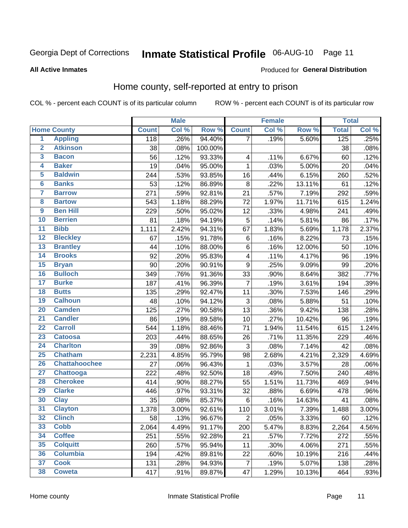# Inmate Statistical Profile 06-AUG-10 Page 11

#### **All Active Inmates**

### Produced for General Distribution

### Home county, self-reported at entry to prison

COL % - percent each COUNT is of its particular column

|                         |                      |                  | <b>Male</b> |           |                           | <b>Female</b> |        | <b>Total</b> |       |
|-------------------------|----------------------|------------------|-------------|-----------|---------------------------|---------------|--------|--------------|-------|
|                         | <b>Home County</b>   | <b>Count</b>     | Col %       | Row %     | <b>Count</b>              | Col %         | Row %  | <b>Total</b> | Col % |
| $\overline{\mathbf{1}}$ | <b>Appling</b>       | $\overline{118}$ | .26%        | 94.40%    | $\overline{7}$            | .19%          | 5.60%  | 125          | .25%  |
| $\overline{2}$          | <b>Atkinson</b>      | 38               | .08%        | 100.00%   |                           |               |        | 38           | .08%  |
| 3                       | <b>Bacon</b>         | 56               | .12%        | 93.33%    | $\overline{\mathbf{4}}$   | .11%          | 6.67%  | 60           | .12%  |
| 4                       | <b>Baker</b>         | 19               | .04%        | 95.00%    | $\mathbf 1$               | .03%          | 5.00%  | 20           | .04%  |
| 5                       | <b>Baldwin</b>       | 244              | .53%        | 93.85%    | 16                        | .44%          | 6.15%  | 260          | .52%  |
| $6\phantom{1}6$         | <b>Banks</b>         | 53               | .12%        | 86.89%    | 8                         | .22%          | 13.11% | 61           | .12%  |
| $\overline{7}$          | <b>Barrow</b>        | 271              | .59%        | 92.81%    | 21                        | .57%          | 7.19%  | 292          | .59%  |
| 8                       | <b>Bartow</b>        | 543              | 1.18%       | 88.29%    | 72                        | 1.97%         | 11.71% | 615          | 1.24% |
| $\overline{9}$          | <b>Ben Hill</b>      | 229              | .50%        | 95.02%    | 12                        | .33%          | 4.98%  | 241          | .49%  |
| 10                      | <b>Berrien</b>       | 81               | .18%        | 94.19%    | 5                         | .14%          | 5.81%  | 86           | .17%  |
| $\overline{11}$         | <b>Bibb</b>          | 1,111            | 2.42%       | 94.31%    | 67                        | 1.83%         | 5.69%  | 1,178        | 2.37% |
| $\overline{12}$         | <b>Bleckley</b>      | 67               | .15%        | 91.78%    | $\,6$                     | .16%          | 8.22%  | 73           | .15%  |
| 13                      | <b>Brantley</b>      | 44               | .10%        | 88.00%    | $\,6$                     | .16%          | 12.00% | 50           | .10%  |
| 14                      | <b>Brooks</b>        | 92               | .20%        | 95.83%    | $\overline{\mathbf{4}}$   | .11%          | 4.17%  | 96           | .19%  |
| 15                      | <b>Bryan</b>         | 90               | .20%        | $90.91\%$ | $\boldsymbol{9}$          | .25%          | 9.09%  | 99           | .20%  |
| 16                      | <b>Bulloch</b>       | 349              | .76%        | 91.36%    | 33                        | .90%          | 8.64%  | 382          | .77%  |
| $\overline{17}$         | <b>Burke</b>         | 187              | .41%        | 96.39%    | $\overline{7}$            | .19%          | 3.61%  | 194          | .39%  |
| 18                      | <b>Butts</b>         | 135              | .29%        | 92.47%    | 11                        | .30%          | 7.53%  | 146          | .29%  |
| 19                      | <b>Calhoun</b>       | 48               | .10%        | 94.12%    | $\ensuremath{\mathsf{3}}$ | .08%          | 5.88%  | 51           | .10%  |
| $\overline{20}$         | <b>Camden</b>        | 125              | .27%        | 90.58%    | 13                        | .36%          | 9.42%  | 138          | .28%  |
| $\overline{21}$         | <b>Candler</b>       | 86               | .19%        | 89.58%    | 10                        | .27%          | 10.42% | 96           | .19%  |
| $\overline{22}$         | <b>Carroll</b>       | 544              | 1.18%       | 88.46%    | 71                        | 1.94%         | 11.54% | 615          | 1.24% |
| 23                      | <b>Catoosa</b>       | 203              | .44%        | 88.65%    | 26                        | .71%          | 11.35% | 229          | .46%  |
| $\overline{24}$         | <b>Charlton</b>      | 39               | .08%        | 92.86%    | 3                         | .08%          | 7.14%  | 42           | .08%  |
| $\overline{25}$         | <b>Chatham</b>       | 2,231            | 4.85%       | 95.79%    | 98                        | 2.68%         | 4.21%  | 2,329        | 4.69% |
| 26                      | <b>Chattahoochee</b> | 27               | .06%        | 96.43%    | $\mathbf 1$               | .03%          | 3.57%  | 28           | .06%  |
| $\overline{27}$         | Chattooga            | 222              | .48%        | 92.50%    | 18                        | .49%          | 7.50%  | 240          | .48%  |
| 28                      | <b>Cherokee</b>      | 414              | .90%        | 88.27%    | 55                        | 1.51%         | 11.73% | 469          | .94%  |
| 29                      | <b>Clarke</b>        | 446              | .97%        | 93.31%    | 32                        | .88%          | 6.69%  | 478          | .96%  |
| 30                      | <b>Clay</b>          | 35               | .08%        | 85.37%    | $\,6$                     | .16%          | 14.63% | 41           | .08%  |
| 31                      | <b>Clayton</b>       | 1,378            | 3.00%       | 92.61%    | 110                       | 3.01%         | 7.39%  | 1,488        | 3.00% |
| 32                      | <b>Clinch</b>        | 58               | .13%        | 96.67%    | $\mathbf 2$               | .05%          | 3.33%  | 60           | .12%  |
| 33                      | <b>Cobb</b>          | 2,064            | 4.49%       | 91.17%    | 200                       | 5.47%         | 8.83%  | 2,264        | 4.56% |
| 34                      | <b>Coffee</b>        | 251              | .55%        | 92.28%    | 21                        | .57%          | 7.72%  | 272          | .55%  |
| 35                      | <b>Colquitt</b>      | 260              | .57%        | 95.94%    | 11                        | .30%          | 4.06%  | 271          | .55%  |
| 36                      | <b>Columbia</b>      | 194              | .42%        | 89.81%    | 22                        | .60%          | 10.19% | 216          | .44%  |
| 37                      | <b>Cook</b>          | 131              | .28%        | 94.93%    | 7                         | .19%          | 5.07%  | 138          | .28%  |
| 38                      | <b>Coweta</b>        | 417              | .91%        | 89.87%    | 47                        | 1.29%         | 10.13% | 464          | .93%  |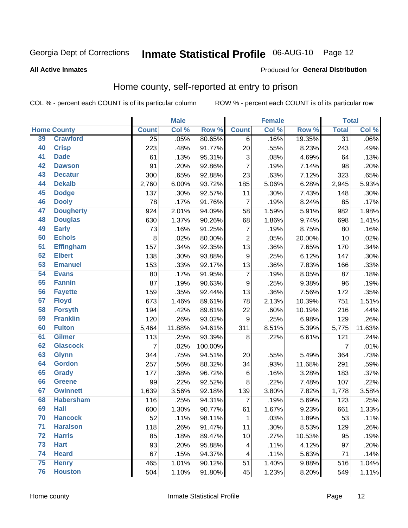# Inmate Statistical Profile 06-AUG-10 Page 12

#### **All Active Inmates**

#### Produced for General Distribution

### Home county, self-reported at entry to prison

COL % - percent each COUNT is of its particular column

|                 |                    |                | <b>Male</b> |         |                           | <b>Female</b> |        | <b>Total</b>    |         |
|-----------------|--------------------|----------------|-------------|---------|---------------------------|---------------|--------|-----------------|---------|
|                 | <b>Home County</b> | <b>Count</b>   | Col %       | Row %   | <b>Count</b>              | Col %         | Row %  | <b>Total</b>    | Col%    |
| 39              | <b>Crawford</b>    | 25             | .05%        | 80.65%  | 6                         | .16%          | 19.35% | $\overline{31}$ | $.06\%$ |
| 40              | <b>Crisp</b>       | 223            | .48%        | 91.77%  | 20                        | .55%          | 8.23%  | 243             | .49%    |
| 41              | <b>Dade</b>        | 61             | .13%        | 95.31%  | $\ensuremath{\mathsf{3}}$ | .08%          | 4.69%  | 64              | .13%    |
| 42              | <b>Dawson</b>      | 91             | .20%        | 92.86%  | $\overline{7}$            | .19%          | 7.14%  | 98              | .20%    |
| 43              | <b>Decatur</b>     | 300            | .65%        | 92.88%  | 23                        | .63%          | 7.12%  | 323             | .65%    |
| 44              | <b>Dekalb</b>      | 2,760          | 6.00%       | 93.72%  | 185                       | 5.06%         | 6.28%  | 2,945           | 5.93%   |
| 45              | <b>Dodge</b>       | 137            | .30%        | 92.57%  | 11                        | .30%          | 7.43%  | 148             | .30%    |
| 46              | <b>Dooly</b>       | 78             | .17%        | 91.76%  | $\overline{7}$            | .19%          | 8.24%  | 85              | .17%    |
| 47              | <b>Dougherty</b>   | 924            | 2.01%       | 94.09%  | 58                        | 1.59%         | 5.91%  | 982             | 1.98%   |
| 48              | <b>Douglas</b>     | 630            | 1.37%       | 90.26%  | 68                        | 1.86%         | 9.74%  | 698             | 1.41%   |
| 49              | <b>Early</b>       | 73             | .16%        | 91.25%  | 7                         | .19%          | 8.75%  | 80              | .16%    |
| 50              | <b>Echols</b>      | 8              | .02%        | 80.00%  | $\overline{2}$            | .05%          | 20.00% | 10              | .02%    |
| $\overline{51}$ | <b>Effingham</b>   | 157            | .34%        | 92.35%  | 13                        | .36%          | 7.65%  | 170             | .34%    |
| 52              | <b>Elbert</b>      | 138            | .30%        | 93.88%  | $\boldsymbol{9}$          | .25%          | 6.12%  | 147             | .30%    |
| 53              | <b>Emanuel</b>     | 153            | .33%        | 92.17%  | 13                        | .36%          | 7.83%  | 166             | .33%    |
| 54              | <b>Evans</b>       | 80             | .17%        | 91.95%  | $\overline{7}$            | .19%          | 8.05%  | 87              | .18%    |
| 55              | <b>Fannin</b>      | 87             | .19%        | 90.63%  | 9                         | .25%          | 9.38%  | 96              | .19%    |
| 56              | <b>Fayette</b>     | 159            | .35%        | 92.44%  | 13                        | .36%          | 7.56%  | 172             | .35%    |
| 57              | <b>Floyd</b>       | 673            | 1.46%       | 89.61%  | 78                        | 2.13%         | 10.39% | 751             | 1.51%   |
| 58              | <b>Forsyth</b>     | 194            | .42%        | 89.81%  | 22                        | .60%          | 10.19% | 216             | .44%    |
| 59              | <b>Franklin</b>    | 120            | .26%        | 93.02%  | $\boldsymbol{9}$          | .25%          | 6.98%  | 129             | .26%    |
| 60              | <b>Fulton</b>      | 5,464          | 11.88%      | 94.61%  | 311                       | 8.51%         | 5.39%  | 5,775           | 11.63%  |
| 61              | <b>Gilmer</b>      | 113            | .25%        | 93.39%  | $\bf 8$                   | .22%          | 6.61%  | 121             | .24%    |
| 62              | <b>Glascock</b>    | $\overline{7}$ | .02%        | 100.00% |                           |               |        | 7               | .01%    |
| 63              | <b>Glynn</b>       | 344            | .75%        | 94.51%  | 20                        | .55%          | 5.49%  | 364             | .73%    |
| 64              | <b>Gordon</b>      | 257            | .56%        | 88.32%  | 34                        | .93%          | 11.68% | 291             | .59%    |
| 65              | <b>Grady</b>       | 177            | .38%        | 96.72%  | $\,6$                     | .16%          | 3.28%  | 183             | .37%    |
| 66              | <b>Greene</b>      | 99             | .22%        | 92.52%  | 8                         | .22%          | 7.48%  | 107             | .22%    |
| 67              | <b>Gwinnett</b>    | 1,639          | 3.56%       | 92.18%  | 139                       | 3.80%         | 7.82%  | 1,778           | 3.58%   |
| 68              | <b>Habersham</b>   | 116            | .25%        | 94.31%  | $\overline{7}$            | .19%          | 5.69%  | 123             | .25%    |
| 69              | <b>Hall</b>        | 600            | 1.30%       | 90.77%  | 61                        | 1.67%         | 9.23%  | 661             | 1.33%   |
| 70              | <b>Hancock</b>     | 52             | .11%        | 98.11%  | $\mathbf{1}$              | .03%          | 1.89%  | 53              | .11%    |
| $\overline{71}$ | <b>Haralson</b>    | 118            | .26%        | 91.47%  | 11                        | .30%          | 8.53%  | 129             | .26%    |
| 72              | <b>Harris</b>      | 85             | .18%        | 89.47%  | 10                        | .27%          | 10.53% | 95              | .19%    |
| 73              | <b>Hart</b>        | 93             | .20%        | 95.88%  | 4                         | .11%          | 4.12%  | 97              | .20%    |
| 74              | <b>Heard</b>       | 67             | .15%        | 94.37%  | $\overline{\mathcal{A}}$  | .11%          | 5.63%  | 71              | .14%    |
| 75              | <b>Henry</b>       | 465            | 1.01%       | 90.12%  | 51                        | 1.40%         | 9.88%  | 516             | 1.04%   |
| 76              | <b>Houston</b>     | 504            | 1.10%       | 91.80%  | 45                        | 1.23%         | 8.20%  | 549             | 1.11%   |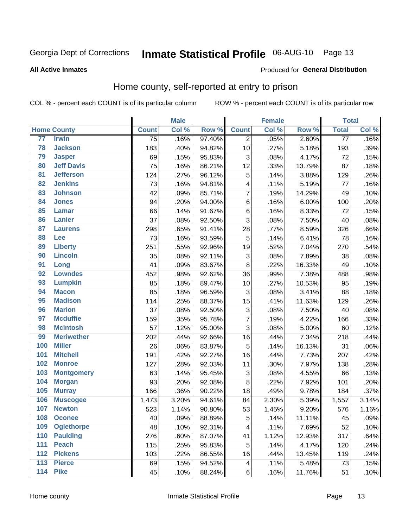# Inmate Statistical Profile 06-AUG-10 Page 13

#### **All Active Inmates**

#### Produced for General Distribution

### Home county, self-reported at entry to prison

COL % - percent each COUNT is of its particular column

|                  |                    |              | <b>Male</b> |        |                 | <b>Female</b> |        | <b>Total</b> |                     |
|------------------|--------------------|--------------|-------------|--------|-----------------|---------------|--------|--------------|---------------------|
|                  | <b>Home County</b> | <b>Count</b> | Col %       | Row %  | <b>Count</b>    | Col %         | Row %  | <b>Total</b> | Col %               |
| 77               | <b>Irwin</b>       | 75           | .16%        | 97.40% | 2               | .05%          | 2.60%  | 77           | .16%                |
| 78               | <b>Jackson</b>     | 183          | .40%        | 94.82% | 10              | .27%          | 5.18%  | 193          | .39%                |
| 79               | <b>Jasper</b>      | 69           | .15%        | 95.83% | 3               | .08%          | 4.17%  | 72           | .15%                |
| 80               | <b>Jeff Davis</b>  | 75           | .16%        | 86.21% | 12              | .33%          | 13.79% | 87           | .18%                |
| $\overline{81}$  | <b>Jefferson</b>   | 124          | .27%        | 96.12% | 5               | .14%          | 3.88%  | 129          | .26%                |
| 82               | <b>Jenkins</b>     | 73           | .16%        | 94.81% | 4               | .11%          | 5.19%  | 77           | .16%                |
| 83               | <b>Johnson</b>     | 42           | .09%        | 85.71% | $\overline{7}$  | .19%          | 14.29% | 49           | .10%                |
| 84               | <b>Jones</b>       | 94           | .20%        | 94.00% | $\,6$           | .16%          | 6.00%  | 100          | .20%                |
| 85               | <b>Lamar</b>       | 66           | .14%        | 91.67% | $\,6$           | .16%          | 8.33%  | 72           | .15%                |
| 86               | <b>Lanier</b>      | 37           | .08%        | 92.50% | 3               | .08%          | 7.50%  | 40           | .08%                |
| 87               | <b>Laurens</b>     | 298          | .65%        | 91.41% | 28              | .77%          | 8.59%  | 326          | .66%                |
| 88               | <b>Lee</b>         | 73           | .16%        | 93.59% | 5               | .14%          | 6.41%  | 78           | .16%                |
| 89               | <b>Liberty</b>     | 251          | .55%        | 92.96% | 19              | .52%          | 7.04%  | 270          | .54%                |
| 90               | <b>Lincoln</b>     | 35           | .08%        | 92.11% | 3               | .08%          | 7.89%  | 38           | .08%                |
| 91               | Long               | 41           | .09%        | 83.67% | 8               | .22%          | 16.33% | 49           | .10%                |
| 92               | <b>Lowndes</b>     | 452          | .98%        | 92.62% | 36              | .99%          | 7.38%  | 488          | .98%                |
| 93               | <b>Lumpkin</b>     | 85           | .18%        | 89.47% | 10              | .27%          | 10.53% | 95           | .19%                |
| 94               | <b>Macon</b>       | 85           | .18%        | 96.59% | 3               | .08%          | 3.41%  | 88           | .18%                |
| 95               | <b>Madison</b>     | 114          | .25%        | 88.37% | $\overline{15}$ | .41%          | 11.63% | 129          | .26%                |
| 96               | <b>Marion</b>      | 37           | .08%        | 92.50% | 3               | .08%          | 7.50%  | 40           | .08%                |
| 97               | <b>Mcduffie</b>    | 159          | .35%        | 95.78% | $\overline{7}$  | .19%          | 4.22%  | 166          | .33%                |
| 98               | <b>Mcintosh</b>    | 57           | .12%        | 95.00% | 3               | .08%          | 5.00%  | 60           | .12%                |
| 99               | <b>Meriwether</b>  | 202          | .44%        | 92.66% | 16              | .44%          | 7.34%  | 218          | .44%                |
| 100              | <b>Miller</b>      | 26           | .06%        | 83.87% | 5               | .14%          | 16.13% | 31           | .06%                |
| 101              | <b>Mitchell</b>    | 191          | .42%        | 92.27% | 16              | .44%          | 7.73%  | 207          | .42%                |
| 102              | <b>Monroe</b>      | 127          | .28%        | 92.03% | 11              | .30%          | 7.97%  | 138          | .28%                |
| 103              | <b>Montgomery</b>  | 63           | .14%        | 95.45% | $\mathbf{3}$    | .08%          | 4.55%  | 66           | .13%                |
| 104              | <b>Morgan</b>      | 93           | .20%        | 92.08% | 8               | .22%          | 7.92%  | 101          | .20%                |
| 105              | <b>Murray</b>      | 166          | .36%        | 90.22% | 18              | .49%          | 9.78%  | 184          | .37%                |
| 106              | <b>Muscogee</b>    | 1,473        | 3.20%       | 94.61% | 84              | 2.30%         | 5.39%  | 1,557        | 3.14%               |
| 107              | <b>Newton</b>      | 523          | 1.14%       | 90.80% | 53              | 1.45%         | 9.20%  | 576          | $\overline{1.16\%}$ |
| 108              | <b>Oconee</b>      | 40           | .09%        | 88.89% | 5               | .14%          | 11.11% | 45           | .09%                |
| 109              | <b>Oglethorpe</b>  | 48           | .10%        | 92.31% | 4               | .11%          | 7.69%  | 52           | .10%                |
| 110              | <b>Paulding</b>    | 276          | .60%        | 87.07% | 41              | 1.12%         | 12.93% | 317          | .64%                |
| 111              | <b>Peach</b>       | 115          | .25%        | 95.83% | 5               | .14%          | 4.17%  | 120          | .24%                |
| 112              | <b>Pickens</b>     | 103          | .22%        | 86.55% | 16              | .44%          | 13.45% | 119          | .24%                |
| $\overline{113}$ | <b>Pierce</b>      | 69           | .15%        | 94.52% | 4               | .11%          | 5.48%  | 73           | .15%                |
| $\overline{114}$ | <b>Pike</b>        | 45           | .10%        | 88.24% | $\,6$           | .16%          | 11.76% | 51           | .10%                |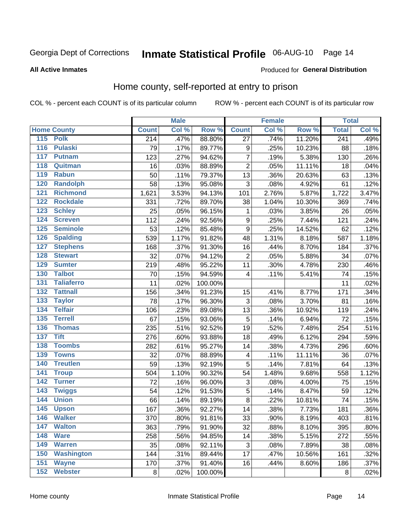# Inmate Statistical Profile 06-AUG-10 Page 14

#### **All Active Inmates**

#### Produced for General Distribution

### Home county, self-reported at entry to prison

COL % - percent each COUNT is of its particular column

|                  |                    |                  | <b>Male</b> |         |                         | <b>Female</b> |        | <b>Total</b>     |       |
|------------------|--------------------|------------------|-------------|---------|-------------------------|---------------|--------|------------------|-------|
|                  | <b>Home County</b> | <b>Count</b>     | Col %       | Row %   | <b>Count</b>            | Col %         | Row %  | <b>Total</b>     | Col % |
|                  | 115 Polk           | $\overline{214}$ | .47%        | 88.80%  | $\overline{27}$         | .74%          | 11.20% | $\overline{241}$ | .49%  |
| $\overline{116}$ | <b>Pulaski</b>     | 79               | .17%        | 89.77%  | 9                       | .25%          | 10.23% | 88               | .18%  |
| 117              | <b>Putnam</b>      | 123              | .27%        | 94.62%  | $\overline{7}$          | .19%          | 5.38%  | 130              | .26%  |
| 118              | Quitman            | 16               | .03%        | 88.89%  | $\overline{c}$          | .05%          | 11.11% | 18               | .04%  |
| 119              | <b>Rabun</b>       | 50               | .11%        | 79.37%  | 13                      | .36%          | 20.63% | 63               | .13%  |
| 120              | <b>Randolph</b>    | 58               | .13%        | 95.08%  | 3                       | .08%          | 4.92%  | 61               | .12%  |
| 121              | <b>Richmond</b>    | 1,621            | 3.53%       | 94.13%  | 101                     | 2.76%         | 5.87%  | 1,722            | 3.47% |
| 122              | <b>Rockdale</b>    | 331              | .72%        | 89.70%  | 38                      | 1.04%         | 10.30% | 369              | .74%  |
| 123              | <b>Schley</b>      | 25               | .05%        | 96.15%  | 1                       | .03%          | 3.85%  | 26               | .05%  |
| 124              | <b>Screven</b>     | 112              | .24%        | 92.56%  | $\boldsymbol{9}$        | .25%          | 7.44%  | 121              | .24%  |
| 125              | <b>Seminole</b>    | 53               | .12%        | 85.48%  | $\overline{9}$          | .25%          | 14.52% | 62               | .12%  |
| 126              | <b>Spalding</b>    | 539              | 1.17%       | 91.82%  | 48                      | 1.31%         | 8.18%  | 587              | 1.18% |
| 127              | <b>Stephens</b>    | 168              | .37%        | 91.30%  | 16                      | .44%          | 8.70%  | 184              | .37%  |
| 128              | <b>Stewart</b>     | 32               | .07%        | 94.12%  | $\overline{2}$          | .05%          | 5.88%  | 34               | .07%  |
| 129              | <b>Sumter</b>      | 219              | .48%        | 95.22%  | 11                      | .30%          | 4.78%  | 230              | .46%  |
| 130              | <b>Talbot</b>      | 70               | .15%        | 94.59%  | $\overline{\mathbf{4}}$ | .11%          | 5.41%  | 74               | .15%  |
| 131              | <b>Taliaferro</b>  | 11               | .02%        | 100.00% |                         |               |        | 11               | .02%  |
| 132              | <b>Tattnall</b>    | 156              | .34%        | 91.23%  | 15                      | .41%          | 8.77%  | 171              | .34%  |
| 133              | <b>Taylor</b>      | 78               | .17%        | 96.30%  | $\overline{3}$          | .08%          | 3.70%  | 81               | .16%  |
| 134              | <b>Telfair</b>     | 106              | .23%        | 89.08%  | 13                      | .36%          | 10.92% | 119              | .24%  |
| 135              | <b>Terrell</b>     | 67               | .15%        | 93.06%  | 5                       | .14%          | 6.94%  | 72               | .15%  |
| 136              | <b>Thomas</b>      | 235              | .51%        | 92.52%  | 19                      | .52%          | 7.48%  | 254              | .51%  |
| 137              | <b>Tift</b>        | 276              | .60%        | 93.88%  | 18                      | .49%          | 6.12%  | 294              | .59%  |
| 138              | <b>Toombs</b>      | 282              | .61%        | 95.27%  | 14                      | .38%          | 4.73%  | 296              | .60%  |
| 139              | <b>Towns</b>       | 32               | .07%        | 88.89%  | 4                       | .11%          | 11.11% | 36               | .07%  |
| 140              | <b>Treutlen</b>    | 59               | .13%        | 92.19%  | 5                       | .14%          | 7.81%  | 64               | .13%  |
| 141              | <b>Troup</b>       | 504              | 1.10%       | 90.32%  | 54                      | 1.48%         | 9.68%  | 558              | 1.12% |
| 142              | <b>Turner</b>      | 72               | .16%        | 96.00%  | $\mathbf{3}$            | .08%          | 4.00%  | 75               | .15%  |
| $\overline{143}$ | <b>Twiggs</b>      | 54               | .12%        | 91.53%  | 5                       | .14%          | 8.47%  | 59               | .12%  |
| 144              | <b>Union</b>       | 66               | .14%        | 89.19%  | $\overline{8}$          | .22%          | 10.81% | 74               | .15%  |
| 145              | <b>Upson</b>       | 167              | .36%        | 92.27%  | 14                      | .38%          | 7.73%  | 181              | .36%  |
| 146              | <b>Walker</b>      | 370              | .80%        | 91.81%  | 33                      | .90%          | 8.19%  | 403              | .81%  |
| 147              | <b>Walton</b>      | 363              | .79%        | 91.90%  | 32                      | .88%          | 8.10%  | 395              | .80%  |
| 148              | <b>Ware</b>        | 258              | .56%        | 94.85%  | 14                      | .38%          | 5.15%  | 272              | .55%  |
| 149              | <b>Warren</b>      | 35               | .08%        | 92.11%  | 3                       | .08%          | 7.89%  | 38               | .08%  |
| 150              | <b>Washington</b>  | 144              | .31%        | 89.44%  | 17                      | .47%          | 10.56% | 161              | .32%  |
| 151              | <b>Wayne</b>       | 170              | .37%        | 91.40%  | 16                      | .44%          | 8.60%  | 186              | .37%  |
| 152              | <b>Webster</b>     | 8                | .02%        | 100.00% |                         |               |        | 8                | .02%  |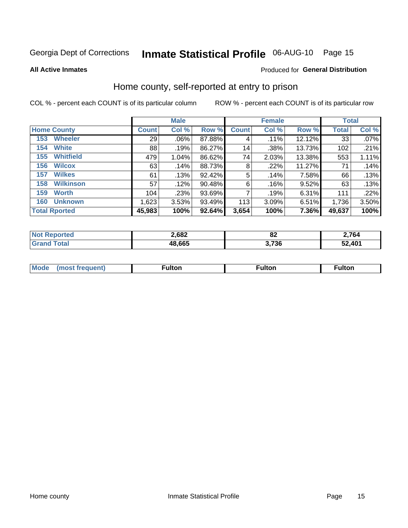# Inmate Statistical Profile 06-AUG-10 Page 15

**All Active Inmates** 

#### Produced for General Distribution

### Home county, self-reported at entry to prison

COL % - percent each COUNT is of its particular column

|                         |              | <b>Male</b> |           |              | <b>Female</b> |          | <b>Total</b> |       |
|-------------------------|--------------|-------------|-----------|--------------|---------------|----------|--------------|-------|
| <b>Home County</b>      | <b>Count</b> | Col %       | Row %     | <b>Count</b> | Col %         | Row %    | <b>Total</b> | Col % |
| <b>Wheeler</b><br>153   | 29           | $.06\%$     | 87.88%    | 4            | .11%          | 12.12%   | 33           | .07%  |
| <b>White</b><br>154     | 88           | .19%        | 86.27%    | 14           | .38%          | 13.73%   | 102          | .21%  |
| <b>Whitfield</b><br>155 | 479          | 1.04%       | 86.62%    | 74           | 2.03%         | 13.38%   | 553          | 1.11% |
| <b>Wilcox</b><br>156    | 63           | .14%        | 88.73%    | 8            | $.22\%$       | 11.27%   | 71           | .14%  |
| <b>Wilkes</b><br>157    | 61           | .13%        | 92.42%    | 5            | .14%          | 7.58%    | 66           | .13%  |
| <b>Wilkinson</b><br>158 | 57           | .12%        | 90.48%    | 6            | .16%          | 9.52%    | 63           | .13%  |
| 159<br><b>Worth</b>     | 104          | .23%        | $93.69\%$ | 7            | .19%          | $6.31\%$ | 111          | .22%  |
| <b>Unknown</b><br>160   | 1,623        | 3.53%       | 93.49%    | 113          | 3.09%         | 6.51%    | 1,736        | 3.50% |
| <b>Total Rported</b>    | 45,983       | 100%        | 92.64%    | 3,654        | 100%          | 7.36%    | 49,637       | 100%  |

| ported<br>n o | 2,682  | 0Z   | 2,764  |
|---------------|--------|------|--------|
| <b>otal</b>   | 48,665 | ,736 | 52,401 |

|  | Mode | ™ulton | ∶ulton | ™ulton |
|--|------|--------|--------|--------|
|--|------|--------|--------|--------|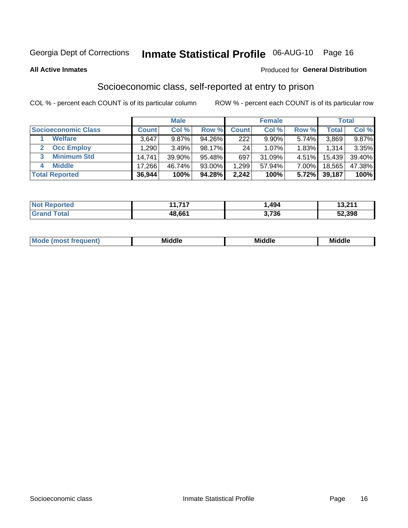# Inmate Statistical Profile 06-AUG-10 Page 16

**All Active Inmates** 

#### **Produced for General Distribution**

### Socioeconomic class, self-reported at entry to prison

COL % - percent each COUNT is of its particular column

|                            |              | <b>Male</b> |        |              | <b>Female</b> |          |        | <b>Total</b> |
|----------------------------|--------------|-------------|--------|--------------|---------------|----------|--------|--------------|
| <b>Socioeconomic Class</b> | <b>Count</b> | Col %       | Row %  | <b>Count</b> | Col %         | Row %    | Total  | Col %        |
| <b>Welfare</b>             | 3,647        | 9.87%       | 94.26% | 222          | $9.90\%$      | 5.74%    | 3,869  | 9.87%        |
| <b>Occ Employ</b>          | .290         | 3.49%       | 98.17% | 24           | 1.07%         | 1.83%    | 1,314  | 3.35%        |
| <b>Minimum Std</b>         | 14,741       | 39.90%      | 95.48% | 697          | 31.09%        | 4.51%    | 15,439 | 39.40%       |
| <b>Middle</b>              | 17,266       | 46.74%      | 93.00% | 1,299        | 57.94%        | $7.00\%$ | 18,565 | 47.38%       |
| <b>Total Reported</b>      | 36,944       | 100%        | 94.28% | 2,242        | 100%          | 5.72%    | 39,187 | 100%         |

| <b>Not Reported</b>   | 14 74 7<br>. .<br>. | ,494  | 12.211<br>I J.Z.I I |
|-----------------------|---------------------|-------|---------------------|
| <b>Total</b><br>Grand | 48,661              | 3,736 | 52,398              |

| ____ | Mid | .  | . .  |
|------|-----|----|------|
| ____ | --  | .  | Mi   |
| ____ | di∈ | M. | омие |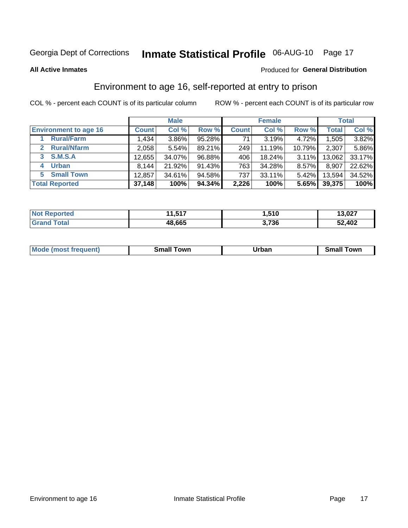# Inmate Statistical Profile 06-AUG-10 Page 17

**All Active Inmates** 

#### Produced for General Distribution

### Environment to age 16, self-reported at entry to prison

COL % - percent each COUNT is of its particular column

|                                      |              | <b>Male</b> |           |              | <b>Female</b> |          |        | <b>Total</b> |
|--------------------------------------|--------------|-------------|-----------|--------------|---------------|----------|--------|--------------|
| <b>Environment to age 16</b>         | <b>Count</b> | Col %       | Row %     | <b>Count</b> | Col %         | Row %    | Total  | Col %        |
| <b>Rural/Farm</b>                    | 1,434        | 3.86%       | 95.28%    | 71           | 3.19%         | 4.72%    | 1,505  | 3.82%        |
| <b>Rural/Nfarm</b><br>$\overline{2}$ | 2,058        | 5.54%       | 89.21%    | 249          | 11.19%        | 10.79%   | 2,307  | 5.86%        |
| 3 S.M.S.A                            | 12,655       | 34.07%      | 96.88%    | 406          | 18.24%        | $3.11\%$ | 13,062 | 33.17%       |
| <b>Urban</b><br>4                    | 8,144        | 21.92%      | 91.43%    | 763          | 34.28%        | 8.57%    | 8,907  | 22.62%       |
| 5 Small Town                         | 12,857       | 34.61%      | 94.58%    | 737          | 33.11%        | 5.42%    | 13,594 | 34.52%       |
| <b>Total Reported</b>                | 37,148       | 100%        | $94.34\%$ | 2,226        | 100%          | 5.65%    | 39,375 | 100%         |

| <b>Not Reported</b> | 1,517<br>14 | .510، | 13,027 |
|---------------------|-------------|-------|--------|
| Total               | 48,665      | 3,736 | 52,402 |

| Mo<br>auent).<br>nc | owr<br>-----<br>smai | . IRIAAN<br>____ | ⊺owr<br>-----<br>. וורי |
|---------------------|----------------------|------------------|-------------------------|
|                     |                      |                  |                         |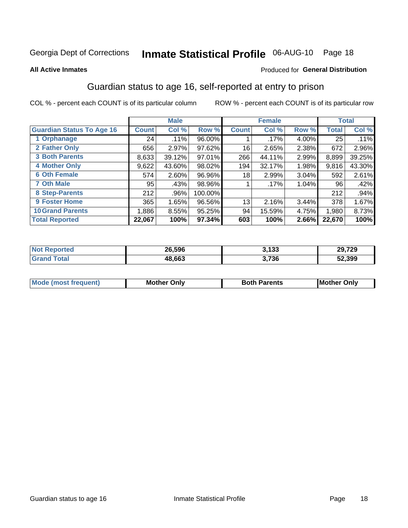# Inmate Statistical Profile 06-AUG-10 Page 18

#### **All Active Inmates**

#### Produced for General Distribution

### Guardian status to age 16, self-reported at entry to prison

COL % - percent each COUNT is of its particular column

|                                  |              | <b>Male</b> |           |              | <b>Female</b> |       |        | <b>Total</b> |
|----------------------------------|--------------|-------------|-----------|--------------|---------------|-------|--------|--------------|
| <b>Guardian Status To Age 16</b> | <b>Count</b> | Col %       | Row %     | <b>Count</b> | Col %         | Row % | Total  | Col %        |
| 1 Orphanage                      | 24           | .11%        | 96.00%    |              | $.17\%$       | 4.00% | 25     | $.11\%$      |
| 2 Father Only                    | 656          | 2.97%       | $97.62\%$ | 16           | 2.65%         | 2.38% | 672    | 2.96%        |
| <b>3 Both Parents</b>            | 8,633        | 39.12%      | 97.01%    | 266          | 44.11%        | 2.99% | 8,899  | 39.25%       |
| <b>4 Mother Only</b>             | 9,622        | 43.60%      | 98.02%    | 194          | 32.17%        | 1.98% | 9,816  | 43.30%       |
| <b>6 Oth Female</b>              | 574          | 2.60%       | 96.96%    | 18           | 2.99%         | 3.04% | 592    | 2.61%        |
| <b>7 Oth Male</b>                | 95           | .43%        | 98.96%    |              | $.17\%$       | 1.04% | 96     | .42%         |
| 8 Step-Parents                   | 212          | .96%        | 100.00%   |              |               |       | 212    | .94%         |
| 9 Foster Home                    | 365          | 1.65%       | 96.56%    | 13           | 2.16%         | 3.44% | 378    | 1.67%        |
| <b>10 Grand Parents</b>          | 1,886        | 8.55%       | 95.25%    | 94           | 15.59%        | 4.75% | 1,980  | 8.73%        |
| <b>Total Reported</b>            | 22,067       | 100%        | 97.34%    | 603          | 100%          | 2.66% | 22,670 | 100%         |

| <b>Not</b><br>Reported | 26,596 | 3,133 | 29,729 |
|------------------------|--------|-------|--------|
| ™ota.                  | 48.663 | 3,736 | 52,399 |

| Mode | วทIv<br>Mot | <b>Both Parents</b><br>Parents | lM.<br>Only<br>. |
|------|-------------|--------------------------------|------------------|
|      |             |                                |                  |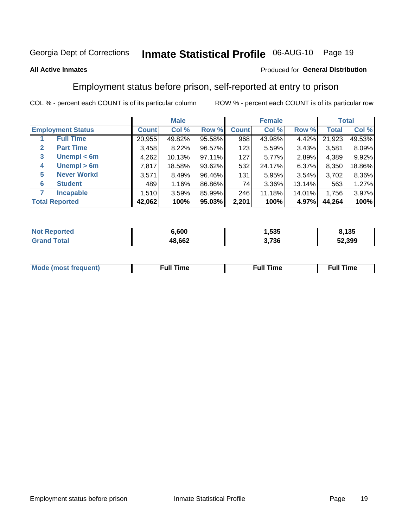# Inmate Statistical Profile 06-AUG-10 Page 19

### **All Active Inmates**

### Produced for General Distribution

### Employment status before prison, self-reported at entry to prison

COL % - percent each COUNT is of its particular column

|                                  |              | <b>Male</b> |        |              | <b>Female</b> |          |              | <b>Total</b> |
|----------------------------------|--------------|-------------|--------|--------------|---------------|----------|--------------|--------------|
| <b>Employment Status</b>         | <b>Count</b> | Col %       | Row %  | <b>Count</b> | Col %         | Row %    | <b>Total</b> | Col %        |
| <b>Full Time</b>                 | 20,955       | 49.82%      | 95.58% | 968          | 43.98%        | 4.42%    | 21,923       | 49.53%       |
| <b>Part Time</b><br>$\mathbf{2}$ | 3,458        | 8.22%       | 96.57% | 123          | 5.59%         | $3.43\%$ | 3,581        | 8.09%        |
| Unempl $<$ 6m<br>3               | 4,262        | 10.13%      | 97.11% | 127          | 5.77%         | 2.89%    | 4,389        | 9.92%        |
| Unempl > 6m<br>4                 | 7,817        | 18.58%      | 93.62% | 532          | 24.17%        | 6.37%    | 8,350        | 18.86%       |
| <b>Never Workd</b><br>5          | 3,571        | 8.49%       | 96.46% | 131          | 5.95%         | 3.54%    | 3,702        | 8.36%        |
| <b>Student</b><br>6              | 489          | 1.16%       | 86.86% | 74           | 3.36%         | 13.14%   | 563          | 1.27%        |
| <b>Incapable</b>                 | 1,510        | 3.59%       | 85.99% | 246          | 11.18%        | 14.01%   | 1,756        | 3.97%        |
| <b>Total Reported</b>            | 42,062       | 100%        | 95.03% | 2,201        | 100%          | 4.97%    | 44,264       | 100%         |

| rted<br>NO | 6.600  | 1,535 | ,135   |
|------------|--------|-------|--------|
| $\sim$     | 48,662 | 3,736 | 52,399 |

| Mc | ∙u∥<br>----<br>ıme | ίuΙ<br>Πmε |
|----|--------------------|------------|
|    |                    |            |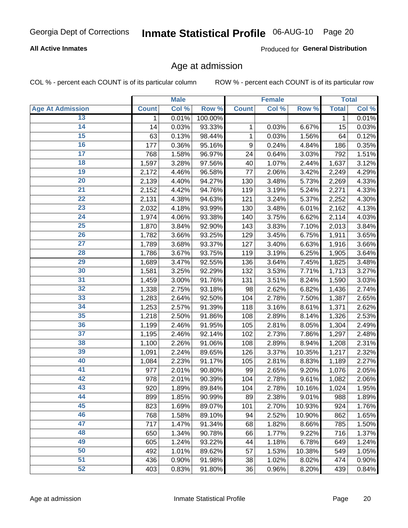### **All Active Inmates**

Produced for General Distribution

### Age at admission

COL % - percent each COUNT is of its particular column

|                         |              | <b>Male</b> |         |              | <b>Female</b> |        |              | <b>Total</b> |
|-------------------------|--------------|-------------|---------|--------------|---------------|--------|--------------|--------------|
| <b>Age At Admission</b> | <b>Count</b> | Col %       | Row %   | <b>Count</b> | Col %         | Row %  | <b>Total</b> | Col %        |
| 13                      | 1            | 0.01%       | 100.00% |              |               |        | 1            | 0.01%        |
| $\overline{14}$         | 14           | 0.03%       | 93.33%  | 1            | 0.03%         | 6.67%  | 15           | 0.03%        |
| 15                      | 63           | 0.13%       | 98.44%  | 1            | 0.03%         | 1.56%  | 64           | 0.12%        |
| 16                      | 177          | 0.36%       | 95.16%  | 9            | 0.24%         | 4.84%  | 186          | 0.35%        |
| $\overline{17}$         | 768          | 1.58%       | 96.97%  | 24           | 0.64%         | 3.03%  | 792          | 1.51%        |
| 18                      | 1,597        | 3.28%       | 97.56%  | 40           | 1.07%         | 2.44%  | 1,637        | 3.12%        |
| 19                      | 2,172        | 4.46%       | 96.58%  | 77           | 2.06%         | 3.42%  | 2,249        | 4.29%        |
| $\overline{20}$         | 2,139        | 4.40%       | 94.27%  | 130          | 3.48%         | 5.73%  | 2,269        | 4.33%        |
| $\overline{21}$         | 2,152        | 4.42%       | 94.76%  | 119          | 3.19%         | 5.24%  | 2,271        | 4.33%        |
| $\overline{22}$         | 2,131        | 4.38%       | 94.63%  | 121          | 3.24%         | 5.37%  | 2,252        | 4.30%        |
| 23                      | 2,032        | 4.18%       | 93.99%  | 130          | 3.48%         | 6.01%  | 2,162        | 4.13%        |
| $\overline{24}$         | 1,974        | 4.06%       | 93.38%  | 140          | 3.75%         | 6.62%  | 2,114        | 4.03%        |
| $\overline{25}$         | 1,870        | 3.84%       | 92.90%  | 143          | 3.83%         | 7.10%  | 2,013        | 3.84%        |
| 26                      | 1,782        | 3.66%       | 93.25%  | 129          | 3.45%         | 6.75%  | 1,911        | 3.65%        |
| 27                      | 1,789        | 3.68%       | 93.37%  | 127          | 3.40%         | 6.63%  | 1,916        | 3.66%        |
| 28                      | 1,786        | 3.67%       | 93.75%  | 119          | 3.19%         | 6.25%  | 1,905        | 3.64%        |
| 29                      | 1,689        | 3.47%       | 92.55%  | 136          | 3.64%         | 7.45%  | 1,825        | 3.48%        |
| 30                      | 1,581        | 3.25%       | 92.29%  | 132          | 3.53%         | 7.71%  | 1,713        | 3.27%        |
| 31                      | 1,459        | 3.00%       | 91.76%  | 131          | 3.51%         | 8.24%  | 1,590        | 3.03%        |
| $\overline{32}$         | 1,338        | 2.75%       | 93.18%  | 98           | 2.62%         | 6.82%  | 1,436        | 2.74%        |
| 33                      | 1,283        | 2.64%       | 92.50%  | 104          | 2.78%         | 7.50%  | 1,387        | 2.65%        |
| $\overline{34}$         | 1,253        | 2.57%       | 91.39%  | 118          | 3.16%         | 8.61%  | 1,371        | 2.62%        |
| 35                      | 1,218        | 2.50%       | 91.86%  | 108          | 2.89%         | 8.14%  | 1,326        | 2.53%        |
| 36                      | 1,199        | 2.46%       | 91.95%  | 105          | 2.81%         | 8.05%  | 1,304        | 2.49%        |
| $\overline{37}$         | 1,195        | 2.46%       | 92.14%  | 102          | 2.73%         | 7.86%  | 1,297        | 2.48%        |
| 38                      | 1,100        | 2.26%       | 91.06%  | 108          | 2.89%         | 8.94%  | 1,208        | 2.31%        |
| 39                      | 1,091        | 2.24%       | 89.65%  | 126          | 3.37%         | 10.35% | 1,217        | 2.32%        |
| 40                      | 1,084        | 2.23%       | 91.17%  | 105          | 2.81%         | 8.83%  | 1,189        | 2.27%        |
| 41                      | 977          | 2.01%       | 90.80%  | 99           | 2.65%         | 9.20%  | 1,076        | 2.05%        |
| 42                      | 978          | 2.01%       | 90.39%  | 104          | 2.78%         | 9.61%  | 1,082        | 2.06%        |
| 43                      | 920          | 1.89%       | 89.84%  | 104          | 2.78%         | 10.16% | 1,024        | 1.95%        |
| 44                      | 899          | 1.85%       | 90.99%  | 89           | 2.38%         | 9.01%  | 988          | 1.89%        |
| 45                      | 823          | 1.69%       | 89.07%  | 101          | 2.70%         | 10.93% | 924          | 1.76%        |
| 46                      | 768          | 1.58%       | 89.10%  | 94           | 2.52%         | 10.90% | 862          | 1.65%        |
| 47                      | 717          | 1.47%       | 91.34%  | 68           | 1.82%         | 8.66%  | 785          | 1.50%        |
| 48                      | 650          | 1.34%       | 90.78%  | 66           | 1.77%         | 9.22%  | 716          | 1.37%        |
| 49                      | 605          | 1.24%       | 93.22%  | 44           | 1.18%         | 6.78%  | 649          | 1.24%        |
| 50                      | 492          | 1.01%       | 89.62%  | 57           | 1.53%         | 10.38% | 549          | 1.05%        |
| 51                      | 436          | 0.90%       | 91.98%  | 38           | 1.02%         | 8.02%  | 474          | 0.90%        |
| 52                      | 403          | 0.83%       | 91.80%  | 36           | 0.96%         | 8.20%  | 439          | 0.84%        |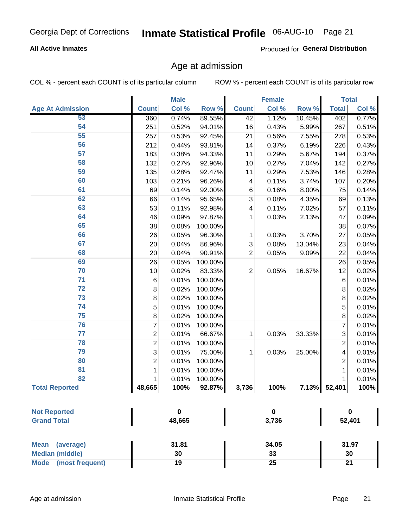### **All Active Inmates**

Produced for General Distribution

### Age at admission

COL % - percent each COUNT is of its particular column

|                         |                | <b>Male</b> |         |                         | <b>Female</b> |        |                | <b>Total</b> |
|-------------------------|----------------|-------------|---------|-------------------------|---------------|--------|----------------|--------------|
| <b>Age At Admission</b> | <b>Count</b>   | Col %       | Row %   | <b>Count</b>            | Col %         | Row %  | <b>Total</b>   | Col %        |
| 53                      | 360            | 0.74%       | 89.55%  | $\overline{42}$         | 1.12%         | 10.45% | 402            | 0.77%        |
| 54                      | 251            | 0.52%       | 94.01%  | 16                      | 0.43%         | 5.99%  | 267            | 0.51%        |
| 55                      | 257            | 0.53%       | 92.45%  | 21                      | 0.56%         | 7.55%  | 278            | 0.53%        |
| 56                      | 212            | 0.44%       | 93.81%  | 14                      | 0.37%         | 6.19%  | 226            | 0.43%        |
| 57                      | 183            | 0.38%       | 94.33%  | 11                      | 0.29%         | 5.67%  | 194            | 0.37%        |
| 58                      | 132            | 0.27%       | 92.96%  | 10                      | 0.27%         | 7.04%  | 142            | 0.27%        |
| 59                      | 135            | 0.28%       | 92.47%  | 11                      | 0.29%         | 7.53%  | 146            | 0.28%        |
| 60                      | 103            | 0.21%       | 96.26%  | $\overline{\mathbf{4}}$ | 0.11%         | 3.74%  | 107            | 0.20%        |
| 61                      | 69             | 0.14%       | 92.00%  | 6                       | 0.16%         | 8.00%  | 75             | 0.14%        |
| 62                      | 66             | 0.14%       | 95.65%  | 3                       | 0.08%         | 4.35%  | 69             | 0.13%        |
| 63                      | 53             | 0.11%       | 92.98%  | $\overline{\mathbf{4}}$ | 0.11%         | 7.02%  | 57             | 0.11%        |
| 64                      | 46             | 0.09%       | 97.87%  | 1                       | 0.03%         | 2.13%  | 47             | 0.09%        |
| 65                      | 38             | 0.08%       | 100.00% |                         |               |        | 38             | 0.07%        |
| 66                      | 26             | 0.05%       | 96.30%  | 1                       | 0.03%         | 3.70%  | 27             | 0.05%        |
| 67                      | 20             | 0.04%       | 86.96%  | 3                       | 0.08%         | 13.04% | 23             | 0.04%        |
| 68                      | 20             | 0.04%       | 90.91%  | $\overline{2}$          | 0.05%         | 9.09%  | 22             | 0.04%        |
| 69                      | 26             | 0.05%       | 100.00% |                         |               |        | 26             | 0.05%        |
| 70                      | 10             | 0.02%       | 83.33%  | $\overline{2}$          | 0.05%         | 16.67% | 12             | 0.02%        |
| $\overline{71}$         | $\,6$          | 0.01%       | 100.00% |                         |               |        | 6              | 0.01%        |
| $\overline{72}$         | 8              | 0.02%       | 100.00% |                         |               |        | 8              | 0.02%        |
| $\overline{73}$         | 8              | 0.02%       | 100.00% |                         |               |        | 8              | 0.02%        |
| $\overline{74}$         | 5              | 0.01%       | 100.00% |                         |               |        | 5              | 0.01%        |
| 75                      | 8              | 0.02%       | 100.00% |                         |               |        | 8              | 0.02%        |
| 76                      | $\overline{7}$ | 0.01%       | 100.00% |                         |               |        | $\overline{7}$ | 0.01%        |
| $\overline{77}$         | $\overline{2}$ | 0.01%       | 66.67%  | 1                       | 0.03%         | 33.33% | $\overline{3}$ | 0.01%        |
| 78                      | $\overline{2}$ | 0.01%       | 100.00% |                         |               |        | $\overline{2}$ | 0.01%        |
| 79                      | $\overline{3}$ | 0.01%       | 75.00%  | 1                       | 0.03%         | 25.00% | 4              | 0.01%        |
| 80                      | $\overline{2}$ | 0.01%       | 100.00% |                         |               |        | $\overline{2}$ | 0.01%        |
| 81                      | $\mathbf{1}$   | 0.01%       | 100.00% |                         |               |        | $\mathbf{1}$   | 0.01%        |
| 82                      | 1              | 0.01%       | 100.00% |                         |               |        | 1              | 0.01%        |
| <b>Total Reported</b>   | 48,665         | 100%        | 92.87%  | 3,736                   | 100%          | 7.13%  | 52,401         | 100%         |

| <b>Not Reported</b> |        |       |        |
|---------------------|--------|-------|--------|
| <b>Grand Total</b>  | 48,665 | 3,736 | 52,401 |

| Mean<br>(average)              | 31.81 | 34.05   | 31.97 |
|--------------------------------|-------|---------|-------|
| Median (middle)                | 30    | …<br>აა | 30    |
| <b>Mode</b><br>(most frequent) | 19    | 25      | n,    |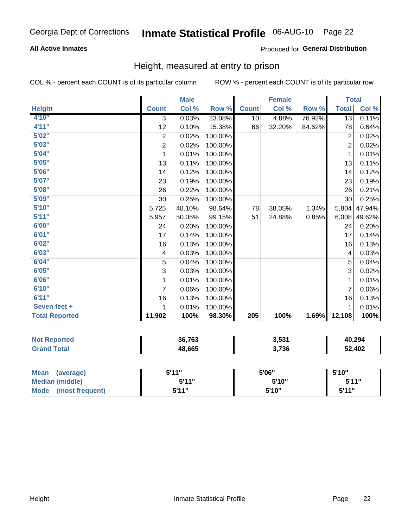### **All Active Inmates**

### Produced for General Distribution

### Height, measured at entry to prison

COL % - percent each COUNT is of its particular column

|                       |                  | <b>Male</b> |         |              | <b>Female</b> |        |                | <b>Total</b> |
|-----------------------|------------------|-------------|---------|--------------|---------------|--------|----------------|--------------|
| <b>Height</b>         | <b>Count</b>     | Col %       | Row %   | <b>Count</b> | Col %         | Row %  | <b>Total</b>   | Col %        |
| 4'10"                 | 3                | 0.03%       | 23.08%  | 10           | 4.88%         | 76.92% | 13             | 0.11%        |
| 4'11''                | 12               | 0.10%       | 15.38%  | 66           | 32.20%        | 84.62% | 78             | 0.64%        |
| 5'02''                | $\boldsymbol{2}$ | 0.02%       | 100.00% |              |               |        | $\overline{2}$ | 0.02%        |
| 5'03''                | $\mathbf 2$      | 0.02%       | 100.00% |              |               |        | $\overline{2}$ | 0.02%        |
| 5'04''                | 1                | 0.01%       | 100.00% |              |               |        | 1              | 0.01%        |
| 5'05''                | 13               | 0.11%       | 100.00% |              |               |        | 13             | 0.11%        |
| 5'06''                | 14               | 0.12%       | 100.00% |              |               |        | 14             | 0.12%        |
| 5'07''                | 23               | 0.19%       | 100.00% |              |               |        | 23             | 0.19%        |
| 5'08''                | 26               | 0.22%       | 100.00% |              |               |        | 26             | 0.21%        |
| 5'09''                | 30               | 0.25%       | 100.00% |              |               |        | 30             | 0.25%        |
| 5'10''                | 5,725            | 48.10%      | 98.64%  | 78           | 38.05%        | 1.34%  | 5,804          | 47.94%       |
| 5'11''                | 5,957            | 50.05%      | 99.15%  | 51           | 24.88%        | 0.85%  | 6,008          | 49.62%       |
| 6'00''                | 24               | 0.20%       | 100.00% |              |               |        | 24             | 0.20%        |
| 6'01''                | 17               | 0.14%       | 100.00% |              |               |        | 17             | 0.14%        |
| 6'02''                | 16               | 0.13%       | 100.00% |              |               |        | 16             | 0.13%        |
| 6'03''                | 4                | 0.03%       | 100.00% |              |               |        | 4              | 0.03%        |
| 6'04''                | $\overline{5}$   | 0.04%       | 100.00% |              |               |        | 5              | 0.04%        |
| 6'05''                | 3                | 0.03%       | 100.00% |              |               |        | 3              | 0.02%        |
| 6'06''                | 1                | 0.01%       | 100.00% |              |               |        | 1              | 0.01%        |
| 6'10''                | $\overline{7}$   | 0.06%       | 100.00% |              |               |        | 7              | 0.06%        |
| 6'11''                | 16               | 0.13%       | 100.00% |              |               |        | 16             | 0.13%        |
| Seven feet +          | 1                | 0.01%       | 100.00% |              |               |        |                | 0.01%        |
| <b>Total Reported</b> | 11,902           | 100%        | 98.30%  | 205          | 100%          | 1.69%  | 12,108         | 100%         |

| <b>Not</b><br><b>Reported</b> | 36,763 | 3,531 | 40,294 |
|-------------------------------|--------|-------|--------|
| <b>Total</b><br>Gra           | 48,665 | 3,736 | 52,402 |

| <b>Mean</b><br>(average)       | 544"  | 5'06" | 5'10" |
|--------------------------------|-------|-------|-------|
| <b>Median (middle)</b>         | 544"  | 5'10" | 5'11" |
| <b>Mode</b><br>(most frequent) | 5'11" | 5'10" | 5'11" |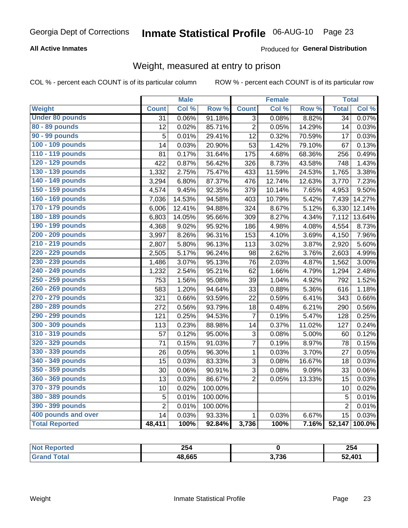### **All Active Inmates**

### Produced for General Distribution

### Weight, measured at entry to prison

COL % - percent each COUNT is of its particular column

|                        |                | <b>Male</b> |                  |                 | <b>Female</b> |        | <b>Total</b>    |        |
|------------------------|----------------|-------------|------------------|-----------------|---------------|--------|-----------------|--------|
| Weight                 | <b>Count</b>   | Col %       | Row <sup>%</sup> | <b>Count</b>    | Col %         | Row %  | <b>Total</b>    | Col %  |
| <b>Under 80 pounds</b> | 31             | 0.06%       | 91.18%           | $\overline{3}$  | 0.08%         | 8.82%  | $\overline{34}$ | 0.07%  |
| 80 - 89 pounds         | 12             | 0.02%       | 85.71%           | $\overline{2}$  | 0.05%         | 14.29% | 14              | 0.03%  |
| 90 - 99 pounds         | 5              | 0.01%       | 29.41%           | $\overline{12}$ | 0.32%         | 70.59% | 17              | 0.03%  |
| 100 - 109 pounds       | 14             | 0.03%       | 20.90%           | 53              | 1.42%         | 79.10% | 67              | 0.13%  |
| 110 - 119 pounds       | 81             | 0.17%       | 31.64%           | 175             | 4.68%         | 68.36% | 256             | 0.49%  |
| 120 - 129 pounds       | 422            | 0.87%       | 56.42%           | 326             | 8.73%         | 43.58% | 748             | 1.43%  |
| 130 - 139 pounds       | 1,332          | 2.75%       | 75.47%           | 433             | 11.59%        | 24.53% | 1,765           | 3.38%  |
| 140 - 149 pounds       | 3,294          | 6.80%       | 87.37%           | 476             | 12.74%        | 12.63% | 3,770           | 7.23%  |
| 150 - 159 pounds       | 4,574          | 9.45%       | 92.35%           | 379             | 10.14%        | 7.65%  | 4,953           | 9.50%  |
| 160 - 169 pounds       | 7,036          | 14.53%      | 94.58%           | 403             | 10.79%        | 5.42%  | 7,439           | 14.27% |
| 170 - 179 pounds       | 6,006          | 12.41%      | 94.88%           | 324             | 8.67%         | 5.12%  | 6,330           | 12.14% |
| 180 - 189 pounds       | 6,803          | 14.05%      | 95.66%           | 309             | 8.27%         | 4.34%  | 7,112           | 13.64% |
| 190 - 199 pounds       | 4,368          | 9.02%       | 95.92%           | 186             | 4.98%         | 4.08%  | 4,554           | 8.73%  |
| 200 - 209 pounds       | 3,997          | 8.26%       | 96.31%           | 153             | 4.10%         | 3.69%  | 4,150           | 7.96%  |
| 210 - 219 pounds       | 2,807          | 5.80%       | 96.13%           | 113             | 3.02%         | 3.87%  | 2,920           | 5.60%  |
| 220 - 229 pounds       | 2,505          | 5.17%       | 96.24%           | 98              | 2.62%         | 3.76%  | 2,603           | 4.99%  |
| 230 - 239 pounds       | 1,486          | 3.07%       | 95.13%           | 76              | 2.03%         | 4.87%  | 1,562           | 3.00%  |
| 240 - 249 pounds       | 1,232          | 2.54%       | 95.21%           | 62              | 1.66%         | 4.79%  | 1,294           | 2.48%  |
| 250 - 259 pounds       | 753            | 1.56%       | 95.08%           | 39              | 1.04%         | 4.92%  | 792             | 1.52%  |
| 260 - 269 pounds       | 583            | 1.20%       | 94.64%           | 33              | 0.88%         | 5.36%  | 616             | 1.18%  |
| 270 - 279 pounds       | 321            | 0.66%       | 93.59%           | 22              | 0.59%         | 6.41%  | 343             | 0.66%  |
| 280 - 289 pounds       | 272            | 0.56%       | 93.79%           | 18              | 0.48%         | 6.21%  | 290             | 0.56%  |
| 290 - 299 pounds       | 121            | 0.25%       | 94.53%           | 7               | 0.19%         | 5.47%  | 128             | 0.25%  |
| 300 - 309 pounds       | 113            | 0.23%       | 88.98%           | 14              | 0.37%         | 11.02% | 127             | 0.24%  |
| 310 - 319 pounds       | 57             | 0.12%       | 95.00%           | 3               | 0.08%         | 5.00%  | 60              | 0.12%  |
| 320 - 329 pounds       | 71             | 0.15%       | 91.03%           | 7               | 0.19%         | 8.97%  | 78              | 0.15%  |
| 330 - 339 pounds       | 26             | 0.05%       | 96.30%           | $\mathbf 1$     | 0.03%         | 3.70%  | 27              | 0.05%  |
| 340 - 349 pounds       | 15             | 0.03%       | 83.33%           | 3               | 0.08%         | 16.67% | 18              | 0.03%  |
| 350 - 359 pounds       | 30             | 0.06%       | 90.91%           | 3               | 0.08%         | 9.09%  | 33              | 0.06%  |
| 360 - 369 pounds       | 13             | 0.03%       | 86.67%           | $\overline{2}$  | 0.05%         | 13.33% | 15              | 0.03%  |
| 370 - 379 pounds       | 10             | 0.02%       | 100.00%          |                 |               |        | 10              | 0.02%  |
| 380 - 389 pounds       | 5              | 0.01%       | 100.00%          |                 |               |        | 5               | 0.01%  |
| 390 - 399 pounds       | $\overline{2}$ | 0.01%       | 100.00%          |                 |               |        | $\overline{2}$  | 0.01%  |
| 400 pounds and over    | 14             | 0.03%       | 93.33%           | 1               | 0.03%         | 6.67%  | 15              | 0.03%  |
| <b>Total Reported</b>  | 48,411         | 100%        | 92.84%           | 3,736           | 100%          | 7.16%  | 52,147          | 100.0% |

| <b>Not</b><br><b>Reported</b> | 254    |       | 254    |
|-------------------------------|--------|-------|--------|
| ™otai<br>"Gra <sub>r</sub>    | 48.665 | 3,736 | 52,401 |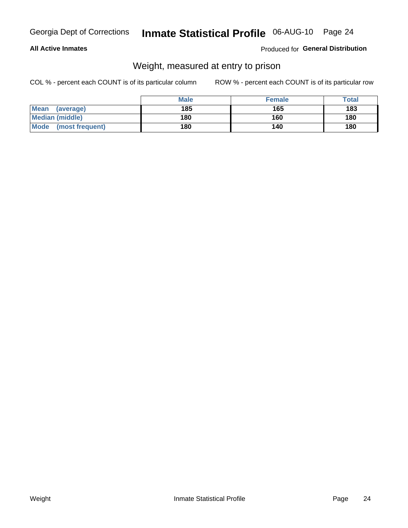### **All Active Inmates**

### Produced for General Distribution

### Weight, measured at entry to prison

COL % - percent each COUNT is of its particular column

|                          | <b>Male</b> | <b>Female</b> | Total |
|--------------------------|-------------|---------------|-------|
| <b>Mean</b><br>(average) | 185         | 165           | 183   |
| <b>Median (middle)</b>   | 180         | 160           | 180   |
| Mode<br>(most frequent)  | 180         | 140           | 180   |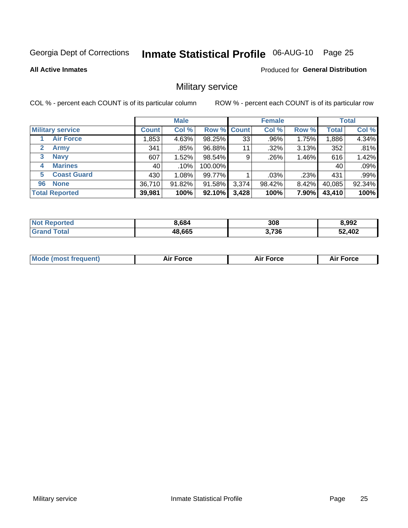# Inmate Statistical Profile 06-AUG-10 Page 25

**All Active Inmates** 

**Produced for General Distribution** 

### Military service

COL % - percent each COUNT is of its particular column

|                          |              | <b>Male</b> |             |       | <b>Female</b> |          |              | <b>Total</b> |
|--------------------------|--------------|-------------|-------------|-------|---------------|----------|--------------|--------------|
| <b>Military service</b>  | <b>Count</b> | Col %       | Row % Count |       | Col %         | Row %    | <b>Total</b> | Col %        |
| <b>Air Force</b>         | .853         | 4.63%       | 98.25%      | 33    | .96%          | 1.75%    | 1,886        | 4.34%        |
| 2<br>Army                | 341          | .85%        | 96.88%      | 11    | .32%          | 3.13%    | 352          | .81%         |
| <b>Navy</b><br>3         | 607          | 1.52%       | 98.54%      | 9     | .26%          | 1.46%    | 616          | 1.42%        |
| <b>Marines</b><br>4      | 40           | $.10\%$     | 100.00%     |       |               |          | 40           | .09%         |
| <b>Coast Guard</b><br>5. | 430          | 1.08%       | 99.77%      |       | .03%          | .23%     | 431          | .99%         |
| <b>None</b><br>96        | 36,710       | 91.82%      | 91.58%      | 3,374 | 98.42%        | $8.42\%$ | 40,085       | 92.34%       |
| <b>Total Reported</b>    | 39,981       | 100%        | 92.10%      | 3,428 | 100%          | 7.90%    | 43,410       | 100%         |

| <b>Not</b><br>Reported | 3.684  | 308   | 8,992  |
|------------------------|--------|-------|--------|
| ⊺otai                  | 48,665 | 3,736 | 52,402 |

|  | <b>Mode (most frequent)</b> | Force | <b>Force</b><br>Л і Р | <b>Force</b><br>ΑL |
|--|-----------------------------|-------|-----------------------|--------------------|
|--|-----------------------------|-------|-----------------------|--------------------|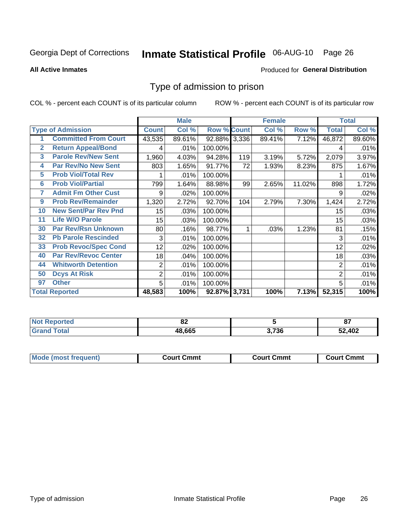# Inmate Statistical Profile 06-AUG-10 Page 26

#### **All Active Inmates**

#### **Produced for General Distribution**

### Type of admission to prison

COL % - percent each COUNT is of its particular column

|                |                             |                  | <b>Male</b> |                    |     | <b>Female</b> |        |                | <b>Total</b> |
|----------------|-----------------------------|------------------|-------------|--------------------|-----|---------------|--------|----------------|--------------|
|                | <b>Type of Admission</b>    | <b>Count</b>     | Col %       | <b>Row % Count</b> |     | Col %         | Row %  | <b>Total</b>   | Col %        |
|                | <b>Committed From Court</b> | 43,535           | 89.61%      | 92.88% 3,336       |     | 89.41%        | 7.12%  | 46,872         | 89.60%       |
| $\overline{2}$ | <b>Return Appeal/Bond</b>   | 4                | .01%        | 100.00%            |     |               |        | 4              | .01%         |
| 3              | <b>Parole Rev/New Sent</b>  | 1,960            | 4.03%       | 94.28%             | 119 | 3.19%         | 5.72%  | 2,079          | 3.97%        |
| 4              | <b>Par Rev/No New Sent</b>  | 803              | 1.65%       | 91.77%             | 72  | 1.93%         | 8.23%  | 875            | 1.67%        |
| 5              | <b>Prob Viol/Total Rev</b>  |                  | .01%        | 100.00%            |     |               |        |                | .01%         |
| $6\phantom{a}$ | <b>Prob Viol/Partial</b>    | 799              | 1.64%       | 88.98%             | 99  | 2.65%         | 11.02% | 898            | 1.72%        |
| 7              | <b>Admit Fm Other Cust</b>  | 9                | .02%        | 100.00%            |     |               |        | 9              | .02%         |
| 9              | <b>Prob Rev/Remainder</b>   | 1,320            | 2.72%       | 92.70%             | 104 | 2.79%         | 7.30%  | 1,424          | 2.72%        |
| 10             | <b>New Sent/Par Rev Pnd</b> | 15 <sub>15</sub> | .03%        | 100.00%            |     |               |        | 15             | .03%         |
| 11             | <b>Life W/O Parole</b>      | 15               | .03%        | 100.00%            |     |               |        | 15             | .03%         |
| 30             | <b>Par Rev/Rsn Unknown</b>  | 80               | .16%        | 98.77%             |     | .03%          | 1.23%  | 81             | .15%         |
| 32             | <b>Pb Parole Rescinded</b>  | 3                | .01%        | 100.00%            |     |               |        | 3              | .01%         |
| 33             | <b>Prob Revoc/Spec Cond</b> | 12 <sub>2</sub>  | .02%        | 100.00%            |     |               |        | 12             | .02%         |
| 40             | <b>Par Rev/Revoc Center</b> | 18               | .04%        | 100.00%            |     |               |        | 18             | .03%         |
| 44             | <b>Whitworth Detention</b>  | $\overline{2}$   | .01%        | 100.00%            |     |               |        | $\overline{2}$ | .01%         |
| 50             | <b>Dcys At Risk</b>         | 2                | .01%        | 100.00%            |     |               |        | $\overline{2}$ | .01%         |
| 97             | <b>Other</b>                | 5                | .01%        | 100.00%            |     |               |        | 5              | .01%         |
|                | <b>Total Reported</b>       | 48,583           | 100%        | 92.87% 3,731       |     | 100%          | 7.13%  | 52,315         | 100%         |

| <b>Not</b> | 00     |                | ົ            |
|------------|--------|----------------|--------------|
| . Reported | .OZ    |                | $\mathbf{o}$ |
| ™otal      | 48.665 | $^{\circ}$ 736 | 52,402       |

| <b>Mode (most frequent)</b> | Court Cmmt | <b>Court Cmmt</b> | Court Cmmt |
|-----------------------------|------------|-------------------|------------|
|                             |            |                   |            |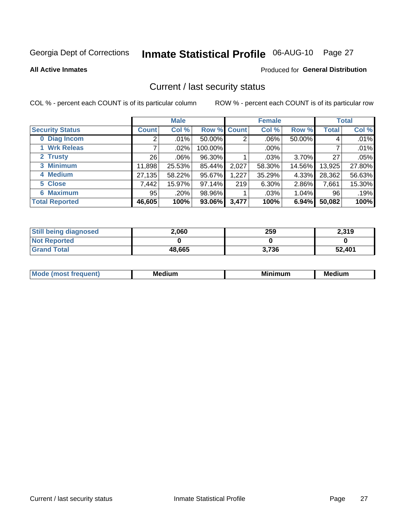# Inmate Statistical Profile 06-AUG-10 Page 27

**All Active Inmates** 

#### **Produced for General Distribution**

### Current / last security status

COL % - percent each COUNT is of its particular column

|                        |              | <b>Male</b> |                    |       | <b>Female</b> |          |        | <b>Total</b> |
|------------------------|--------------|-------------|--------------------|-------|---------------|----------|--------|--------------|
| <b>Security Status</b> | <b>Count</b> | Col %       | <b>Row % Count</b> |       | Col %         | Row %    | Total  | Col %        |
| 0 Diag Incom           | 2            | .01%        | $50.00\%$          | 2     | $.06\%$       | 50.00%   | 4      | .01%         |
| 1 Wrk Releas           |              | $.02\%$     | 100.00%            |       | .00%          |          |        | .01%         |
| 2 Trusty               | 26           | $.06\%$     | 96.30%             |       | $.03\%$       | 3.70%    | 27     | .05%         |
| 3 Minimum              | 11,898       | 25.53%      | 85.44%             | 2,027 | 58.30%        | 14.56%   | 13,925 | 27.80%       |
| 4 Medium               | 27,135       | 58.22%      | 95.67%             | 1,227 | 35.29%        | 4.33%    | 28,362 | 56.63%       |
| 5 Close                | 7,442        | 15.97%      | 97.14%             | 219   | 6.30%         | 2.86%    | 7,661  | 15.30%       |
| <b>Maximum</b><br>6.   | 95           | .20%        | 98.96%             |       | .03%          | $1.04\%$ | 96     | .19%         |
| <b>Total Reported</b>  | 46,605       | 100%        | 93.06%             | 3,477 | 100%          | 6.94%    | 50,082 | 100%         |

| <b>Still being diagnosed</b> | 2.060  | 259   | 2,319  |
|------------------------------|--------|-------|--------|
| <b>Not Reported</b>          |        |       |        |
| <b>Grand Total</b>           | 48,665 | 3,736 | 52,401 |

| <b>Mod</b><br>eauent) | Mec<br>. .<br>edium | <b>BAL</b><br>num | Me<br>dium |
|-----------------------|---------------------|-------------------|------------|
|                       |                     |                   |            |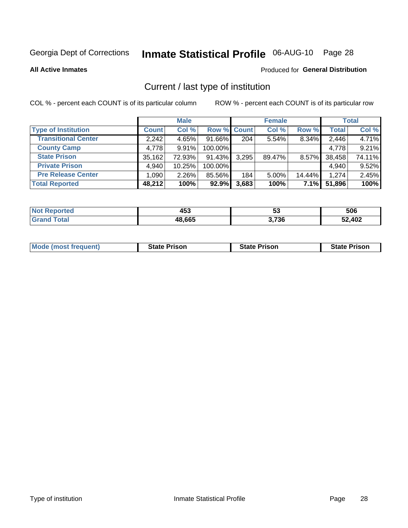# Inmate Statistical Profile 06-AUG-10 Page 28

**All Active Inmates** 

#### Produced for General Distribution

### Current / last type of institution

COL % - percent each COUNT is of its particular column

|                            |              | <b>Male</b> |             |       | <b>Female</b> |          |              | <b>Total</b> |
|----------------------------|--------------|-------------|-------------|-------|---------------|----------|--------------|--------------|
| <b>Type of Institution</b> | <b>Count</b> | Col %       | Row % Count |       | Col %         | Row %    | <b>Total</b> | Col %        |
| <b>Transitional Center</b> | 2,242        | 4.65%       | 91.66%      | 204   | 5.54%         | 8.34%    | 2,446        | 4.71%        |
| <b>County Camp</b>         | 4,778        | 9.91%       | 100.00%     |       |               |          | 4,778        | 9.21%        |
| <b>State Prison</b>        | 35,162       | 72.93%      | 91.43%      | 3,295 | 89.47%        | $8.57\%$ | 38,458       | 74.11%       |
| <b>Private Prison</b>      | 4,940        | 10.25%      | 100.00%     |       |               |          | 4,940        | 9.52%        |
| <b>Pre Release Center</b>  | 1,090        | 2.26%       | 85.56%      | 184   | 5.00%         | 14.44%   | 1,274        | 2.45%        |
| <b>Total Reported</b>      | 48,212       | 100%        | 92.9%       | 3,683 | 100%          | 7.1%     | 51,896       | 100%         |

| orted | 157<br>400 | ວະ    | 506    |
|-------|------------|-------|--------|
|       | 48,665     | 3,736 | 52,402 |

| <b>Mode (most frequent)</b> | <b>State Prison</b> | <b>State Prison</b> | <b>State Prison</b> |
|-----------------------------|---------------------|---------------------|---------------------|
|-----------------------------|---------------------|---------------------|---------------------|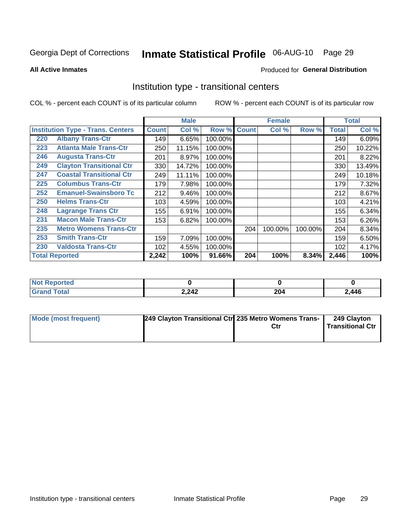# Inmate Statistical Profile 06-AUG-10 Page 29

Produced for General Distribution

#### **All Active Inmates**

### Institution type - transitional centers

COL % - percent each COUNT is of its particular column

|     |                                          |              | <b>Male</b> |         |              | <b>Female</b> |         |              | <b>Total</b> |
|-----|------------------------------------------|--------------|-------------|---------|--------------|---------------|---------|--------------|--------------|
|     | <b>Institution Type - Trans. Centers</b> | <b>Count</b> | Col %       | Row %   | <b>Count</b> | Col %         | Row %   | <b>Total</b> | Col %        |
| 220 | <b>Albany Trans-Ctr</b>                  | 149          | 6.65%       | 100.00% |              |               |         | 149          | 6.09%        |
| 223 | <b>Atlanta Male Trans-Ctr</b>            | 250          | 11.15%      | 100.00% |              |               |         | 250          | 10.22%       |
| 246 | <b>Augusta Trans-Ctr</b>                 | 201          | 8.97%       | 100.00% |              |               |         | 201          | 8.22%        |
| 249 | <b>Clayton Transitional Ctr</b>          | 330          | 14.72%      | 100.00% |              |               |         | 330          | 13.49%       |
| 247 | <b>Coastal Transitional Ctr</b>          | 249          | 11.11%      | 100.00% |              |               |         | 249          | 10.18%       |
| 225 | <b>Columbus Trans-Ctr</b>                | 179          | 7.98%       | 100.00% |              |               |         | 179          | 7.32%        |
| 252 | <b>Emanuel-Swainsboro Tc</b>             | 212          | 9.46%       | 100.00% |              |               |         | 212          | 8.67%        |
| 250 | <b>Helms Trans-Ctr</b>                   | 103          | 4.59%       | 100.00% |              |               |         | 103          | 4.21%        |
| 248 | <b>Lagrange Trans Ctr</b>                | 155          | 6.91%       | 100.00% |              |               |         | 155          | 6.34%        |
| 231 | <b>Macon Male Trans-Ctr</b>              | 153          | 6.82%       | 100.00% |              |               |         | 153          | 6.26%        |
| 235 | <b>Metro Womens Trans-Ctr</b>            |              |             |         | 204          | 100.00%       | 100.00% | 204          | $8.34\%$     |
| 253 | <b>Smith Trans-Ctr</b>                   | 159          | 7.09%       | 100.00% |              |               |         | 159          | 6.50%        |
| 230 | <b>Valdosta Trans-Ctr</b>                | 102          | 4.55%       | 100.00% |              |               |         | 102          | 4.17%        |
|     | <b>Total Reported</b>                    | 2,242        | 100%        | 91.66%  | 204          | 100%          | 8.34%   | 2,446        | 100%         |

| <b>NOT</b><br>rtea |       |                      |       |
|--------------------|-------|----------------------|-------|
|                    | 2,242 | 204<br>$\sim$ $\sim$ | 2,446 |

| Mode (most frequent) | 249 Clayton Transitional Ctrl 235 Metro Womens Trans- | 249 Clayton<br><b>Transitional Ctr</b> |
|----------------------|-------------------------------------------------------|----------------------------------------|
|                      |                                                       |                                        |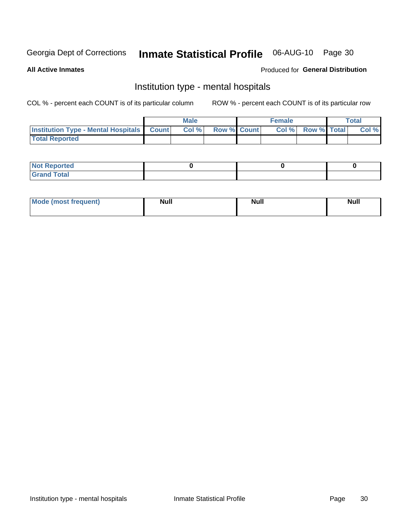# Inmate Statistical Profile 06-AUG-10 Page 30

#### **All Active Inmates**

### Produced for General Distribution

### Institution type - mental hospitals

COL % - percent each COUNT is of its particular column

|                                                  | Male  |                    | <b>Female</b> |                          | Total |
|--------------------------------------------------|-------|--------------------|---------------|--------------------------|-------|
| <b>Institution Type - Mental Hospitals Count</b> | Col % | <b>Row % Count</b> |               | <b>Col % Row % Total</b> | Col%  |
| <b>Total Reported</b>                            |       |                    |               |                          |       |

| <b>Not Reported</b>                     |  |  |
|-----------------------------------------|--|--|
| <b>otal</b><br>C <sub>r</sub><br>______ |  |  |

| Mode.<br>frequent) | <b>Nul</b><br>_____ | <b>Null</b> | <b>Null</b> |
|--------------------|---------------------|-------------|-------------|
|                    |                     |             |             |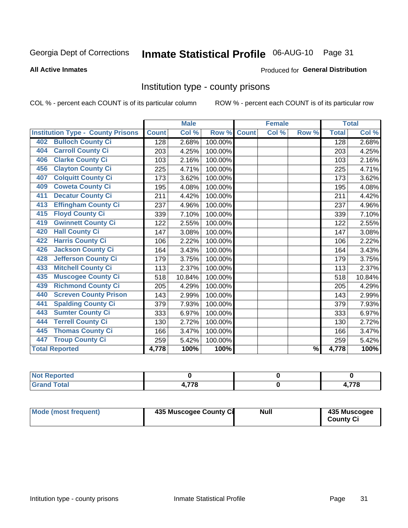# Inmate Statistical Profile 06-AUG-10 Page 31

#### **All Active Inmates**

#### **Produced for General Distribution**

### Institution type - county prisons

COL % - percent each COUNT is of its particular column

|                                          |              | <b>Male</b> |         |              | <b>Female</b> |                          |              | <b>Total</b> |
|------------------------------------------|--------------|-------------|---------|--------------|---------------|--------------------------|--------------|--------------|
| <b>Institution Type - County Prisons</b> | <b>Count</b> | Col %       | Row %   | <b>Count</b> | Col %         | Row %                    | <b>Total</b> | Col %        |
| <b>Bulloch County Ci</b><br>402          | 128          | 2.68%       | 100.00% |              |               |                          | 128          | 2.68%        |
| <b>Carroll County Ci</b><br>404          | 203          | 4.25%       | 100.00% |              |               |                          | 203          | 4.25%        |
| <b>Clarke County Ci</b><br>406           | 103          | 2.16%       | 100.00% |              |               |                          | 103          | 2.16%        |
| <b>Clayton County Ci</b><br>456          | 225          | 4.71%       | 100.00% |              |               |                          | 225          | 4.71%        |
| <b>Colquitt County Ci</b><br>407         | 173          | 3.62%       | 100.00% |              |               |                          | 173          | 3.62%        |
| <b>Coweta County Ci</b><br>409           | 195          | 4.08%       | 100.00% |              |               |                          | 195          | 4.08%        |
| <b>Decatur County Ci</b><br>411          | 211          | 4.42%       | 100.00% |              |               |                          | 211          | 4.42%        |
| <b>Effingham County Ci</b><br>413        | 237          | 4.96%       | 100.00% |              |               |                          | 237          | 4.96%        |
| <b>Floyd County Ci</b><br>415            | 339          | 7.10%       | 100.00% |              |               |                          | 339          | 7.10%        |
| <b>Gwinnett County Ci</b><br>419         | 122          | 2.55%       | 100.00% |              |               |                          | 122          | 2.55%        |
| <b>Hall County Ci</b><br>420             | 147          | 3.08%       | 100.00% |              |               |                          | 147          | 3.08%        |
| <b>Harris County Ci</b><br>422           | 106          | 2.22%       | 100.00% |              |               |                          | 106          | 2.22%        |
| <b>Jackson County Ci</b><br>426          | 164          | 3.43%       | 100.00% |              |               |                          | 164          | 3.43%        |
| <b>Jefferson County Ci</b><br>428        | 179          | 3.75%       | 100.00% |              |               |                          | 179          | 3.75%        |
| <b>Mitchell County Ci</b><br>433         | 113          | 2.37%       | 100.00% |              |               |                          | 113          | 2.37%        |
| <b>Muscogee County Ci</b><br>435         | 518          | 10.84%      | 100.00% |              |               |                          | 518          | 10.84%       |
| <b>Richmond County Ci</b><br>439         | 205          | 4.29%       | 100.00% |              |               |                          | 205          | 4.29%        |
| <b>Screven County Prison</b><br>440      | 143          | 2.99%       | 100.00% |              |               |                          | 143          | 2.99%        |
| <b>Spalding County Ci</b><br>441         | 379          | 7.93%       | 100.00% |              |               |                          | 379          | 7.93%        |
| <b>Sumter County Ci</b><br>443           | 333          | 6.97%       | 100.00% |              |               |                          | 333          | 6.97%        |
| <b>Terrell County Ci</b><br>444          | 130          | 2.72%       | 100.00% |              |               |                          | 130          | 2.72%        |
| <b>Thomas County Ci</b><br>445           | 166          | 3.47%       | 100.00% |              |               |                          | 166          | 3.47%        |
| <b>Troup County Ci</b><br>447            | 259          | 5.42%       | 100.00% |              |               |                          | 259          | 5.42%        |
| <b>Total Reported</b>                    | 4,778        | 100%        | 100%    |              |               | $\overline{\frac{9}{6}}$ | 4,778        | 100%         |

| <b>Not Reported</b>           |     |                  |
|-------------------------------|-----|------------------|
| <b>Total</b><br>l Grand<br>-- | 770 | 770<br><i>10</i> |

| <b>Mode (most frequent)</b> | 435 Muscogee County Ci | <b>Null</b> | 435 Muscogee<br><b>County Ci</b> |
|-----------------------------|------------------------|-------------|----------------------------------|
|-----------------------------|------------------------|-------------|----------------------------------|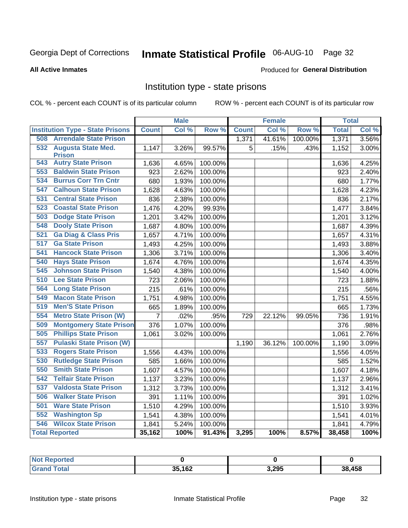# Inmate Statistical Profile 06-AUG-10 Page 32

#### **All Active Inmates**

#### Produced for General Distribution

### Institution type - state prisons

COL % - percent each COUNT is of its particular column

|                                         |                | <b>Male</b> |         |              | <b>Female</b> |         | <b>Total</b> |       |
|-----------------------------------------|----------------|-------------|---------|--------------|---------------|---------|--------------|-------|
| <b>Institution Type - State Prisons</b> | <b>Count</b>   | Col %       | Row %   | <b>Count</b> | Col %         | Row %   | <b>Total</b> | Col % |
| <b>Arrendale State Prison</b><br>508    |                |             |         | 1,371        | 41.61%        | 100.00% | 1,371        | 3.56% |
| 532<br><b>Augusta State Med.</b>        | 1,147          | 3.26%       | 99.57%  | 5            | .15%          | .43%    | 1,152        | 3.00% |
| <b>Prison</b>                           |                |             |         |              |               |         |              |       |
| <b>543 Autry State Prison</b>           | 1,636          | 4.65%       | 100.00% |              |               |         | 1,636        | 4.25% |
| <b>Baldwin State Prison</b><br>553      | 923            | 2.62%       | 100.00% |              |               |         | 923          | 2.40% |
| <b>Burrus Corr Trn Cntr</b><br>534      | 680            | 1.93%       | 100.00% |              |               |         | 680          | 1.77% |
| 547<br><b>Calhoun State Prison</b>      | 1,628          | 4.63%       | 100.00% |              |               |         | 1,628        | 4.23% |
| <b>Central State Prison</b><br>531      | 836            | 2.38%       | 100.00% |              |               |         | 836          | 2.17% |
| 523<br><b>Coastal State Prison</b>      | 1,476          | 4.20%       | 99.93%  |              |               |         | 1,477        | 3.84% |
| <b>Dodge State Prison</b><br>503        | 1,201          | 3.42%       | 100.00% |              |               |         | 1,201        | 3.12% |
| <b>Dooly State Prison</b><br>548        | 1,687          | 4.80%       | 100.00% |              |               |         | 1,687        | 4.39% |
| <b>Ga Diag &amp; Class Pris</b><br>521  | 1,657          | 4.71%       | 100.00% |              |               |         | 1,657        | 4.31% |
| 517<br><b>Ga State Prison</b>           | 1,493          | 4.25%       | 100.00% |              |               |         | 1,493        | 3.88% |
| <b>Hancock State Prison</b><br>541      | 1,306          | 3.71%       | 100.00% |              |               |         | 1,306        | 3.40% |
| <b>Hays State Prison</b><br>540         | 1,674          | 4.76%       | 100.00% |              |               |         | 1,674        | 4.35% |
| <b>Johnson State Prison</b><br>545      | 1,540          | 4.38%       | 100.00% |              |               |         | 1,540        | 4.00% |
| <b>Lee State Prison</b><br>510          | 723            | 2.06%       | 100.00% |              |               |         | 723          | 1.88% |
| 564<br><b>Long State Prison</b>         | 215            | .61%        | 100.00% |              |               |         | 215          | .56%  |
| <b>Macon State Prison</b><br>549        | 1,751          | 4.98%       | 100.00% |              |               |         | 1,751        | 4.55% |
| 519<br><b>Men'S State Prison</b>        | 665            | 1.89%       | 100.00% |              |               |         | 665          | 1.73% |
| <b>Metro State Prison (W)</b><br>554    | $\overline{7}$ | .02%        | .95%    | 729          | 22.12%        | 99.05%  | 736          | 1.91% |
| 509<br><b>Montgomery State Prison</b>   | 376            | 1.07%       | 100.00% |              |               |         | 376          | .98%  |
| 505<br><b>Phillips State Prison</b>     | 1,061          | 3.02%       | 100.00% |              |               |         | 1,061        | 2.76% |
| <b>Pulaski State Prison (W)</b><br>557  |                |             |         | 1,190        | 36.12%        | 100.00% | 1,190        | 3.09% |
| <b>Rogers State Prison</b><br>533       | 1,556          | 4.43%       | 100.00% |              |               |         | 1,556        | 4.05% |
| <b>Rutledge State Prison</b><br>530     | 585            | 1.66%       | 100.00% |              |               |         | 585          | 1.52% |
| <b>Smith State Prison</b><br>550        | 1,607          | 4.57%       | 100.00% |              |               |         | 1,607        | 4.18% |
| <b>Telfair State Prison</b><br>542      | 1,137          | 3.23%       | 100.00% |              |               |         | 1,137        | 2.96% |
| <b>Valdosta State Prison</b><br>537     | 1,312          | 3.73%       | 100.00% |              |               |         | 1,312        | 3.41% |
| 506<br><b>Walker State Prison</b>       | 391            | 1.11%       | 100.00% |              |               |         | 391          | 1.02% |
| 501<br><b>Ware State Prison</b>         | 1,510          | 4.29%       | 100.00% |              |               |         | 1,510        | 3.93% |
| <b>Washington Sp</b><br>552             | 1,541          | 4.38%       | 100.00% |              |               |         | 1,541        | 4.01% |
| <b>Wilcox State Prison</b><br>546       | 1,841          | 5.24%       | 100.00% |              |               |         | 1,841        | 4.79% |
| <b>Total Reported</b>                   | 35,162         | 100%        | 91.43%  | 3,295        | 100%          | 8.57%   | 38,458       | 100%  |

| Reported |        |       |        |
|----------|--------|-------|--------|
| Total    | 35,162 | 3,295 | 38,458 |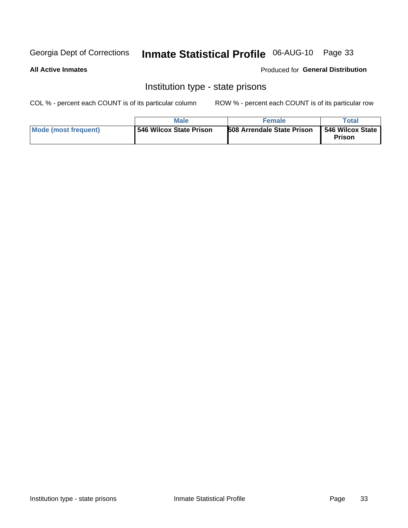# Inmate Statistical Profile 06-AUG-10 Page 33

#### **All Active Inmates**

#### Produced for General Distribution

### Institution type - state prisons

COL % - percent each COUNT is of its particular column

|                      | Male                    | <b>Female</b>                     | $\tau$ otai                  |
|----------------------|-------------------------|-----------------------------------|------------------------------|
| Mode (most frequent) | 546 Wilcox State Prison | <b>508 Arrendale State Prison</b> | 546 Wilcox State  <br>Prison |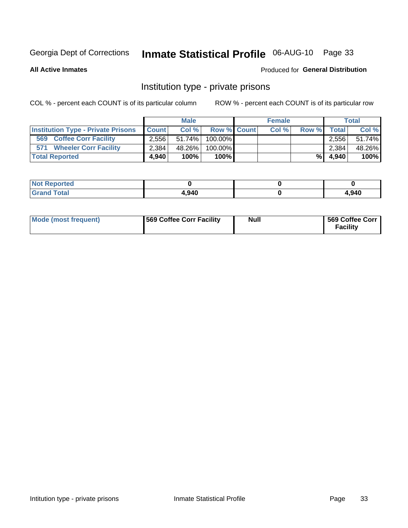# Inmate Statistical Profile 06-AUG-10 Page 33

**All Active Inmates** 

#### Produced for General Distribution

### Institution type - private prisons

COL % - percent each COUNT is of its particular column

|                                           |              | <b>Male</b> |                    | <b>Female</b> |       |              | <b>Total</b> |
|-------------------------------------------|--------------|-------------|--------------------|---------------|-------|--------------|--------------|
| <b>Institution Type - Private Prisons</b> | <b>Count</b> | Col%        | <b>Row % Count</b> | Col %         | Row % | <b>Total</b> | Col %        |
| 569<br><b>Coffee Corr Facility</b>        | 2,556        | $51.74\%$   | $100.00\%$         |               |       | 2.556        | 51.74%       |
| <b>Wheeler Corr Facility</b><br>571       | 2.384        | 48.26%      | 100.00%            |               |       | 2,384        | 48.26%       |
| <b>Total Reported</b>                     | 4.940        | 100%        | $100\%$            |               | %I    | 4.940        | 100%         |

| portea<br>NOT         |       |       |
|-----------------------|-------|-------|
| $\sim$<br><b>Utal</b> | 4,940 | 1,940 |

| Mode (most frequent) | <b>569 Coffee Corr Facility</b> | <b>Null</b> | 569 Coffee Corr<br><b>Facility</b> |
|----------------------|---------------------------------|-------------|------------------------------------|
|----------------------|---------------------------------|-------------|------------------------------------|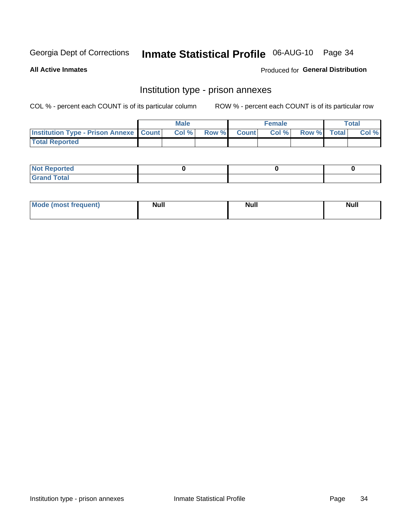# Inmate Statistical Profile 06-AUG-10 Page 34

**All Active Inmates** 

Produced for General Distribution

# Institution type - prison annexes

COL % - percent each COUNT is of its particular column

|                                                   | <b>Male</b> |       |              | <b>Female</b> |             | <b>Total</b> |
|---------------------------------------------------|-------------|-------|--------------|---------------|-------------|--------------|
| <b>Institution Type - Prison Annexe   Count  </b> | Col %       | Row % | <b>Count</b> | Col %         | Row % Total | Col %        |
| <b>Total Reported</b>                             |             |       |              |               |             |              |

| <b>Reported</b><br>I NOT                      |  |  |
|-----------------------------------------------|--|--|
| <b>Total</b><br>Carar<br>$\sim$ . When $\sim$ |  |  |

| <b>Mode</b>     | <b>Null</b> | <b>Null</b> | <b>Null</b> |
|-----------------|-------------|-------------|-------------|
| most frequent). |             |             |             |
|                 |             |             |             |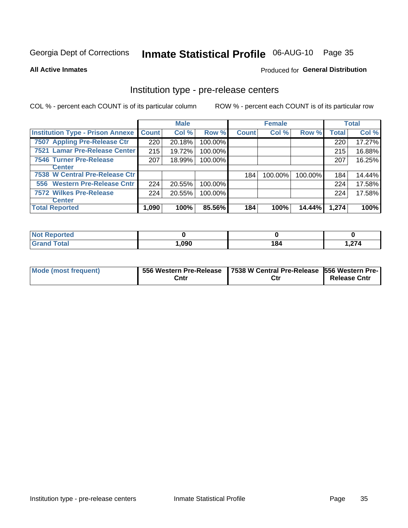# Inmate Statistical Profile 06-AUG-10 Page 35

**All Active Inmates** 

Produced for General Distribution

# Institution type - pre-release centers

COL % - percent each COUNT is of its particular column

|                                         |              | <b>Male</b> |         |              | <b>Female</b> |         |              | <b>Total</b> |
|-----------------------------------------|--------------|-------------|---------|--------------|---------------|---------|--------------|--------------|
| <b>Institution Type - Prison Annexe</b> | <b>Count</b> | Col %       | Row %   | <b>Count</b> | Col %         | Row %   | <b>Total</b> | Col %        |
| 7507 Appling Pre-Release Ctr            | 220          | 20.18%      | 100.00% |              |               |         | 220          | 17.27%       |
| 7521 Lamar Pre-Release Center           | 215          | 19.72%      | 100.00% |              |               |         | 215          | 16.88%       |
| <b>7546 Turner Pre-Release</b>          | 207          | 18.99%      | 100.00% |              |               |         | 207          | 16.25%       |
| <b>Center</b>                           |              |             |         |              |               |         |              |              |
| 7538 W Central Pre-Release Ctr          |              |             |         | 184          | 100.00%       | 100.00% | 184          | 14.44%       |
| 556 Western Pre-Release Cntr            | 224          | 20.55%      | 100.00% |              |               |         | 224          | 17.58%       |
| 7572 Wilkes Pre-Release                 | 224          | 20.55%      | 100.00% |              |               |         | 224          | 17.58%       |
| <b>Center</b>                           |              |             |         |              |               |         |              |              |
| <b>Total Reported</b>                   | 1,090        | 100%        | 85.56%  | 184          | 100%          | 14.44%  | 1,274        | 100%         |

| ported<br>m. |      |     |                           |
|--------------|------|-----|---------------------------|
| 'otal        | .090 | 184 | $\sim$ $\sim$ $\sim$<br>. |

| Mode (most frequent) |      | 556 Western Pre-Release   7538 W Central Pre-Release   556 Western Pre- |                     |  |  |
|----------------------|------|-------------------------------------------------------------------------|---------------------|--|--|
|                      | Cntr | Ctr                                                                     | <b>Release Cntr</b> |  |  |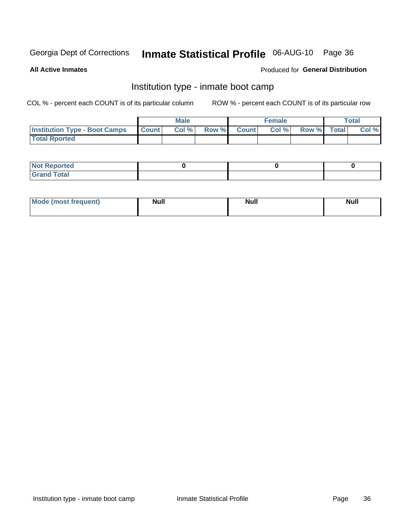# Inmate Statistical Profile 06-AUG-10 Page 36

**All Active Inmates** 

#### Produced for General Distribution

## Institution type - inmate boot camp

COL % - percent each COUNT is of its particular column

|                                      |              | <b>Male</b> |             | <b>Female</b> |             | Total |
|--------------------------------------|--------------|-------------|-------------|---------------|-------------|-------|
| <b>Institution Type - Boot Camps</b> | <b>Count</b> | Col %       | Row % Count | Col%          | Row % Total | Col % |
| <b>Total Rported</b>                 |              |             |             |               |             |       |

| <b>Not Reported</b>               |  |  |
|-----------------------------------|--|--|
| T <sub>ofol</sub><br>---<br>_____ |  |  |

| <b>I Mode (most frequent)</b> | <b>Null</b> | <b>Moll</b><br><b>IVAII</b> | . . |
|-------------------------------|-------------|-----------------------------|-----|
|                               |             |                             |     |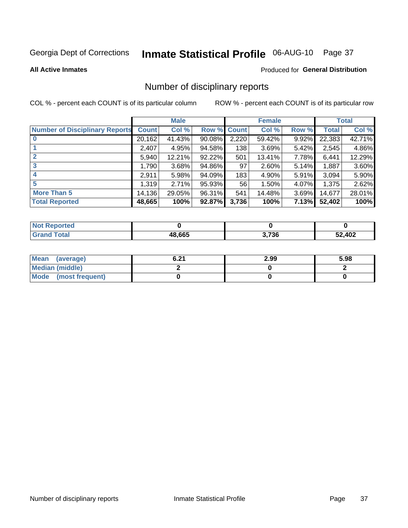# Inmate Statistical Profile 06-AUG-10 Page 37

#### **All Active Inmates**

#### Produced for General Distribution

## Number of disciplinary reports

COL % - percent each COUNT is of its particular column

|                                       |              | <b>Male</b> |             |       | <b>Female</b> |       |        | <b>Total</b> |
|---------------------------------------|--------------|-------------|-------------|-------|---------------|-------|--------|--------------|
| <b>Number of Disciplinary Reports</b> | <b>Count</b> | Col %       | Row % Count |       | Col %         | Row % | Total  | Col %        |
|                                       | 20,162       | 41.43%      | 90.08%      | 2,220 | 59.42%        | 9.92% | 22,383 | 42.71%       |
|                                       | 2,407        | 4.95%       | 94.58%      | 138   | 3.69%         | 5.42% | 2,545  | 4.86%        |
| $\mathbf{2}$                          | 5,940        | 12.21%      | 92.22%      | 501   | 13.41%        | 7.78% | 6,441  | 12.29%       |
| 3                                     | 1.790        | 3.68%       | 94.86%      | 97    | 2.60%         | 5.14% | 1,887  | 3.60%        |
|                                       | 2,911        | 5.98%       | 94.09%      | 183   | 4.90%         | 5.91% | 3,094  | 5.90%        |
| 5                                     | 1,319        | 2.71%       | 95.93%      | 56    | 1.50%         | 4.07% | 1,375  | 2.62%        |
| <b>More Than 5</b>                    | 14,136       | 29.05%      | 96.31%      | 541   | 14.48%        | 3.69% | 14,677 | 28.01%       |
| <b>Total Reported</b>                 | 48,665       | 100%        | 92.87%      | 3,736 | 100%          | 7.13% | 52,402 | 100%         |

| วrted<br>NOI |        |       |        |
|--------------|--------|-------|--------|
| Total        | 48.665 | 3,736 | 52,402 |

| Mean (average)         | <b>C</b> 24<br>0.Z I | 2.99 | 5.98 |
|------------------------|----------------------|------|------|
| <b>Median (middle)</b> |                      |      |      |
| Mode (most frequent)   |                      |      |      |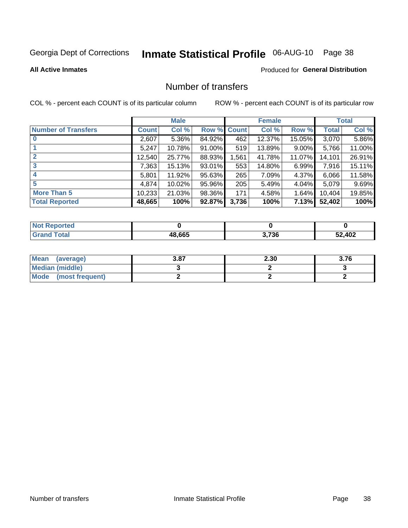# Inmate Statistical Profile 06-AUG-10 Page 38

**All Active Inmates** 

#### **Produced for General Distribution**

## Number of transfers

COL % - percent each COUNT is of its particular column

|                            |        | <b>Male</b> |                    |       | <b>Female</b> |          |              | <b>Total</b> |
|----------------------------|--------|-------------|--------------------|-------|---------------|----------|--------------|--------------|
| <b>Number of Transfers</b> | Count  | Col %       | <b>Row % Count</b> |       | Col %         | Row %    | <b>Total</b> | Col %        |
|                            | 2,607  | 5.36%       | 84.92%             | 462   | 12.37%        | 15.05%   | 3,070        | 5.86%        |
|                            | 5,247  | 10.78%      | 91.00%             | 519   | 13.89%        | $9.00\%$ | 5,766        | 11.00%       |
| $\mathbf{2}$               | 12,540 | 25.77%      | 88.93%             | ,561  | 41.78%        | 11.07%   | 14,101       | 26.91%       |
| 3                          | 7,363  | 15.13%      | 93.01%             | 553   | 14.80%        | 6.99%    | 7,916        | 15.11%       |
| 4                          | 5,801  | 11.92%      | 95.63%             | 265   | 7.09%         | 4.37%    | 6,066        | 11.58%       |
| 5                          | 4,874  | 10.02%      | 95.96%             | 205   | 5.49%         | 4.04%    | 5,079        | 9.69%        |
| <b>More Than 5</b>         | 10,233 | 21.03%      | 98.36%             | 171   | 4.58%         | $1.64\%$ | 10,404       | 19.85%       |
| <b>Total Reported</b>      | 48,665 | 100%        | 92.87%             | 3,736 | 100%          | 7.13%    | 52,402       | 100%         |

| <b>Not Reported</b> |        |       |        |
|---------------------|--------|-------|--------|
| <b>Total</b>        | 48.665 | 3,736 | 52,402 |

| Mean (average)       | 3.87 | 2.30 | 3.76 |
|----------------------|------|------|------|
| Median (middle)      |      |      |      |
| Mode (most frequent) |      |      |      |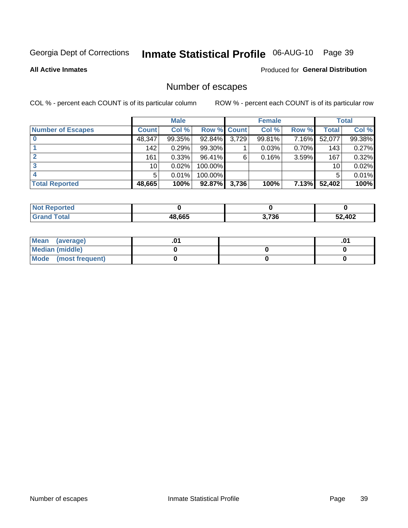# Inmate Statistical Profile 06-AUG-10 Page 39

**All Active Inmates** 

#### Produced for General Distribution

## Number of escapes

COL % - percent each COUNT is of its particular column

|                          |                 | <b>Male</b> |             |       | <b>Female</b> |       |        | <b>Total</b> |
|--------------------------|-----------------|-------------|-------------|-------|---------------|-------|--------|--------------|
| <b>Number of Escapes</b> | <b>Count</b>    | Col %       | Row % Count |       | Col %         | Row % | Total  | Col %        |
|                          | 48,347          | 99.35%      | 92.84%      | 3,729 | 99.81%        | 7.16% | 52,077 | 99.38%       |
|                          | 142             | 0.29%       | 99.30%      |       | 0.03%         | 0.70% | 143    | 0.27%        |
|                          | 161             | 0.33%       | 96.41%      | 6     | 0.16%         | 3.59% | 167    | 0.32%        |
|                          | 10 <sub>1</sub> | 0.02%       | 100.00%     |       |               |       | 10     | 0.02%        |
|                          | 5               | 0.01%       | 100.00%     |       |               |       | 5      | 0.01%        |
| <b>Total Reported</b>    | 48,665          | 100%        | 92.87%      | 3,736 | 100%          | 7.13% | 52,402 | 100%         |

| TAN |        |       |        |
|-----|--------|-------|--------|
|     | 48.665 | 3,736 | 52,402 |

| Mean (average)         |  | .0 <sup>4</sup> |
|------------------------|--|-----------------|
| <b>Median (middle)</b> |  |                 |
| Mode (most frequent)   |  |                 |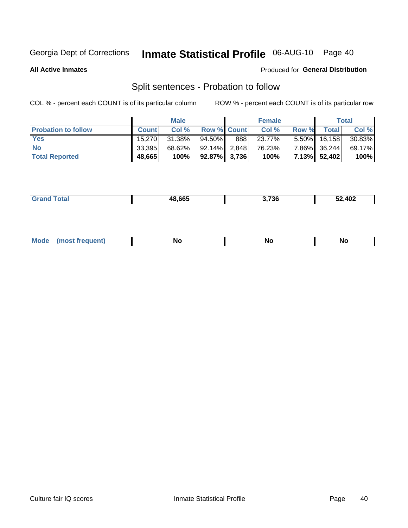# Inmate Statistical Profile 06-AUG-10 Page 40

**All Active Inmates** 

#### Produced for General Distribution

## Split sentences - Probation to follow

COL % - percent each COUNT is of its particular column

|                            |              | <b>Male</b> |                    |     | <b>Female</b> |          |              | <b>Total</b> |
|----------------------------|--------------|-------------|--------------------|-----|---------------|----------|--------------|--------------|
| <b>Probation to follow</b> | <b>Count</b> | Col%        | <b>Row % Count</b> |     | Col %         | Row %    | Total        | Col %        |
| <b>Yes</b>                 | 15.270       | $31.38\%$   | $94.50\%$          | 888 | 23.77%        | $5.50\%$ | 16, 158      | $30.83\%$    |
| <b>No</b>                  | 33,395       | 68.62%      | $92.14\%$ 2.848    |     | 76.23%        | 7.86%    | 36,244       | 69.17%       |
| <b>Total Reported</b>      | 48,665       | 100%        | $92.87\%$ 3,736    |     | 100%          |          | 7.13% 52,402 | 100%         |

| ________ | 18 RG5 | $\sim$ $\sim$ $\sim$ | <b>AN2</b> |
|----------|--------|----------------------|------------|
|          | ,,,    | 1.5C                 | TVŁ        |
|          |        |                      |            |

| M<br><b>No</b><br>זחםווח<br><b>NC</b><br>--<br>$\sim$ |
|-------------------------------------------------------|
|-------------------------------------------------------|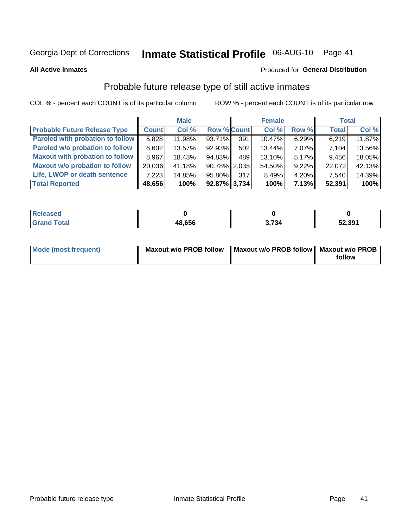# Inmate Statistical Profile 06-AUG-10 Page 41

**All Active Inmates** 

#### Produced for General Distribution

## Probable future release type of still active inmates

COL % - percent each COUNT is of its particular column

|                                         |              | <b>Male</b> |                    |     | <b>Female</b> |          | <b>Total</b> |        |
|-----------------------------------------|--------------|-------------|--------------------|-----|---------------|----------|--------------|--------|
| <b>Probable Future Release Type</b>     | <b>Count</b> | Col %       | <b>Row % Count</b> |     | Col %         | Row %    | <b>Total</b> | Col %  |
| <b>Paroled with probation to follow</b> | 5,828        | 11.98%      | 93.71%             | 391 | 10.47%        | 6.29%    | 6,219        | 11.87% |
| Paroled w/o probation to follow         | 6,602        | 13.57%      | 92.93%             | 502 | 13.44%        | 7.07%    | 7,104        | 13.56% |
| <b>Maxout with probation to follow</b>  | 8,967        | 18.43%      | 94.83%             | 489 | 13.10%        | $5.17\%$ | 9,456        | 18.05% |
| <b>Maxout w/o probation to follow</b>   | 20,036       | 41.18%      | 90.78% 2.035       |     | 54.50%        | $9.22\%$ | 22,072       | 42.13% |
| Life, LWOP or death sentence            | 7,223        | 14.85%      | 95.80%             | 317 | 8.49%         | $4.20\%$ | 7,540        | 14.39% |
| <b>Total Reported</b>                   | 48,656       | 100%        | $92.87\%$ 3,734    |     | 100%          | 7.13%    | 52,391       | 100%   |

| .eleased    |        |      |        |
|-------------|--------|------|--------|
| <b>otal</b> | 48,656 | .734 | 52,391 |

| Mode (most frequent) | Maxout w/o PROB follow   Maxout w/o PROB follow   Maxout w/o PROB |        |
|----------------------|-------------------------------------------------------------------|--------|
|                      |                                                                   | follow |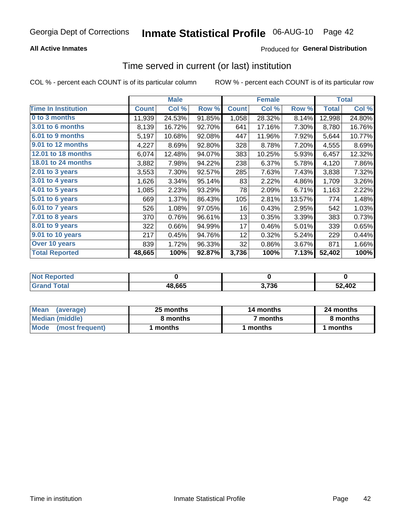#### **All Active Inmates**

### **Produced for General Distribution**

# Time served in current (or last) institution

COL % - percent each COUNT is of its particular column

|                            |              | <b>Male</b> |        |              | <b>Female</b> |        |              | <b>Total</b> |
|----------------------------|--------------|-------------|--------|--------------|---------------|--------|--------------|--------------|
| <b>Time In Institution</b> | <b>Count</b> | Col %       | Row %  | <b>Count</b> | Col %         | Row %  | <b>Total</b> | Col %        |
| 0 to 3 months              | 11,939       | 24.53%      | 91.85% | 1,058        | 28.32%        | 8.14%  | 12,998       | 24.80%       |
| 3.01 to 6 months           | 8,139        | 16.72%      | 92.70% | 641          | 17.16%        | 7.30%  | 8,780        | 16.76%       |
| 6.01 to 9 months           | 5,197        | 10.68%      | 92.08% | 447          | 11.96%        | 7.92%  | 5,644        | 10.77%       |
| 9.01 to 12 months          | 4,227        | 8.69%       | 92.80% | 328          | 8.78%         | 7.20%  | 4,555        | 8.69%        |
| 12.01 to 18 months         | 6,074        | 12.48%      | 94.07% | 383          | 10.25%        | 5.93%  | 6,457        | 12.32%       |
| <b>18.01 to 24 months</b>  | 3,882        | 7.98%       | 94.22% | 238          | 6.37%         | 5.78%  | 4,120        | 7.86%        |
| $2.01$ to 3 years          | 3,553        | 7.30%       | 92.57% | 285          | 7.63%         | 7.43%  | 3,838        | 7.32%        |
| $3.01$ to 4 years          | 1,626        | 3.34%       | 95.14% | 83           | 2.22%         | 4.86%  | 1,709        | 3.26%        |
| 4.01 to 5 years            | 1,085        | 2.23%       | 93.29% | 78           | 2.09%         | 6.71%  | 1,163        | 2.22%        |
| 5.01 to 6 years            | 669          | 1.37%       | 86.43% | 105          | 2.81%         | 13.57% | 774          | 1.48%        |
| 6.01 to 7 years            | 526          | 1.08%       | 97.05% | 16           | 0.43%         | 2.95%  | 542          | 1.03%        |
| 7.01 to 8 years            | 370          | 0.76%       | 96.61% | 13           | 0.35%         | 3.39%  | 383          | 0.73%        |
| $8.01$ to 9 years          | 322          | 0.66%       | 94.99% | 17           | 0.46%         | 5.01%  | 339          | 0.65%        |
| 9.01 to 10 years           | 217          | 0.45%       | 94.76% | 12           | 0.32%         | 5.24%  | 229          | 0.44%        |
| Over 10 years              | 839          | 1.72%       | 96.33% | 32           | 0.86%         | 3.67%  | 871          | 1.66%        |
| <b>Total Reported</b>      | 48,665       | 100%        | 92.87% | 3,736        | 100%          | 7.13%  | 52,402       | 100%         |

| <b>Penorted</b><br><b>Not</b> |        |     |        |
|-------------------------------|--------|-----|--------|
| <b>intal</b>                  | 48.665 | 72C | 52,402 |

| <b>Mean</b><br>(average) | 25 months | 14 months | 24 months |  |
|--------------------------|-----------|-----------|-----------|--|
| Median (middle)          | 8 months  | 7 months  | 8 months  |  |
| Mode (most frequent)     | ' months  | months    | l months  |  |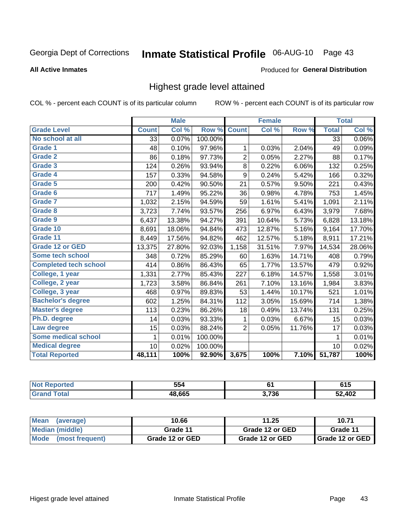# Inmate Statistical Profile 06-AUG-10 Page 43

#### **All Active Inmates**

#### Produced for General Distribution

## Highest grade level attained

COL % - percent each COUNT is of its particular column

|                              |              | <b>Male</b> |         |                | <b>Female</b>             |        |              | <b>Total</b> |
|------------------------------|--------------|-------------|---------|----------------|---------------------------|--------|--------------|--------------|
| <b>Grade Level</b>           | <b>Count</b> | Col %       | Row %   | <b>Count</b>   | $\overline{\text{Col}}$ % | Row %  | <b>Total</b> | Col %        |
| No school at all             | 33           | 0.07%       | 100.00% |                |                           |        | 33           | 0.06%        |
| Grade 1                      | 48           | 0.10%       | 97.96%  | 1              | 0.03%                     | 2.04%  | 49           | 0.09%        |
| <b>Grade 2</b>               | 86           | 0.18%       | 97.73%  | 2              | 0.05%                     | 2.27%  | 88           | 0.17%        |
| <b>Grade 3</b>               | 124          | 0.26%       | 93.94%  | 8              | 0.22%                     | 6.06%  | 132          | 0.25%        |
| Grade 4                      | 157          | 0.33%       | 94.58%  | 9              | 0.24%                     | 5.42%  | 166          | 0.32%        |
| Grade 5                      | 200          | 0.42%       | 90.50%  | 21             | 0.57%                     | 9.50%  | 221          | 0.43%        |
| Grade 6                      | 717          | 1.49%       | 95.22%  | 36             | 0.98%                     | 4.78%  | 753          | 1.45%        |
| <b>Grade 7</b>               | 1,032        | 2.15%       | 94.59%  | 59             | 1.61%                     | 5.41%  | 1,091        | 2.11%        |
| <b>Grade 8</b>               | 3,723        | 7.74%       | 93.57%  | 256            | 6.97%                     | 6.43%  | 3,979        | 7.68%        |
| Grade 9                      | 6,437        | 13.38%      | 94.27%  | 391            | 10.64%                    | 5.73%  | 6,828        | 13.18%       |
| Grade 10                     | 8,691        | 18.06%      | 94.84%  | 473            | 12.87%                    | 5.16%  | 9,164        | 17.70%       |
| Grade 11                     | 8,449        | 17.56%      | 94.82%  | 462            | 12.57%                    | 5.18%  | 8,911        | 17.21%       |
| <b>Grade 12 or GED</b>       | 13,375       | 27.80%      | 92.03%  | 1,158          | 31.51%                    | 7.97%  | 14,534       | 28.06%       |
| <b>Some tech school</b>      | 348          | 0.72%       | 85.29%  | 60             | 1.63%                     | 14.71% | 408          | 0.79%        |
| <b>Completed tech school</b> | 414          | 0.86%       | 86.43%  | 65             | 1.77%                     | 13.57% | 479          | 0.92%        |
| College, 1 year              | 1,331        | 2.77%       | 85.43%  | 227            | 6.18%                     | 14.57% | 1,558        | 3.01%        |
| College, 2 year              | 1,723        | 3.58%       | 86.84%  | 261            | 7.10%                     | 13.16% | 1,984        | 3.83%        |
| College, 3 year              | 468          | 0.97%       | 89.83%  | 53             | 1.44%                     | 10.17% | 521          | 1.01%        |
| <b>Bachelor's degree</b>     | 602          | 1.25%       | 84.31%  | 112            | 3.05%                     | 15.69% | 714          | 1.38%        |
| <b>Master's degree</b>       | 113          | 0.23%       | 86.26%  | 18             | 0.49%                     | 13.74% | 131          | 0.25%        |
| Ph.D. degree                 | 14           | 0.03%       | 93.33%  | 1              | 0.03%                     | 6.67%  | 15           | 0.03%        |
| Law degree                   | 15           | 0.03%       | 88.24%  | $\overline{2}$ | 0.05%                     | 11.76% | 17           | 0.03%        |
| <b>Some medical school</b>   | $\mathbf{1}$ | 0.01%       | 100.00% |                |                           |        | 1            | 0.01%        |
| <b>Medical degree</b>        | 10           | 0.02%       | 100.00% |                |                           |        | 10           | 0.02%        |
| <b>Total Reported</b>        | 48,111       | 100%        | 92.90%  | 3,675          | 100%                      | 7.10%  | 51,787       | 100%         |

| 554    | e.    | <b>CAF</b><br>UIJ |
|--------|-------|-------------------|
| 18.665 | 3,736 | 402               |

| <b>Mean</b><br>(average)       | 10.66           | 11.25           | 10.71           |
|--------------------------------|-----------------|-----------------|-----------------|
| Median (middle)                | Grade 11        | Grade 12 or GED | Grade 11        |
| <b>Mode</b><br>(most frequent) | Grade 12 or GED | Grade 12 or GED | Grade 12 or GED |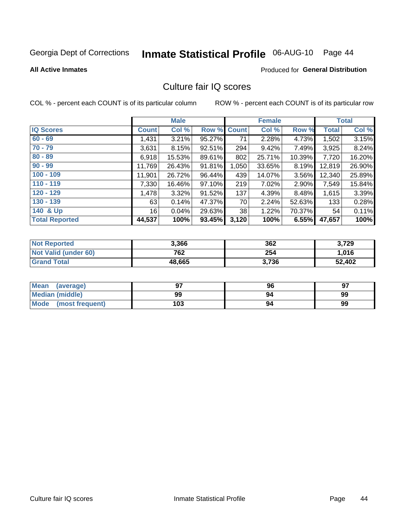# Inmate Statistical Profile 06-AUG-10 Page 44

**All Active Inmates** 

#### **Produced for General Distribution**

## Culture fair IQ scores

COL % - percent each COUNT is of its particular column

|                       |                 | <b>Male</b> |                    |       | <b>Female</b> |        |              | <b>Total</b> |
|-----------------------|-----------------|-------------|--------------------|-------|---------------|--------|--------------|--------------|
| <b>IQ Scores</b>      | <b>Count</b>    | Col %       | <b>Row % Count</b> |       | Col %         | Row %  | <b>Total</b> | Col %        |
| $60 - 69$             | 1,431           | 3.21%       | 95.27%             | 71    | 2.28%         | 4.73%  | 1,502        | 3.15%        |
| $70 - 79$             | 3,631           | 8.15%       | 92.51%             | 294   | 9.42%         | 7.49%  | 3,925        | 8.24%        |
| $80 - 89$             | 6,918           | 15.53%      | 89.61%             | 802   | 25.71%        | 10.39% | 7,720        | 16.20%       |
| $90 - 99$             | 11,769          | 26.43%      | 91.81%             | 1,050 | 33.65%        | 8.19%  | 12,819       | 26.90%       |
| $100 - 109$           | 11,901          | 26.72%      | 96.44%             | 439   | 14.07%        | 3.56%  | 12,340       | 25.89%       |
| $110 - 119$           | 7,330           | 16.46%      | 97.10%             | 219   | 7.02%         | 2.90%  | 7,549        | 15.84%       |
| $120 - 129$           | 1,478           | 3.32%       | 91.52%             | 137   | 4.39%         | 8.48%  | 1,615        | 3.39%        |
| $130 - 139$           | 63              | 0.14%       | 47.37%             | 70    | 2.24%         | 52.63% | 133          | 0.28%        |
| 140 & Up              | 16 <sup>1</sup> | 0.04%       | 29.63%             | 38    | 1.22%         | 70.37% | 54           | 0.11%        |
| <b>Total Reported</b> | 44,537          | 100%        | 93.45%             | 3,120 | 100%          | 6.55%  | 47,657       | 100%         |

| <b>Not Reported</b>         | 3,366  | 362   | 3,729  |
|-----------------------------|--------|-------|--------|
| <b>Not Valid (under 60)</b> | 762    | 254   | 1,016  |
| <b>Grand Total</b>          | 48,665 | 3,736 | 52,402 |

| Mean<br>(average)       | 97  | 96 | 97 |
|-------------------------|-----|----|----|
| <b>Median (middle)</b>  | 99  | 94 | 99 |
| Mode<br>(most frequent) | 103 | 94 | 99 |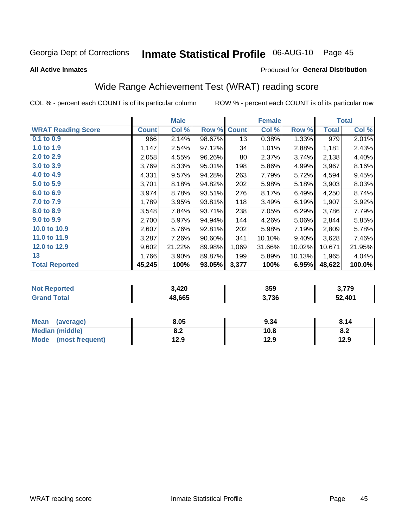# Inmate Statistical Profile 06-AUG-10 Page 45

**All Active Inmates** 

#### Produced for General Distribution

## Wide Range Achievement Test (WRAT) reading score

COL % - percent each COUNT is of its particular column

|                           |              | <b>Male</b> |        |              | <b>Female</b> |        |              | <b>Total</b> |
|---------------------------|--------------|-------------|--------|--------------|---------------|--------|--------------|--------------|
| <b>WRAT Reading Score</b> | <b>Count</b> | Col %       | Row %  | <b>Count</b> | Col %         | Row %  | <b>Total</b> | Col %        |
| 0.1 to 0.9                | 966          | 2.14%       | 98.67% | 13           | 0.38%         | 1.33%  | 979          | 2.01%        |
| 1.0 to 1.9                | 1,147        | 2.54%       | 97.12% | 34           | 1.01%         | 2.88%  | 1,181        | 2.43%        |
| 2.0 to 2.9                | 2,058        | 4.55%       | 96.26% | 80           | 2.37%         | 3.74%  | 2,138        | 4.40%        |
| 3.0 to 3.9                | 3,769        | 8.33%       | 95.01% | 198          | 5.86%         | 4.99%  | 3,967        | 8.16%        |
| 4.0 to 4.9                | 4,331        | 9.57%       | 94.28% | 263          | 7.79%         | 5.72%  | 4,594        | 9.45%        |
| 5.0 to 5.9                | 3,701        | 8.18%       | 94.82% | 202          | 5.98%         | 5.18%  | 3,903        | 8.03%        |
| 6.0 to 6.9                | 3,974        | 8.78%       | 93.51% | 276          | 8.17%         | 6.49%  | 4,250        | 8.74%        |
| 7.0 to 7.9                | 1,789        | 3.95%       | 93.81% | 118          | 3.49%         | 6.19%  | 1,907        | 3.92%        |
| 8.0 to 8.9                | 3,548        | 7.84%       | 93.71% | 238          | 7.05%         | 6.29%  | 3,786        | 7.79%        |
| 9.0 to 9.9                | 2,700        | 5.97%       | 94.94% | 144          | 4.26%         | 5.06%  | 2,844        | 5.85%        |
| 10.0 to 10.9              | 2,607        | 5.76%       | 92.81% | 202          | 5.98%         | 7.19%  | 2,809        | 5.78%        |
| 11.0 to 11.9              | 3,287        | 7.26%       | 90.60% | 341          | 10.10%        | 9.40%  | 3,628        | 7.46%        |
| 12.0 to 12.9              | 9,602        | 21.22%      | 89.98% | 1,069        | 31.66%        | 10.02% | 10,671       | 21.95%       |
| 13                        | 1,766        | 3.90%       | 89.87% | 199          | 5.89%         | 10.13% | 1,965        | 4.04%        |
| <b>Total Reported</b>     | 45,245       | 100%        | 93.05% | 3,377        | 100%          | 6.95%  | 48,622       | 100.0%       |

| <b>rted</b><br>NO | 3,420  | 359   | 3 77Q<br>- 1 |
|-------------------|--------|-------|--------------|
|                   | 48.665 | 3,736 | 52,401       |

| <b>Mean</b><br>(average)       | 8.05       | 9.34 | 8.14 |
|--------------------------------|------------|------|------|
| <b>Median (middle)</b>         | י ה<br>0.Z | 10.8 | o.z  |
| <b>Mode</b><br>(most frequent) | 12.9       | 12.9 | 12.9 |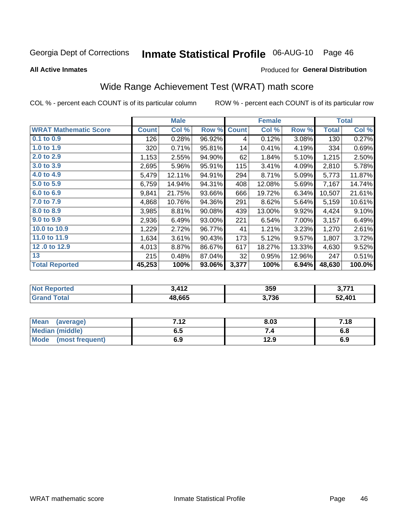# Inmate Statistical Profile 06-AUG-10 Page 46

**All Active Inmates** 

#### Produced for General Distribution

## Wide Range Achievement Test (WRAT) math score

COL % - percent each COUNT is of its particular column

| <b>WRAT Mathematic Score</b><br><b>Count</b><br>$0.1$ to $0.9$<br>1.0 to 1.9<br>2.0 to 2.9<br>3.0 to 3.9 | 126<br>320<br>1,153 | Col %<br>0.28%<br>0.71% | Row %<br>96.92%<br>95.81% | <b>Count</b><br>4 | Col %<br>0.12% | Row %<br>3.08% | <b>Total</b><br>130 | Col %<br>0.27% |
|----------------------------------------------------------------------------------------------------------|---------------------|-------------------------|---------------------------|-------------------|----------------|----------------|---------------------|----------------|
|                                                                                                          |                     |                         |                           |                   |                |                |                     |                |
|                                                                                                          |                     |                         |                           |                   |                |                |                     |                |
|                                                                                                          |                     |                         |                           | 14                | 0.41%          | 4.19%          | 334                 | 0.69%          |
|                                                                                                          |                     | 2.55%                   | 94.90%                    | 62                | 1.84%          | 5.10%          | 1,215               | 2.50%          |
|                                                                                                          | 2,695               | 5.96%                   | 95.91%                    | 115               | 3.41%          | 4.09%          | 2,810               | 5.78%          |
| 4.0 to 4.9<br>5,479                                                                                      |                     | 12.11%                  | 94.91%                    | 294               | 8.71%          | 5.09%          | 5,773               | 11.87%         |
| 5.0 to 5.9<br>6,759                                                                                      |                     | 14.94%                  | 94.31%                    | 408               | 12.08%         | 5.69%          | 7,167               | 14.74%         |
| 6.0 to 6.9<br>9,841                                                                                      |                     | 21.75%                  | 93.66%                    | 666               | 19.72%         | 6.34%          | 10,507              | 21.61%         |
| 7.0 to 7.9<br>4,868                                                                                      |                     | 10.76%                  | 94.36%                    | 291               | 8.62%          | 5.64%          | 5,159               | 10.61%         |
| 8.0 to 8.9<br>3,985                                                                                      |                     | 8.81%                   | 90.08%                    | 439               | 13.00%         | 9.92%          | 4,424               | 9.10%          |
| 9.0 to 9.9<br>2,936                                                                                      |                     | 6.49%                   | 93.00%                    | 221               | 6.54%          | 7.00%          | 3,157               | 6.49%          |
| 10.0 to 10.9                                                                                             | 1,229               | 2.72%                   | 96.77%                    | 41                | 1.21%          | 3.23%          | 1,270               | 2.61%          |
| 11.0 to 11.9<br>1,634                                                                                    |                     | 3.61%                   | 90.43%                    | 173               | 5.12%          | 9.57%          | 1,807               | 3.72%          |
| 12.0 to 12.9<br>4,013                                                                                    |                     | 8.87%                   | 86.67%                    | 617               | 18.27%         | 13.33%         | 4,630               | 9.52%          |
| 13                                                                                                       | 215                 | 0.48%                   | 87.04%                    | 32                | 0.95%          | 12.96%         | 247                 | 0.51%          |
| <b>Total Reported</b><br>45,253                                                                          |                     | 100%                    | 93.06%                    | 3,377             | 100%           | 6.94%          | 48,630              | 100.0%         |

| <b>Not Reported</b> | 3 412<br>. 41 L | 359   | <b>2.774</b><br>v. |
|---------------------|-----------------|-------|--------------------|
| <b>Grand Total</b>  | 48,665          | 3,736 | 52,401             |

| Mean (average)         | 712<br>. . 2 | 8.03 | 7.18 |
|------------------------|--------------|------|------|
| <b>Median (middle)</b> | 6.5          |      | o.o  |
| Mode (most frequent)   | 6.9          | 12.9 | 6.9  |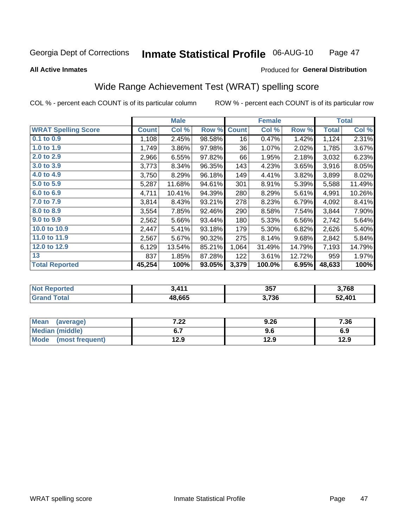#### Inmate Statistical Profile 06-AUG-10 Page 47

**All Active Inmates** 

#### Produced for General Distribution

## Wide Range Achievement Test (WRAT) spelling score

COL % - percent each COUNT is of its particular column

|                            |              | <b>Male</b> |        |              | <b>Female</b> |        |              | <b>Total</b> |
|----------------------------|--------------|-------------|--------|--------------|---------------|--------|--------------|--------------|
| <b>WRAT Spelling Score</b> | <b>Count</b> | Col %       | Row %  | <b>Count</b> | Col %         | Row %  | <b>Total</b> | Col %        |
| $0.1$ to $0.9$             | 1,108        | 2.45%       | 98.58% | 16           | 0.47%         | 1.42%  | 1,124        | 2.31%        |
| 1.0 to 1.9                 | 1,749        | 3.86%       | 97.98% | 36           | 1.07%         | 2.02%  | 1,785        | 3.67%        |
| 2.0 to 2.9                 | 2,966        | 6.55%       | 97.82% | 66           | 1.95%         | 2.18%  | 3,032        | 6.23%        |
| 3.0 to 3.9                 | 3,773        | 8.34%       | 96.35% | 143          | 4.23%         | 3.65%  | 3,916        | 8.05%        |
| 4.0 to 4.9                 | 3,750        | 8.29%       | 96.18% | 149          | 4.41%         | 3.82%  | 3,899        | 8.02%        |
| 5.0 to 5.9                 | 5,287        | 11.68%      | 94.61% | 301          | 8.91%         | 5.39%  | 5,588        | 11.49%       |
| 6.0 to 6.9                 | 4,711        | 10.41%      | 94.39% | 280          | 8.29%         | 5.61%  | 4,991        | 10.26%       |
| 7.0 to 7.9                 | 3,814        | 8.43%       | 93.21% | 278          | 8.23%         | 6.79%  | 4,092        | 8.41%        |
| 8.0 to 8.9                 | 3,554        | 7.85%       | 92.46% | 290          | 8.58%         | 7.54%  | 3,844        | 7.90%        |
| 9.0 to 9.9                 | 2,562        | 5.66%       | 93.44% | 180          | 5.33%         | 6.56%  | 2,742        | 5.64%        |
| 10.0 to 10.9               | 2,447        | 5.41%       | 93.18% | 179          | 5.30%         | 6.82%  | 2,626        | 5.40%        |
| 11.0 to 11.9               | 2,567        | 5.67%       | 90.32% | 275          | 8.14%         | 9.68%  | 2,842        | 5.84%        |
| 12.0 to 12.9               | 6,129        | 13.54%      | 85.21% | 1,064        | 31.49%        | 14.79% | 7,193        | 14.79%       |
| 13                         | 837          | 1.85%       | 87.28% | 122          | 3.61%         | 12.72% | 959          | 1.97%        |
| <b>Total Reported</b>      | 45,254       | 100%        | 93.05% | 3,379        | 100.0%        | 6.95%  | 48,633       | 100%         |

| Reported<br><b>NOT</b> | 411    | 357   | 3,768  |
|------------------------|--------|-------|--------|
| iotal                  | 48.665 | 3,736 | 52,401 |

| <b>Mean</b><br>(average)       | ר ה<br>$\mathbf{z}$ | 9.26 | 7.36 |
|--------------------------------|---------------------|------|------|
| Median (middle)                | ν.,                 | 9.6  | 6.9  |
| <b>Mode</b><br>(most frequent) | 12.9                | 12.9 | 12.9 |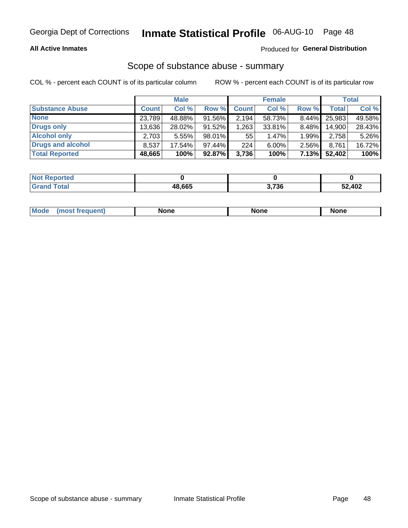#### **All Active Inmates**

### Produced for General Distribution

### Scope of substance abuse - summary

COL % - percent each COUNT is of its particular column

|                        |              | <b>Male</b> |           |              | <b>Female</b> |       |              | <b>Total</b> |
|------------------------|--------------|-------------|-----------|--------------|---------------|-------|--------------|--------------|
| <b>Substance Abuse</b> | <b>Count</b> | Col %       | Row %     | <b>Count</b> | Col %         | Row % | <b>Total</b> | Col %        |
| <b>None</b>            | 23,789       | 48.88%      | 91.56%    | 2,194        | 58.73%        | 8.44% | 25,983       | 49.58%       |
| <b>Drugs only</b>      | 13,636       | 28.02%      | $91.52\%$ | .263         | 33.81%        | 8.48% | 14,900       | 28.43%       |
| <b>Alcohol only</b>    | 2.703        | $5.55\%$    | $98.01\%$ | 55           | $1.47\%$      | 1.99% | 2,758        | 5.26%        |
| Drugs and alcohol      | 8,537        | 17.54%      | $97.44\%$ | 224          | $6.00\%$      | 2.56% | 8,761        | 16.72%       |
| <b>Total Reported</b>  | 48,665       | 100%        | 92.87%    | 3,736        | 100%          | 7.13% | 52,402       | 100%         |

| <b>Not Reported</b> |        |       |        |
|---------------------|--------|-------|--------|
| <b>Grand Total</b>  | 48.665 | 3,736 | 52,402 |

|  | M<br>nuem | None | <b>IODE</b><br>NIJ | None |
|--|-----------|------|--------------------|------|
|--|-----------|------|--------------------|------|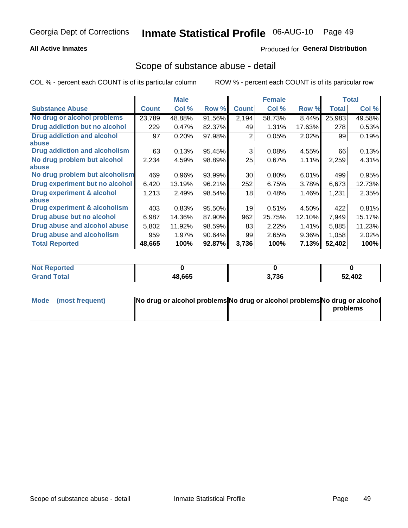#### **All Active Inmates**

### **Produced for General Distribution**

### Scope of substance abuse - detail

COL % - percent each COUNT is of its particular column

|                                      |              | <b>Male</b> |        |              | <b>Female</b> |        |              | <b>Total</b> |
|--------------------------------------|--------------|-------------|--------|--------------|---------------|--------|--------------|--------------|
| <b>Substance Abuse</b>               | <b>Count</b> | Col %       | Row %  | <b>Count</b> | Col %         | Row %  | <b>Total</b> | Col %        |
| No drug or alcohol problems          | 23,789       | 48.88%      | 91.56% | 2,194        | 58.73%        | 8.44%  | 25,983       | 49.58%       |
| Drug addiction but no alcohol        | 229          | 0.47%       | 82.37% | 49           | 1.31%         | 17.63% | 278          | 0.53%        |
| <b>Drug addiction and alcohol</b>    | 97           | 0.20%       | 97.98% | 2            | 0.05%         | 2.02%  | 99           | 0.19%        |
| <b>labuse</b>                        |              |             |        |              |               |        |              |              |
| <b>Drug addiction and alcoholism</b> | 63           | 0.13%       | 95.45% | 3            | 0.08%         | 4.55%  | 66           | 0.13%        |
| No drug problem but alcohol          | 2,234        | 4.59%       | 98.89% | 25           | $0.67\%$      | 1.11%  | 2,259        | 4.31%        |
| <b>labuse</b>                        |              |             |        |              |               |        |              |              |
| No drug problem but alcoholism       | 469          | 0.96%       | 93.99% | 30           | 0.80%         | 6.01%  | 499          | 0.95%        |
| Drug experiment but no alcohol       | 6,420        | 13.19%      | 96.21% | 252          | 6.75%         | 3.78%  | 6,673        | 12.73%       |
| <b>Drug experiment &amp; alcohol</b> | 1,213        | 2.49%       | 98.54% | 18           | 0.48%         | 1.46%  | 1,231        | 2.35%        |
| abuse                                |              |             |        |              |               |        |              |              |
| Drug experiment & alcoholism         | 403          | 0.83%       | 95.50% | 19           | 0.51%         | 4.50%  | 422          | 0.81%        |
| Drug abuse but no alcohol            | 6,987        | 14.36%      | 87.90% | 962          | 25.75%        | 12.10% | 7,949        | 15.17%       |
| Drug abuse and alcohol abuse         | 5,802        | 11.92%      | 98.59% | 83           | 2.22%         | 1.41%  | 5,885        | 11.23%       |
| <b>Drug abuse and alcoholism</b>     | 959          | 1.97%       | 90.64% | 99           | 2.65%         | 9.36%  | 1,058        | 2.02%        |
| <b>Total Reported</b>                | 48,665       | 100%        | 92.87% | 3,736        | 100%          | 7.13%  | 52,402       | 100%         |

| Reported      |              |                       |        |
|---------------|--------------|-----------------------|--------|
| <b>c</b> otal | 48.665<br>л× | <b>2.720</b><br>ა.7ას | 52,402 |

| Mode (most frequent) | No drug or alcohol problems No drug or alcohol problems No drug or alcohol |          |
|----------------------|----------------------------------------------------------------------------|----------|
|                      |                                                                            | problems |
|                      |                                                                            |          |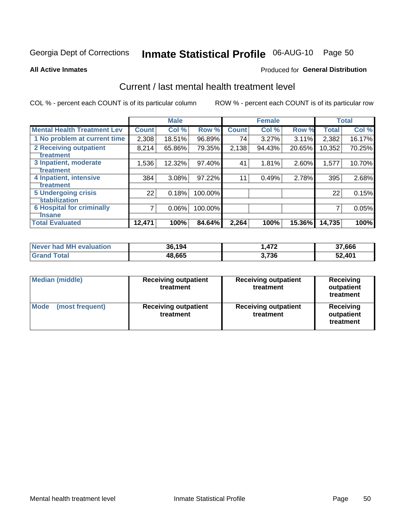# Inmate Statistical Profile 06-AUG-10 Page 50

**All Active Inmates** 

#### **Produced for General Distribution**

## Current / last mental health treatment level

COL % - percent each COUNT is of its particular column

|                                    |              | <b>Male</b> |         |              | <b>Female</b> |        |              | <b>Total</b> |
|------------------------------------|--------------|-------------|---------|--------------|---------------|--------|--------------|--------------|
| <b>Mental Health Treatment Lev</b> | <b>Count</b> | Col %       | Row %   | <b>Count</b> | Col %         | Row %  | <b>Total</b> | Col %        |
| 1 No problem at current time       | 2,308        | 18.51%      | 96.89%  | 74           | 3.27%         | 3.11%  | 2,382        | 16.17%       |
| 2 Receiving outpatient             | 8,214        | 65.86%      | 79.35%  | 2,138        | 94.43%        | 20.65% | 10,352       | 70.25%       |
| <b>Treatment</b>                   |              |             |         |              |               |        |              |              |
| 3 Inpatient, moderate              | 1,536        | 12.32%      | 97.40%  | 41           | 1.81%         | 2.60%  | 1,577        | 10.70%       |
| <b>Treatment</b>                   |              |             |         |              |               |        |              |              |
| 4 Inpatient, intensive             | 384          | 3.08%       | 97.22%  | 11           | 0.49%         | 2.78%  | 395          | 2.68%        |
| <b>Treatment</b>                   |              |             |         |              |               |        |              |              |
| <b>5 Undergoing crisis</b>         | 22           | 0.18%       | 100.00% |              |               |        | 22           | 0.15%        |
| <b>stabilization</b>               |              |             |         |              |               |        |              |              |
| <b>6 Hospital for criminally</b>   | 7            | 0.06%       | 100.00% |              |               |        |              | 0.05%        |
| <b>Tinsane</b>                     |              |             |         |              |               |        |              |              |
| <b>Total Evaluated</b>             | 12,471       | 100%        | 84.64%  | 2,264        | 100%          | 15.36% | 14,735       | 100%         |

| Never had MH evaluation | 36.194 | 472. ا | 37,666 |
|-------------------------|--------|--------|--------|
| <b>Grand Total</b>      | 48,665 | 3,736  | 52,401 |

| <b>Median (middle)</b>         | <b>Receiving outpatient</b><br>treatment | <b>Receiving outpatient</b><br>treatment | <b>Receiving</b><br>outpatient<br>treatment |
|--------------------------------|------------------------------------------|------------------------------------------|---------------------------------------------|
| <b>Mode</b><br>(most frequent) | <b>Receiving outpatient</b><br>treatment | <b>Receiving outpatient</b><br>treatment | Receiving<br>outpatient<br>treatment        |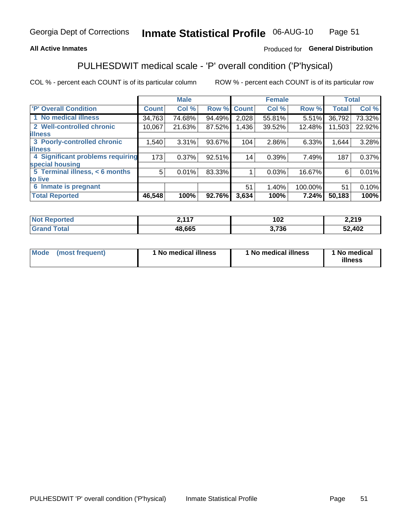#### **All Active Inmates**

#### Produced for General Distribution

## PULHESDWIT medical scale - 'P' overall condition ('P'hysical)

COL % - percent each COUNT is of its particular column

|                                  |              | <b>Male</b> |        |                 | <b>Female</b> |         |              | <b>Total</b> |
|----------------------------------|--------------|-------------|--------|-----------------|---------------|---------|--------------|--------------|
| <b>P' Overall Condition</b>      | <b>Count</b> | Col %       | Row %  | <b>Count</b>    | Col %         | Row %   | <b>Total</b> | Col %        |
| 1 No medical illness             | 34,763       | 74.68%      | 94.49% | 2,028           | 55.81%        | 5.51%   | 36,792       | 73.32%       |
| 2 Well-controlled chronic        | 10,067       | 21.63%      | 87.52% | 1,436           | 39.52%        | 12.48%  | 11,503       | 22.92%       |
| <b>illness</b>                   |              |             |        |                 |               |         |              |              |
| 3 Poorly-controlled chronic      | 1,540        | $3.31\%$    | 93.67% | 104             | 2.86%         | 6.33%   | 1,644        | 3.28%        |
| <b>illness</b>                   |              |             |        |                 |               |         |              |              |
| 4 Significant problems requiring | 173          | 0.37%       | 92.51% | 14 <sub>1</sub> | 0.39%         | 7.49%   | 187          | 0.37%        |
| special housing                  |              |             |        |                 |               |         |              |              |
| 5 Terminal illness, < 6 months   | 5            | 0.01%       | 83.33% |                 | 0.03%         | 16.67%  | 6            | 0.01%        |
| to live                          |              |             |        |                 |               |         |              |              |
| Inmate is pregnant<br>6          |              |             |        | 51              | 1.40%         | 100.00% | 51           | 0.10%        |
| <b>Total Reported</b>            | 46,548       | 100%        | 92.76% | 3,634           | 100%          | 7.24%   | 50,183       | 100%         |

| тео | 2417<br>. | 102 | 2,219 |
|-----|-----------|-----|-------|
|     | 48.665    | 736 | ,402  |

| Mode | (most frequent) | 1 No medical illness | 1 No medical illness | 1 No medical<br>illness |
|------|-----------------|----------------------|----------------------|-------------------------|
|------|-----------------|----------------------|----------------------|-------------------------|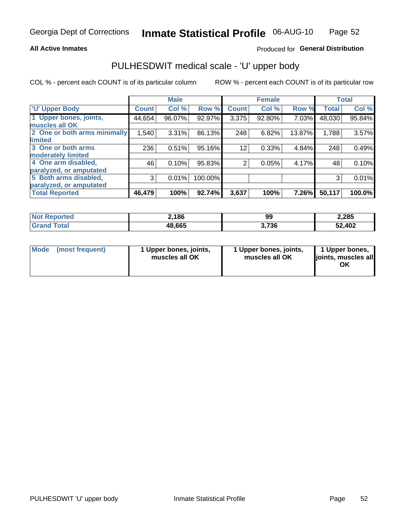#### **All Active Inmates**

#### Produced for General Distribution

# PULHESDWIT medical scale - 'U' upper body

COL % - percent each COUNT is of its particular column

|                              |              | <b>Male</b> |         |                | <b>Female</b> |        |              | <b>Total</b> |
|------------------------------|--------------|-------------|---------|----------------|---------------|--------|--------------|--------------|
| <b>U' Upper Body</b>         | <b>Count</b> | Col %       | Row %   | <b>Count</b>   | Col %         | Row %  | <b>Total</b> | Col %        |
| 1 Upper bones, joints,       | 44,654       | 96.07%      | 92.97%  | 3,375          | 92.80%        | 7.03%  | 48,030       | 95.84%       |
| muscles all OK               |              |             |         |                |               |        |              |              |
| 2 One or both arms minimally | 1,540        | 3.31%       | 86.13%  | 248            | 6.82%         | 13.87% | 1,788        | 3.57%        |
| limited                      |              |             |         |                |               |        |              |              |
| 3 One or both arms           | 236          | 0.51%       | 95.16%  | 12             | 0.33%         | 4.84%  | 248          | 0.49%        |
| <b>moderately limited</b>    |              |             |         |                |               |        |              |              |
| 4 One arm disabled,          | 46           | 0.10%       | 95.83%  | $\overline{2}$ | 0.05%         | 4.17%  | 48           | 0.10%        |
| paralyzed, or amputated      |              |             |         |                |               |        |              |              |
| 5 Both arms disabled,        | 3            | 0.01%       | 100.00% |                |               |        | 3            | 0.01%        |
| paralyzed, or amputated      |              |             |         |                |               |        |              |              |
| <b>Total Reported</b>        | 46,479       | 100%        | 92.74%  | 3,637          | 100%          | 7.26%  | 50,117       | 100.0%       |

| <b>Not Reported</b> | 2,186  | 99    | 2,285  |
|---------------------|--------|-------|--------|
| <b>Grand Total</b>  | 48,665 | 3,736 | 52,402 |

| <b>Mode</b> | (most frequent) | 1 Upper bones, joints,<br>muscles all OK | 1 Upper bones, joints,<br>muscles all OK | 1 Upper bones,<br>joints, muscles all<br>ΟK |
|-------------|-----------------|------------------------------------------|------------------------------------------|---------------------------------------------|
|-------------|-----------------|------------------------------------------|------------------------------------------|---------------------------------------------|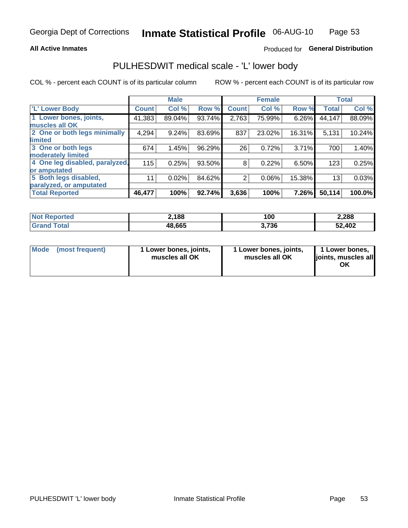#### **All Active Inmates**

### Produced for General Distribution

## PULHESDWIT medical scale - 'L' lower body

COL % - percent each COUNT is of its particular column

|                                |              | <b>Male</b> |        |              | <b>Female</b> |        |              | <b>Total</b> |
|--------------------------------|--------------|-------------|--------|--------------|---------------|--------|--------------|--------------|
| 'L' Lower Body                 | <b>Count</b> | Col %       | Row %  | <b>Count</b> | Col %         | Row %  | <b>Total</b> | Col %        |
| 1 Lower bones, joints,         | 41,383       | 89.04%      | 93.74% | 2,763        | 75.99%        | 6.26%  | 44,147       | 88.09%       |
| muscles all OK                 |              |             |        |              |               |        |              |              |
| 2 One or both legs minimally   | 4,294        | 9.24%       | 83.69% | 837          | 23.02%        | 16.31% | 5,131        | 10.24%       |
| limited                        |              |             |        |              |               |        |              |              |
| 3 One or both legs             | 674          | 1.45%       | 96.29% | 26           | 0.72%         | 3.71%  | 700          | 1.40%        |
| moderately limited             |              |             |        |              |               |        |              |              |
| 4 One leg disabled, paralyzed, | 115          | 0.25%       | 93.50% | 8            | 0.22%         | 6.50%  | 123          | 0.25%        |
| or amputated                   |              |             |        |              |               |        |              |              |
| 5 Both legs disabled,          | 11           | 0.02%       | 84.62% | 2            | 0.06%         | 15.38% | 13           | 0.03%        |
| paralyzed, or amputated        |              |             |        |              |               |        |              |              |
| <b>Total Reported</b>          | 46,477       | 100%        | 92.74% | 3,636        | 100%          | 7.26%  | 50,114       | 100.0%       |

| <b>Not Reported</b>   | ∠,188  | 100   | 2,288  |
|-----------------------|--------|-------|--------|
| <b>Total</b><br>Grand | 48,665 | 3,736 | 52,402 |

| Mode | (most frequent) | 1 Lower bones, joints,<br>muscles all OK | I Lower bones, joints,<br>muscles all OK | 1 Lower bones,<br>joints, muscles all<br>ΟK |
|------|-----------------|------------------------------------------|------------------------------------------|---------------------------------------------|
|------|-----------------|------------------------------------------|------------------------------------------|---------------------------------------------|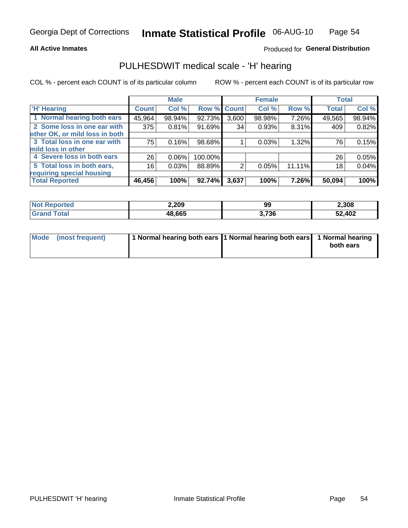#### **All Active Inmates**

#### Produced for General Distribution

## PULHESDWIT medical scale - 'H' hearing

COL % - percent each COUNT is of its particular column

|                                |              | <b>Male</b> |         |             | <b>Female</b> |        | <b>Total</b> |        |
|--------------------------------|--------------|-------------|---------|-------------|---------------|--------|--------------|--------|
| <b>H'</b> Hearing              | <b>Count</b> | Col %       |         | Row % Count | Col %         | Row %  | <b>Total</b> | Col %  |
| 1 Normal hearing both ears     | 45,964       | 98.94%      | 92.73%  | 3,600       | 98.98%        | 7.26%  | 49,565       | 98.94% |
| 2 Some loss in one ear with    | 375          | 0.81%       | 91.69%  | 34          | 0.93%         | 8.31%  | 409          | 0.82%  |
| other OK, or mild loss in both |              |             |         |             |               |        |              |        |
| 3 Total loss in one ear with   | 75           | 0.16%       | 98.68%  |             | 0.03%         | 1.32%  | 76           | 0.15%  |
| mild loss in other             |              |             |         |             |               |        |              |        |
| 4 Severe loss in both ears     | 26           | 0.06%       | 100.00% |             |               |        | 26           | 0.05%  |
| 5 Total loss in both ears,     | 16           | 0.03%       | 88.89%  | 2           | 0.05%         | 11.11% | 18           | 0.04%  |
| requiring special housing      |              |             |         |             |               |        |              |        |
| <b>Total Reported</b>          | 46,456       | 100%        | 92.74%  | 3,637       | 100%          | 7.26%  | 50,094       | 100%   |

| N <sub>of</sub><br>morted and | 2,209  | 99   | 2,308  |
|-------------------------------|--------|------|--------|
| <b>Total</b>                  | 48.665 | .736 | 52,402 |

| Mode (most frequent) | 1 Normal hearing both ears 1 Normal hearing both ears 1 Normal hearing |           |
|----------------------|------------------------------------------------------------------------|-----------|
|                      |                                                                        | both ears |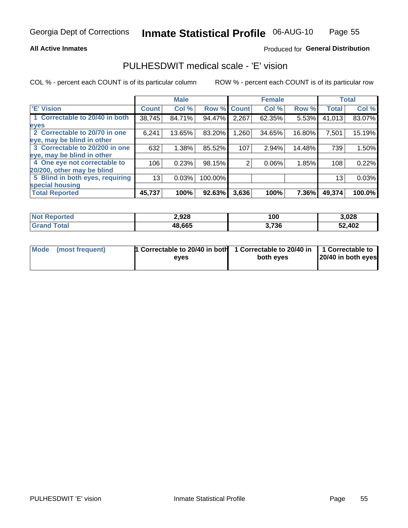#### **All Active Inmates**

#### Produced for General Distribution

## PULHESDWIT medical scale - 'E' vision

COL % - percent each COUNT is of its particular column

|                                 |              | <b>Male</b> |         |              | <b>Female</b> |        |              | <b>Total</b> |
|---------------------------------|--------------|-------------|---------|--------------|---------------|--------|--------------|--------------|
| <b>E' Vision</b>                | <b>Count</b> | Col %       | Row %   | <b>Count</b> | Col %         | Row %  | <b>Total</b> | Col %        |
| 1 Correctable to 20/40 in both  | 38,745       | 84.71%      | 94.47%  | 2,267        | 62.35%        | 5.53%  | 41,013       | 83.07%       |
| eyes                            |              |             |         |              |               |        |              |              |
| 2 Correctable to 20/70 in one   | 6,241        | 13.65%      | 83.20%  | 1,260        | 34.65%        | 16.80% | 7,501        | 15.19%       |
| eye, may be blind in other      |              |             |         |              |               |        |              |              |
| 3 Correctable to 20/200 in one  | 632          | 1.38%       | 85.52%  | 107          | 2.94%         | 14.48% | 739          | 1.50%        |
| eye, may be blind in other      |              |             |         |              |               |        |              |              |
| 4 One eye not correctable to    | 106          | 0.23%       | 98.15%  | 2            | 0.06%         | 1.85%  | 108          | 0.22%        |
| 20/200, other may be blind      |              |             |         |              |               |        |              |              |
| 5 Blind in both eyes, requiring | 13           | 0.03%       | 100.00% |              |               |        | 13           | 0.03%        |
| special housing                 |              |             |         |              |               |        |              |              |
| <b>Total Reported</b>           | 45,737       | 100%        | 92.63%  | 3,636        | 100%          | 7.36%  | 49,374       | 100.0%       |

| <b>Not Reported</b> | 2,928  | 100   | 3,028  |
|---------------------|--------|-------|--------|
| Гоtа                | 48,665 | 3,736 | 52,402 |

| Mode (most frequent) | 1 Correctable to 20/40 in both<br>eves | 1 Correctable to 20/40 in   1 Correctable to  <br>both eves | 20/40 in both eyes |
|----------------------|----------------------------------------|-------------------------------------------------------------|--------------------|
|                      |                                        |                                                             |                    |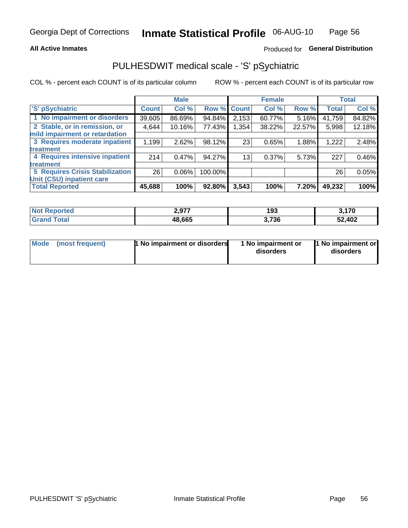#### **All Active Inmates**

### Produced for General Distribution

## PULHESDWIT medical scale - 'S' pSychiatric

COL % - percent each COUNT is of its particular column

|                                        |              | <b>Male</b> |         |                 | <b>Female</b> |        |              | <b>Total</b> |
|----------------------------------------|--------------|-------------|---------|-----------------|---------------|--------|--------------|--------------|
| 'S' pSychiatric                        | <b>Count</b> | Col %       |         | Row % Count     | Col %         | Row %  | <b>Total</b> | Col %        |
| 1 No impairment or disorders           | 39,605       | 86.69%      | 94.84%  | 2,153           | 60.77%        | 5.16%  | 41,759       | 84.82%       |
| 2 Stable, or in remission, or          | 4,644        | 10.16%      | 77.43%  | 354,            | 38.22%        | 22.57% | 5,998        | 12.18%       |
| mild impairment or retardation         |              |             |         |                 |               |        |              |              |
| 3 Requires moderate inpatient          | 1,199        | 2.62%       | 98.12%  | 23              | 0.65%         | 1.88%  | 1,222        | 2.48%        |
| treatment                              |              |             |         |                 |               |        |              |              |
| 4 Requires intensive inpatient         | 214          | 0.47%       | 94.27%  | 13 <sub>1</sub> | 0.37%         | 5.73%  | 227          | 0.46%        |
| treatment                              |              |             |         |                 |               |        |              |              |
| <b>5 Requires Crisis Stabilization</b> | 26           | $0.06\%$    | 100.00% |                 |               |        | 26           | 0.05%        |
| Unit (CSU) inpatient care              |              |             |         |                 |               |        |              |              |
| <b>Total Reported</b>                  | 45,688       | 100%        | 92.80%  | 3,543           | 100%          | 7.20%  | 49,232       | 100%         |

| <b>Not Reported</b>     | 2,977  | 193   | 3,170  |
|-------------------------|--------|-------|--------|
| <b>Total</b><br>' Grand | 48,665 | 3,736 | 52,402 |

| Mode | (most frequent) | 1 No impairment or disorders | 1 No impairment or<br>disorders | 11 No impairment or<br>disorders |
|------|-----------------|------------------------------|---------------------------------|----------------------------------|
|------|-----------------|------------------------------|---------------------------------|----------------------------------|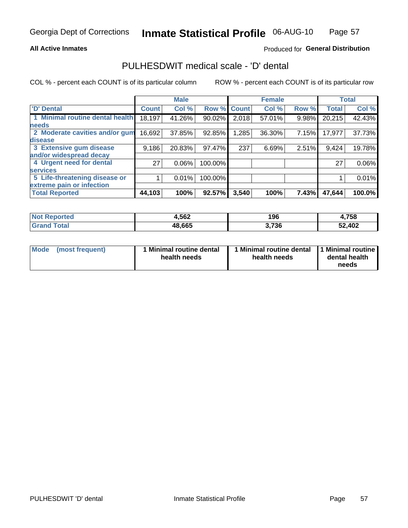#### **All Active Inmates**

#### Produced for General Distribution

## PULHESDWIT medical scale - 'D' dental

COL % - percent each COUNT is of its particular column

|                                 |              | <b>Male</b> |         |              | <b>Female</b> |       |              | <b>Total</b> |
|---------------------------------|--------------|-------------|---------|--------------|---------------|-------|--------------|--------------|
| <b>D'</b> Dental                | <b>Count</b> | Col %       | Row %   | <b>Count</b> | Col %         | Row % | <b>Total</b> | Col %        |
| 1 Minimal routine dental health | 18,197       | 41.26%      | 90.02%  | 2,018        | 57.01%        | 9.98% | 20,215       | 42.43%       |
| <b>needs</b>                    |              |             |         |              |               |       |              |              |
| 2 Moderate cavities and/or gum  | 16,692       | 37.85%      | 92.85%  | 1,285        | 36.30%        | 7.15% | 17,977       | 37.73%       |
| disease                         |              |             |         |              |               |       |              |              |
| 3 Extensive gum disease         | 9,186        | 20.83%      | 97.47%  | 237          | 6.69%         | 2.51% | 9,424        | 19.78%       |
| and/or widespread decay         |              |             |         |              |               |       |              |              |
| 4 Urgent need for dental        | 27           | 0.06%       | 100.00% |              |               |       | 27           | 0.06%        |
| <b>services</b>                 |              |             |         |              |               |       |              |              |
| 5 Life-threatening disease or   |              | 0.01%       | 100.00% |              |               |       |              | 0.01%        |
| extreme pain or infection       |              |             |         |              |               |       |              |              |
| <b>Total Reported</b>           | 44,103       | 100%        | 92.57%  | 3,540        | 100%          | 7.43% | 47,644       | 100.0%       |

| <b>Not Reported</b> | 4,562  | 196   | 4,758  |
|---------------------|--------|-------|--------|
| Гоtа                | 48,665 | 3,736 | 52,402 |

| 1 Minimal routine dental<br>Mode<br>(most frequent)<br>health needs | 1 Minimal routine dental 1 Minimal routine<br>health needs | dental health<br>needs |
|---------------------------------------------------------------------|------------------------------------------------------------|------------------------|
|---------------------------------------------------------------------|------------------------------------------------------------|------------------------|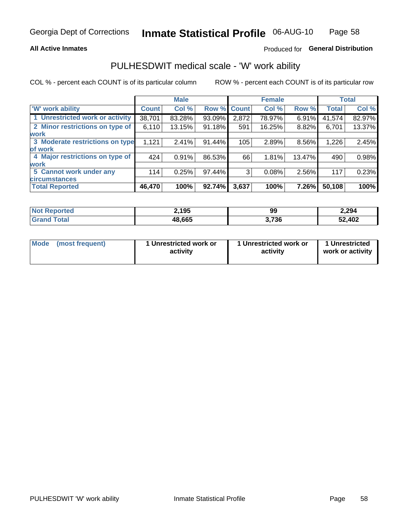#### **All Active Inmates**

### Produced for General Distribution

## PULHESDWIT medical scale - 'W' work ability

COL % - percent each COUNT is of its particular column

|                                 |              | <b>Male</b> |        |             | <b>Female</b> |        |              | <b>Total</b> |
|---------------------------------|--------------|-------------|--------|-------------|---------------|--------|--------------|--------------|
| 'W' work ability                | <b>Count</b> | Col %       |        | Row % Count | Col %         | Row %  | <b>Total</b> | Col %        |
| 1 Unrestricted work or activity | 38,701       | 83.28%      | 93.09% | 2,872       | 78.97%        | 6.91%  | 41,574       | 82.97%       |
| 2 Minor restrictions on type of | 6,110        | 13.15%      | 91.18% | 591         | 16.25%        | 8.82%  | 6,701        | 13.37%       |
| <b>work</b>                     |              |             |        |             |               |        |              |              |
| 3 Moderate restrictions on type | 1,121        | 2.41%       | 91.44% | 105         | 2.89%         | 8.56%  | 1,226        | 2.45%        |
| lof work                        |              |             |        |             |               |        |              |              |
| 4 Major restrictions on type of | 424          | 0.91%       | 86.53% | 66          | 1.81%         | 13.47% | 490          | 0.98%        |
| <b>work</b>                     |              |             |        |             |               |        |              |              |
| 5 Cannot work under any         | 114          | 0.25%       | 97.44% | 3           | 0.08%         | 2.56%  | 117          | 0.23%        |
| <b>circumstances</b>            |              |             |        |             |               |        |              |              |
| <b>Total Reported</b>           | 46,470       | 100%        | 92.74% | 3,637       | 100%          | 7.26%  | 50,108       | 100%         |

| <b>Not Reported</b>   | 195    | 99    | 2,294  |
|-----------------------|--------|-------|--------|
| Total<br><b>Grand</b> | 48,665 | 3,736 | 52,402 |

| Mode            | 1 Unrestricted work or | 1 Unrestricted work or | 1 Unrestricted   |
|-----------------|------------------------|------------------------|------------------|
| (most frequent) | activity               | activity               | work or activity |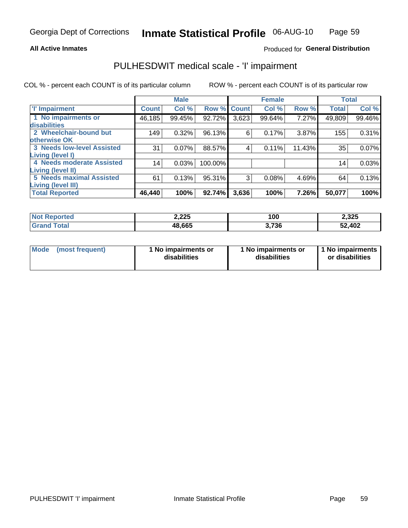#### **All Active Inmates**

#### Produced for General Distribution

## PULHESDWIT medical scale - 'I' impairment

COL % - percent each COUNT is of its particular column

|                                                              |              | <b>Male</b> |         |             | <b>Female</b> |        |              | <b>Total</b> |
|--------------------------------------------------------------|--------------|-------------|---------|-------------|---------------|--------|--------------|--------------|
| <b>T' Impairment</b>                                         | <b>Count</b> | Col %       |         | Row % Count | Col %         | Row %  | <b>Total</b> | Col %        |
| 1 No impairments or<br><b>disabilities</b>                   | 46,185       | 99.45%      | 92.72%  | 3,623       | 99.64%        | 7.27%  | 49,809       | 99.46%       |
| 2 Wheelchair-bound but<br>otherwise OK                       | 149          | 0.32%       | 96.13%  | 6           | 0.17%         | 3.87%  | 155          | 0.31%        |
| <b>3 Needs low-level Assisted</b><br>Living (level I)        | 31           | 0.07%       | 88.57%  | 4           | 0.11%         | 11.43% | 35           | 0.07%        |
| <b>4 Needs moderate Assisted</b><br><b>Living (level II)</b> | 14           | 0.03%       | 100.00% |             |               |        | 14           | 0.03%        |
| <b>5 Needs maximal Assisted</b><br>Living (level III)        | 61           | 0.13%       | 95.31%  | 3           | 0.08%         | 4.69%  | 64           | 0.13%        |
| <b>Total Reported</b>                                        | 46,440       | 100%        | 92.74%  | 3,636       | 100%          | 7.26%  | 50,077       | 100%         |

| ported      | 2,225  | 100   | 2,325  |
|-------------|--------|-------|--------|
| <b>otal</b> | 48,665 | 3,736 | 52,402 |

| Mode | (most frequent) | 1 No impairments or<br>disabilities | 1 No impairments or<br>disabilities | 1 No impairments<br>or disabilities |
|------|-----------------|-------------------------------------|-------------------------------------|-------------------------------------|
|------|-----------------|-------------------------------------|-------------------------------------|-------------------------------------|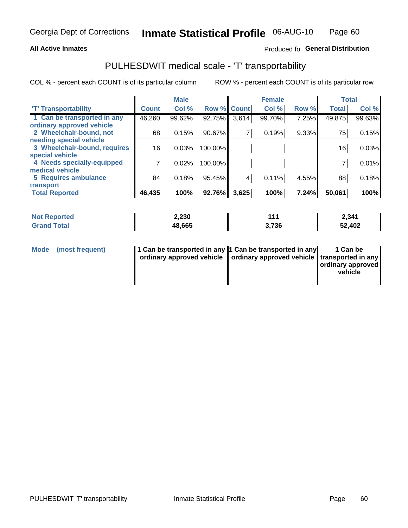#### **All Active Inmates**

### Produced fo General Distribution

## PULHESDWIT medical scale - 'T' transportability

COL % - percent each COUNT is of its particular column

|                              |              | <b>Male</b> |         |              | <b>Female</b> |       | <b>Total</b> |        |
|------------------------------|--------------|-------------|---------|--------------|---------------|-------|--------------|--------|
| <b>T' Transportability</b>   | <b>Count</b> | Col %       | Row %   | <b>Count</b> | Col %         | Row % | <b>Total</b> | Col %  |
| 1 Can be transported in any  | 46,260       | 99.62%      | 92.75%  | 3,614        | 99.70%        | 7.25% | 49,875       | 99.63% |
| ordinary approved vehicle    |              |             |         |              |               |       |              |        |
| 2 Wheelchair-bound, not      | 68           | 0.15%       | 90.67%  | 7            | 0.19%         | 9.33% | 75           | 0.15%  |
| needing special vehicle      |              |             |         |              |               |       |              |        |
| 3 Wheelchair-bound, requires | 16           | 0.03%       | 100.00% |              |               |       | 16           | 0.03%  |
| special vehicle              |              |             |         |              |               |       |              |        |
| 4 Needs specially-equipped   |              | 0.02%       | 100.00% |              |               |       |              | 0.01%  |
| medical vehicle              |              |             |         |              |               |       |              |        |
| <b>5 Requires ambulance</b>  | 84           | 0.18%       | 95.45%  | 4            | 0.11%         | 4.55% | 88           | 0.18%  |
| transport                    |              |             |         |              |               |       |              |        |
| <b>Total Reported</b>        | 46,435       | 100%        | 92.76%  | 3,625        | 100%          | 7.24% | 50,061       | 100%   |

| <b>ported</b> | 2,230  | $\blacksquare$        | 2,341  |
|---------------|--------|-----------------------|--------|
| <b>otal</b>   | 48,665 | <b>720</b><br>ა. / ან | 52,402 |

|  | Mode (most frequent) | 1 Can be transported in any 1 Can be transported in any<br>ordinary approved vehicle   ordinary approved vehicle   transported in any |  | 1 Can be<br>  ordinary approved  <br>vehicle |
|--|----------------------|---------------------------------------------------------------------------------------------------------------------------------------|--|----------------------------------------------|
|--|----------------------|---------------------------------------------------------------------------------------------------------------------------------------|--|----------------------------------------------|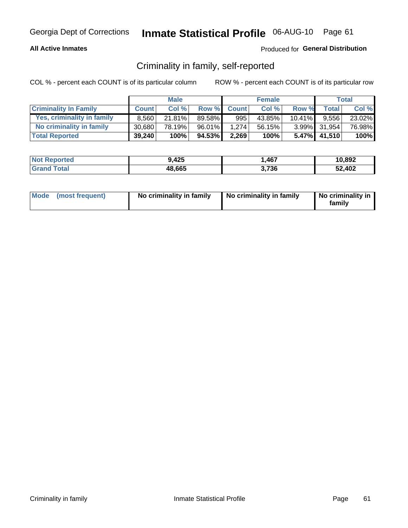#### **All Active Inmates**

#### Produced for General Distribution

## Criminality in family, self-reported

COL % - percent each COUNT is of its particular column

|                              |              | <b>Male</b> |        |              | <b>Female</b> |           |              | Total  |
|------------------------------|--------------|-------------|--------|--------------|---------------|-----------|--------------|--------|
| <b>Criminality In Family</b> | <b>Count</b> | Col%        | Row %  | <b>Count</b> | Col %         | Row %     | <b>Total</b> | Col %  |
| Yes, criminality in family   | 8.560        | $21.81\%$   | 89.58% | 995          | 43.85%        | $10.41\%$ | 9.556        | 23.02% |
| No criminality in family     | 30.680       | 78.19%      | 96.01% | 1.274        | 56.15%        |           | 3.99% 31,954 | 76.98% |
| <b>Total Reported</b>        | 39,240       | 100%        | 94.53% | 2,269        | 100%          |           | 5.47% 41,510 | 100%   |

| <b>Not Reported</b> | 9,425  | ,467 | 10,892 |
|---------------------|--------|------|--------|
| Tota<br>Granc       | 48,665 | .736 | 52,402 |

|  | Mode (most frequent) | No criminality in family | No criminality in family | No criminality in<br>family |
|--|----------------------|--------------------------|--------------------------|-----------------------------|
|--|----------------------|--------------------------|--------------------------|-----------------------------|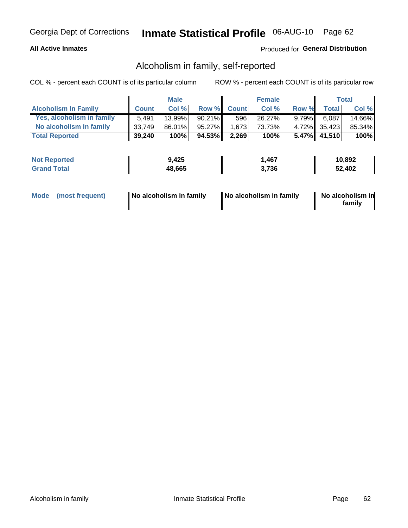#### **All Active Inmates**

#### Produced for General Distribution

## Alcoholism in family, self-reported

COL % - percent each COUNT is of its particular column

|                             |              | <b>Male</b> |           |              | <b>Female</b> |          |                 | Total   |
|-----------------------------|--------------|-------------|-----------|--------------|---------------|----------|-----------------|---------|
| <b>Alcoholism In Family</b> | <b>Count</b> | Col%        | Row %     | <b>Count</b> | Col %         | Row %    | <b>Total</b>    | Col %   |
| Yes, alcoholism in family   | 5.491        | $13.99\%$   | $90.21\%$ | 596          | 26.27%        | $9.79\%$ | 6,087           | 14.66%  |
| No alcoholism in family     | 33,749       | $86.01\%$   | 95.27%    | 1.673        | 73.73%        |          | 4.72% 35,423    | 85.34%  |
| <b>Total Reported</b>       | 39,240       | 100%        | 94.53%    | 2,269        | 100%          |          | $5.47\%$ 41,510 | $100\%$ |

| <b>Not Reported</b> | 9,425  | ,467 | 10,892 |
|---------------------|--------|------|--------|
| <b>Total</b>        | 48,665 | .736 | 52,402 |

|  | Mode (most frequent) | No alcoholism in family | No alcoholism in family | No alcoholism in<br>family |
|--|----------------------|-------------------------|-------------------------|----------------------------|
|--|----------------------|-------------------------|-------------------------|----------------------------|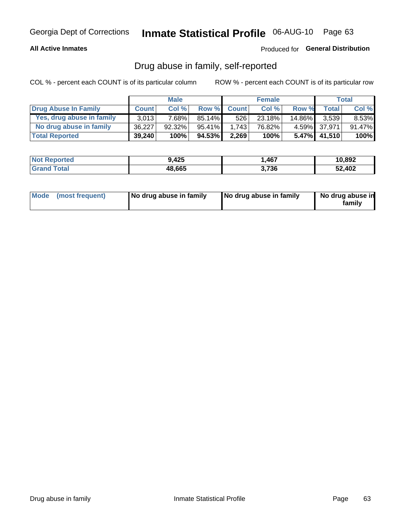#### **All Active Inmates**

### Produced for General Distribution

## Drug abuse in family, self-reported

COL % - percent each COUNT is of its particular column

|                           |              | <b>Male</b> |           |              | <b>Female</b> |           |              | Total   |
|---------------------------|--------------|-------------|-----------|--------------|---------------|-----------|--------------|---------|
| Drug Abuse In Family      | <b>Count</b> | Col%        | Row %     | <b>Count</b> | Col%          | Row %     | Total        | Col %   |
| Yes, drug abuse in family | 3,013        | 7.68%       | $85.14\%$ | 526          | 23.18%        | $14.86\%$ | 3.539        | 8.53%   |
| No drug abuse in family   | 36.227       | $92.32\%$   | $95.41\%$ | 1.743        | 76.82%        |           | 4.59% 37.971 | 91.47%  |
| <b>Total Reported</b>     | 39,240       | 100%        | 94.53%    | 2,269        | 100%          |           | 5.47% 41,510 | $100\%$ |

| <b>Not Reported</b> | 9,425  | ,467  | 10,892 |
|---------------------|--------|-------|--------|
| Total               | 48,665 | 3,736 | 52,402 |

|  | Mode (most frequent) | No drug abuse in family | No drug abuse in family | No drug abuse in<br>familv |
|--|----------------------|-------------------------|-------------------------|----------------------------|
|--|----------------------|-------------------------|-------------------------|----------------------------|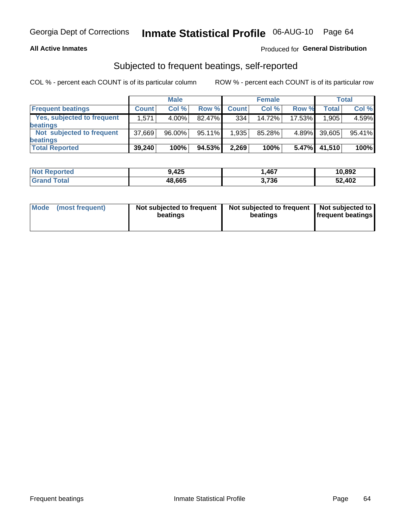#### **All Active Inmates**

#### Produced for General Distribution

## Subjected to frequent beatings, self-reported

COL % - percent each COUNT is of its particular column

|                                   |              | <b>Male</b> |        |              | <b>Female</b> |        |        | Total  |
|-----------------------------------|--------------|-------------|--------|--------------|---------------|--------|--------|--------|
| <b>Frequent beatings</b>          | <b>Count</b> | Col %       | Row %  | <b>Count</b> | Col %         | Row %  | Total  | Col %  |
| <b>Yes, subjected to frequent</b> | 1,571        | $4.00\%$    | 82.47% | 334          | 14.72%        | 17.53% | 1,905  | 4.59%  |
| <b>beatings</b>                   |              |             |        |              |               |        |        |        |
| Not subjected to frequent         | 37,669       | 96.00%      | 95.11% | 1,935        | 85.28%        | 4.89%  | 39,605 | 95.41% |
| <b>beatings</b>                   |              |             |        |              |               |        |        |        |
| <b>Total Reported</b>             | 39,240       | 100%        | 94.53% | 2,269        | 100%          | 5.47%  | 41,510 | 100%   |

| <b>Not</b><br>Reported | 9,425  | 467,  | 10,892 |
|------------------------|--------|-------|--------|
| <b>Total</b>           | 48,665 | 3,736 | 52,402 |

| Mode (most frequent) | Not subjected to frequent<br>beatings | Not subjected to frequent<br>beatings | Not subjected to<br><b>frequent beatings</b> |
|----------------------|---------------------------------------|---------------------------------------|----------------------------------------------|
|                      |                                       |                                       |                                              |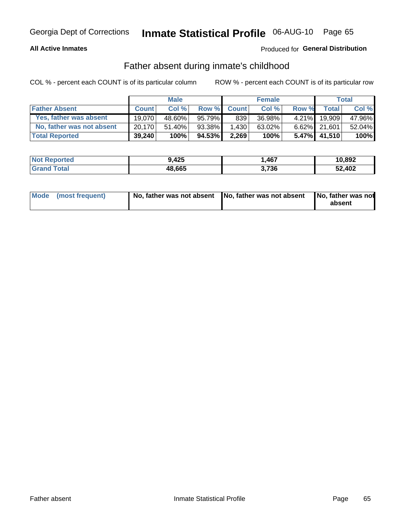#### **All Active Inmates**

### Produced for General Distribution

## Father absent during inmate's childhood

COL % - percent each COUNT is of its particular column

|                           |              | <b>Male</b> |              |              | <b>Female</b> |          |              | <b>Total</b> |
|---------------------------|--------------|-------------|--------------|--------------|---------------|----------|--------------|--------------|
| <b>Father Absent</b>      | <b>Count</b> | Col%        | <b>Row %</b> | <b>Count</b> | Col %         | Row %    | Total        | Col %        |
| Yes, father was absent    | 19.070       | 48.60%      | 95.79%       | 839          | 36.98%        | $4.21\%$ | 19.909       | 47.96%       |
| No, father was not absent | 20.170       | $51.40\%$   | 93.38%       | 1,430        | 63.02%        |          | 6.62% 21,601 | 52.04%       |
| <b>Total Reported</b>     | 39,240       | 100%        | 94.53%       | 2,269        | 100%          | $5.47\%$ | 41,510       | 100%         |

| <b>Not Reported</b> | 9,425  | 467,  | 10,892 |
|---------------------|--------|-------|--------|
| <b>Grand Total</b>  | 48,665 | 3,736 | 52,402 |

|  | Mode (most frequent) | No, father was not absent No, father was not absent |  | No, father was not<br>absent |
|--|----------------------|-----------------------------------------------------|--|------------------------------|
|--|----------------------|-----------------------------------------------------|--|------------------------------|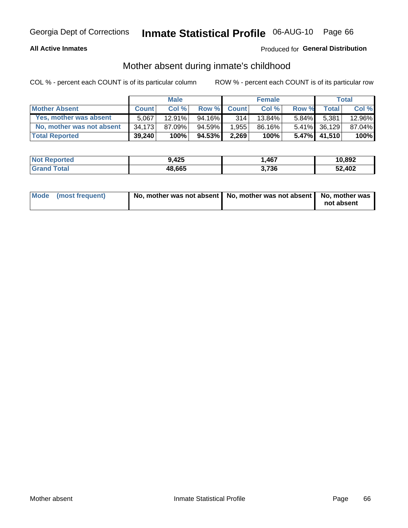#### **All Active Inmates**

#### Produced for General Distribution

## Mother absent during inmate's childhood

COL % - percent each COUNT is of its particular column

|                           |              | <b>Male</b> |        |              | <b>Female</b> |          |              | <b>Total</b> |
|---------------------------|--------------|-------------|--------|--------------|---------------|----------|--------------|--------------|
| <b>Mother Absent</b>      | <b>Count</b> | Col%        | Row %  | <b>Count</b> | Col %         | Row %    | <b>Total</b> | Col %        |
| Yes, mother was absent    | 5.067        | $12.91\%$   | 94.16% | 314          | 13.84%        | $5.84\%$ | 5,381        | 12.96%       |
| No, mother was not absent | 34.173       | 87.09%      | 94.59% | 1,955        | 86.16%        |          | 5.41% 36,129 | 87.04%       |
| <b>Total Reported</b>     | 39,240       | 100%        | 94.53% | 2,269        | 100%          |          | 5.47% 41,510 | 100%         |

| <b>Not Reported</b> | 9,425  | ,467 | 10,892 |
|---------------------|--------|------|--------|
| <b>Total</b>        | 48,665 | .736 | 52,402 |

| Mode (most frequent) | No, mother was not absent   No, mother was not absent   No, mother was | not absent |
|----------------------|------------------------------------------------------------------------|------------|
|                      |                                                                        |            |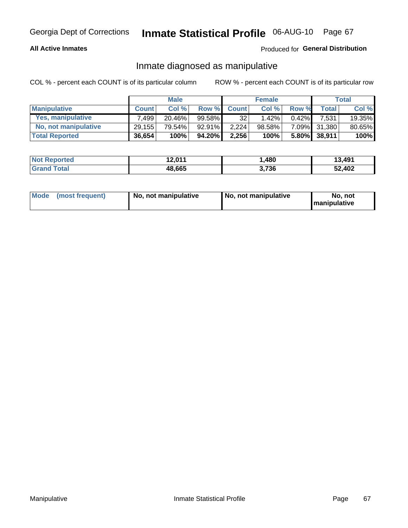#### **All Active Inmates**

#### Produced for General Distribution

## Inmate diagnosed as manipulative

COL % - percent each COUNT is of its particular column

|                       |              | <b>Male</b> |           |              | <b>Female</b> |          |              | Total  |
|-----------------------|--------------|-------------|-----------|--------------|---------------|----------|--------------|--------|
| <b>Manipulative</b>   | <b>Count</b> | Col %       | Row %     | <b>Count</b> | Col%          | Row %    | <b>Total</b> | Col %  |
| Yes, manipulative     | .499         | $20.46\%$   | 99.58%    | 32           | 1.42%         | $0.42\%$ | 7.531        | 19.35% |
| No, not manipulative  | 29,155       | 79.54%      | $92.91\%$ | 2.224        | 98.58%        |          | 7.09% 31,380 | 80.65% |
| <b>Total Reported</b> | 36,654       | 100%        | 94.20% I  | 2,256        | 100%          |          | 5.80% 38,911 | 100%   |

| <b>Not Reported</b> | 12,011 | .480  | 13,491 |
|---------------------|--------|-------|--------|
| <b>Grand Total</b>  | 48,665 | 3,736 | 52,402 |

|  | Mode (most frequent) | No, not manipulative | No, not manipulative | No. not<br><b>I</b> manipulative |
|--|----------------------|----------------------|----------------------|----------------------------------|
|--|----------------------|----------------------|----------------------|----------------------------------|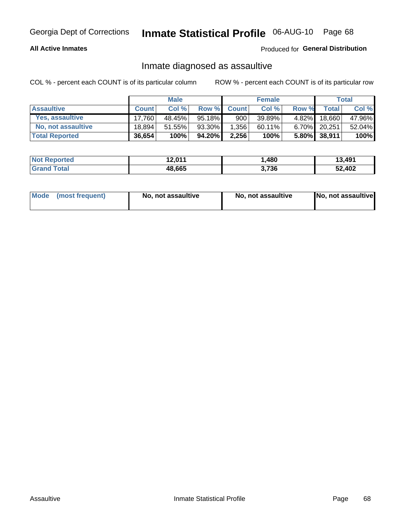#### **All Active Inmates**

Produced for General Distribution

## Inmate diagnosed as assaultive

COL % - percent each COUNT is of its particular column

|                       |              | <b>Male</b> |           |              | <b>Female</b> |          |              | Total  |
|-----------------------|--------------|-------------|-----------|--------------|---------------|----------|--------------|--------|
| <b>Assaultive</b>     | <b>Count</b> | Col %       | Row %     | <b>Count</b> | Col %         | Row %    | <b>Total</b> | Col %  |
| Yes, assaultive       | 17.760       | 48.45%      | 95.18%    | 900          | 39.89%        | $4.82\%$ | 18,660       | 47.96% |
| No, not assaultive    | 18.894       | 51.55%      | $93.30\%$ | 1,356        | $60.11\%$     | $6.70\%$ | 20,251       | 52.04% |
| <b>Total Reported</b> | 36,654       | 100%        | 94.20%    | 2,256        | 100%          |          | 5.80% 38,911 | 100%   |

| <b>Not Reported</b> | 12,011 | ,480  | 13,491 |
|---------------------|--------|-------|--------|
| <b>Grand Total</b>  | 48,665 | 3,736 | 52,402 |

| Mode (most frequent) | No, not assaultive | No, not assaultive | No, not assaultive |
|----------------------|--------------------|--------------------|--------------------|
|----------------------|--------------------|--------------------|--------------------|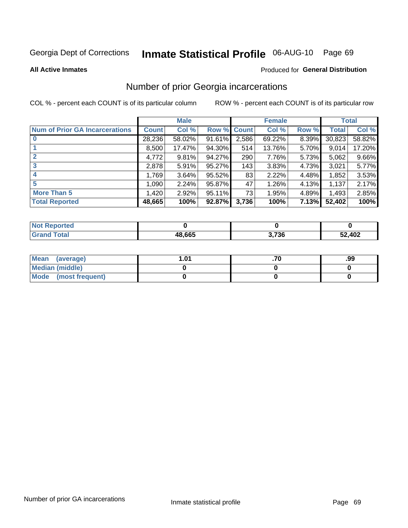# Inmate Statistical Profile 06-AUG-10 Page 69

**All Active Inmates** 

#### **Produced for General Distribution**

## Number of prior Georgia incarcerations

COL % - percent each COUNT is of its particular column

|                                       |              | <b>Male</b> |             |       | <b>Female</b> |       |        | <b>Total</b> |
|---------------------------------------|--------------|-------------|-------------|-------|---------------|-------|--------|--------------|
| <b>Num of Prior GA Incarcerations</b> | <b>Count</b> | Col %       | Row % Count |       | Col %         | Row % | Total  | Col %        |
|                                       | 28,236       | 58.02%      | 91.61%      | 2,586 | 69.22%        | 8.39% | 30,823 | 58.82%       |
|                                       | 8,500        | 17.47%      | 94.30%      | 514   | 13.76%        | 5.70% | 9,014  | 17.20%       |
| $\overline{2}$                        | 4,772        | 9.81%       | 94.27%      | 290   | 7.76%         | 5.73% | 5,062  | 9.66%        |
| 3                                     | 2,878        | 5.91%       | $95.27\%$   | 143   | 3.83%         | 4.73% | 3,021  | 5.77%        |
| $\boldsymbol{4}$                      | 1,769        | 3.64%       | 95.52%      | 83    | 2.22%         | 4.48% | 1,852  | 3.53%        |
| 5                                     | 1,090        | 2.24%       | 95.87%      | 47    | 1.26%         | 4.13% | 1,137  | 2.17%        |
| <b>More Than 5</b>                    | 1,420        | 2.92%       | 95.11%      | 731   | 1.95%         | 4.89% | 1,493  | 2.85%        |
| <b>Total Reported</b>                 | 48,665       | 100%        | 92.87%      | 3,736 | 100%          | 7.13% | 52,402 | 100%         |

| orted<br>NO. |        |       |        |
|--------------|--------|-------|--------|
| .otal<br>Gr  | 48.665 | ነ,736 | 52,402 |

| Mean (average)       | l.01 | .99 |
|----------------------|------|-----|
| Median (middle)      |      |     |
| Mode (most frequent) |      |     |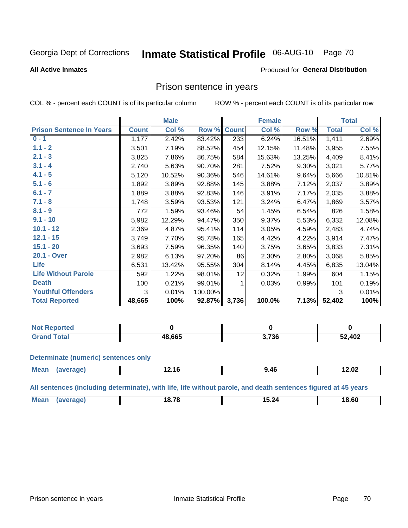# Inmate Statistical Profile 06-AUG-10 Page 70

#### **All Active Inmates**

#### Produced for General Distribution

### Prison sentence in years

COL % - percent each COUNT is of its particular column

ROW % - percent each COUNT is of its particular row

|                                 |              | <b>Male</b> |         |              | <b>Female</b> |          |              | <b>Total</b> |
|---------------------------------|--------------|-------------|---------|--------------|---------------|----------|--------------|--------------|
| <b>Prison Sentence In Years</b> | <b>Count</b> | Col %       | Row %   | <b>Count</b> | Col %         | Row %    | <b>Total</b> | Col %        |
| $0 - 1$                         | 1,177        | 2.42%       | 83.42%  | 233          | 6.24%         | 16.51%   | 1,411        | 2.69%        |
| $1.1 - 2$                       | 3,501        | 7.19%       | 88.52%  | 454          | 12.15%        | 11.48%   | 3,955        | 7.55%        |
| $2.1 - 3$                       | 3,825        | 7.86%       | 86.75%  | 584          | 15.63%        | 13.25%   | 4,409        | 8.41%        |
| $3.1 - 4$                       | 2,740        | 5.63%       | 90.70%  | 281          | 7.52%         | $9.30\%$ | 3,021        | 5.77%        |
| $4.1 - 5$                       | 5,120        | 10.52%      | 90.36%  | 546          | 14.61%        | 9.64%    | 5,666        | 10.81%       |
| $5.1 - 6$                       | 1,892        | 3.89%       | 92.88%  | 145          | 3.88%         | 7.12%    | 2,037        | 3.89%        |
| $6.1 - 7$                       | 1,889        | 3.88%       | 92.83%  | 146          | 3.91%         | 7.17%    | 2,035        | 3.88%        |
| $7.1 - 8$                       | 1,748        | 3.59%       | 93.53%  | 121          | 3.24%         | 6.47%    | 1,869        | 3.57%        |
| $8.1 - 9$                       | 772          | 1.59%       | 93.46%  | 54           | 1.45%         | 6.54%    | 826          | 1.58%        |
| $9.1 - 10$                      | 5,982        | 12.29%      | 94.47%  | 350          | 9.37%         | 5.53%    | 6,332        | 12.08%       |
| $10.1 - 12$                     | 2,369        | 4.87%       | 95.41%  | 114          | 3.05%         | 4.59%    | 2,483        | 4.74%        |
| $12.1 - 15$                     | 3,749        | 7.70%       | 95.78%  | 165          | 4.42%         | 4.22%    | 3,914        | 7.47%        |
| $15.1 - 20$                     | 3,693        | 7.59%       | 96.35%  | 140          | 3.75%         | 3.65%    | 3,833        | 7.31%        |
| 20.1 - Over                     | 2,982        | 6.13%       | 97.20%  | 86           | 2.30%         | 2.80%    | 3,068        | 5.85%        |
| <b>Life</b>                     | 6,531        | 13.42%      | 95.55%  | 304          | 8.14%         | 4.45%    | 6,835        | 13.04%       |
| <b>Life Without Parole</b>      | 592          | 1.22%       | 98.01%  | 12           | 0.32%         | 1.99%    | 604          | 1.15%        |
| <b>Death</b>                    | 100          | 0.21%       | 99.01%  |              | 0.03%         | 0.99%    | 101          | 0.19%        |
| <b>Youthful Offenders</b>       | 3            | 0.01%       | 100.00% |              |               |          | 3            | 0.01%        |
| <b>Total Reported</b>           | 48,665       | 100%        | 92.87%  | 3,736        | 100.0%        | 7.13%    | 52,402       | 100%         |

| <b>Not Reported</b>             |        |       |        |
|---------------------------------|--------|-------|--------|
| A <sub>2</sub><br>$CT^{\prime}$ | 18,665 | 3,736 | 52,402 |

#### **Determinate (numeric) sentences only**

| M <sub>PA</sub><br><br>$\mathbf{r}$<br>.2.16<br>14.04<br>. <b></b> |  |  |  |
|--------------------------------------------------------------------|--|--|--|
|                                                                    |  |  |  |

All sentences (including determinate), with life, life without parole, and death sentences figured at 45 years

| <b>Me</b><br>10 70<br>18.60<br>15.24<br>1ס.<br>_____ |  |  |  |
|------------------------------------------------------|--|--|--|
|                                                      |  |  |  |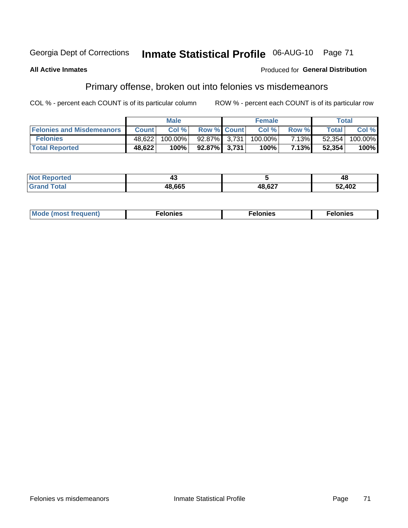#### Inmate Statistical Profile 06-AUG-10 Page 71 Georgia Dept of Corrections

#### **All Active Inmates**

#### **Produced for General Distribution**

## Primary offense, broken out into felonies vs misdemeanors

COL % - percent each COUNT is of its particular column

|                                  |              | <b>Male</b> |                    | <b>Female</b> |       |        | Total   |
|----------------------------------|--------------|-------------|--------------------|---------------|-------|--------|---------|
| <b>Felonies and Misdemeanors</b> | <b>Count</b> | Col%        | <b>Row % Count</b> | Col%          | Row % | Total  | Col %   |
| <b>Felonies</b>                  | 48,622       | 100.00%     | 92.87% 3.731       | 100.00%       | 7.13% | 52,354 | 100.00% |
| <b>Total Reported</b>            | 48,622       | 100%        | 92.87% 3.731       | 100%          | 7.13% | 52,354 | 100%    |

| <b>Not</b><br>Reported | −~     |        | 48     |
|------------------------|--------|--------|--------|
| <b>Grand</b>           | 48,665 | 48,627 | 52,402 |

| Mode (most frequent)<br>elonies | Felonies | Felonies |
|---------------------------------|----------|----------|
|---------------------------------|----------|----------|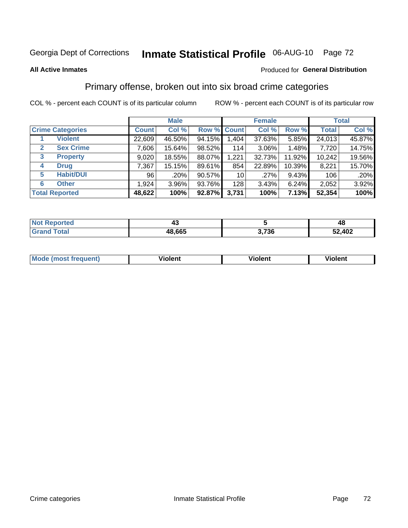# Inmate Statistical Profile 06-AUG-10 Page 72

#### **All Active Inmates**

#### Produced for General Distribution

### Primary offense, broken out into six broad crime categories

COL % - percent each COUNT is of its particular column

|                                 |              | <b>Male</b> |        |                    | <b>Female</b> |        |              | <b>Total</b> |
|---------------------------------|--------------|-------------|--------|--------------------|---------------|--------|--------------|--------------|
| <b>Crime Categories</b>         | <b>Count</b> | Col %       |        | <b>Row % Count</b> | Col %         | Row %  | <b>Total</b> | Col %        |
| <b>Violent</b>                  | 22,609       | 46.50%      | 94.15% | 1,404              | 37.63%        | 5.85%  | 24,013       | 45.87%       |
| <b>Sex Crime</b><br>2           | 7,606        | 15.64%      | 98.52% | 114                | $3.06\%$      | 1.48%  | 7,720        | 14.75%       |
| $\mathbf{3}$<br><b>Property</b> | 9,020        | 18.55%      | 88.07% | 1,221              | 32.73%        | 11.92% | 10,242       | 19.56%       |
| <b>Drug</b><br>4                | 7,367        | 15.15%      | 89.61% | 854                | 22.89%        | 10.39% | 8,221        | 15.70%       |
| <b>Habit/DUI</b><br>5           | 96           | .20%        | 90.57% | 10 <sup>1</sup>    | .27%          | 9.43%  | 106          | .20%         |
| <b>Other</b><br>6               | 1,924        | 3.96%       | 93.76% | 128                | 3.43%         | 6.24%  | 2,052        | 3.92%        |
| <b>Total Reported</b>           | 48,622       | 100%        | 92.87% | 3,731              | 100%          | 7.13%  | 52,354       | 100%         |

| rtea<br>NO |        |      | 48            |
|------------|--------|------|---------------|
| Ento.      | 48,665 | ,736 | 52,402<br>EQ. |

| Mo<br>uent)<br>nos | .<br>/iolent | <br>Violent | - --<br><b>Tiolent</b> |
|--------------------|--------------|-------------|------------------------|
|                    |              |             |                        |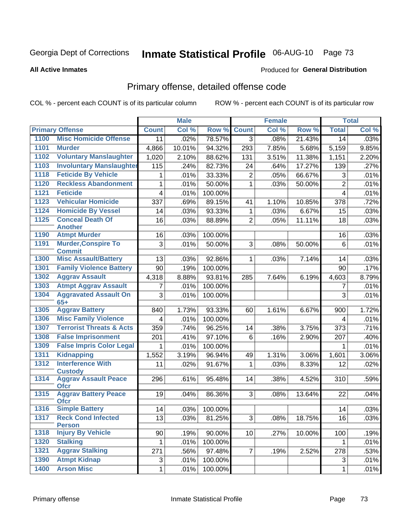# Inmate Statistical Profile 06-AUG-10 Page 73

#### **All Active Inmates**

#### **Produced for General Distribution**

## Primary offense, detailed offense code

COL % - percent each COUNT is of its particular column

|      |                                             |                         | <b>Male</b> |         |                 | <b>Female</b> |        |                         | <b>Total</b> |
|------|---------------------------------------------|-------------------------|-------------|---------|-----------------|---------------|--------|-------------------------|--------------|
|      | <b>Primary Offense</b>                      | <b>Count</b>            | Col %       | Row %   | <b>Count</b>    | Col %         | Row %  | <b>Total</b>            | Col %        |
| 1100 | <b>Misc Homicide Offense</b>                | 11                      | .02%        | 78.57%  | 3 <sup>1</sup>  | .08%          | 21.43% | 14                      | .03%         |
| 1101 | <b>Murder</b>                               | 4,866                   | 10.01%      | 94.32%  | 293             | 7.85%         | 5.68%  | 5,159                   | 9.85%        |
| 1102 | <b>Voluntary Manslaughter</b>               | 1,020                   | 2.10%       | 88.62%  | 131             | 3.51%         | 11.38% | 1,151                   | 2.20%        |
| 1103 | <b>Involuntary Manslaughter</b>             | 115                     | .24%        | 82.73%  | 24              | .64%          | 17.27% | 139                     | .27%         |
| 1118 | <b>Feticide By Vehicle</b>                  | 1                       | .01%        | 33.33%  | $\overline{2}$  | .05%          | 66.67% | 3                       | .01%         |
| 1120 | <b>Reckless Abandonment</b>                 | 1                       | .01%        | 50.00%  | $\mathbf 1$     | .03%          | 50.00% | $\overline{2}$          | .01%         |
| 1121 | <b>Feticide</b>                             | 4                       | .01%        | 100.00% |                 |               |        | $\overline{\mathbf{4}}$ | .01%         |
| 1123 | <b>Vehicular Homicide</b>                   | 337                     | .69%        | 89.15%  | 41              | 1.10%         | 10.85% | 378                     | .72%         |
| 1124 | <b>Homicide By Vessel</b>                   | 14                      | .03%        | 93.33%  | $\mathbf{1}$    | .03%          | 6.67%  | 15                      | .03%         |
| 1125 | <b>Conceal Death Of</b>                     | 16                      | .03%        | 88.89%  | $\overline{2}$  | .05%          | 11.11% | 18                      | .03%         |
|      | <b>Another</b>                              |                         |             |         |                 |               |        |                         |              |
| 1190 | <b>Atmpt Murder</b>                         | 16                      | .03%        | 100.00% |                 |               |        | 16                      | .03%         |
| 1191 | <b>Murder, Conspire To</b><br><b>Commit</b> | 3                       | .01%        | 50.00%  | 3               | .08%          | 50.00% | 6                       | .01%         |
| 1300 | <b>Misc Assault/Battery</b>                 | 13                      | .03%        | 92.86%  | $\mathbf{1}$    | .03%          | 7.14%  | 14                      | .03%         |
| 1301 | <b>Family Violence Battery</b>              | 90                      | .19%        | 100.00% |                 |               |        | 90                      | .17%         |
| 1302 | <b>Aggrav Assault</b>                       | 4,318                   | 8.88%       | 93.81%  | 285             | 7.64%         | 6.19%  | 4,603                   | 8.79%        |
| 1303 | <b>Atmpt Aggrav Assault</b>                 | 7                       | .01%        | 100.00% |                 |               |        | $\overline{7}$          | .01%         |
| 1304 | <b>Aggravated Assault On</b>                | 3                       | .01%        | 100.00% |                 |               |        | 3                       | .01%         |
|      | $65+$                                       |                         |             |         |                 |               |        |                         |              |
| 1305 | <b>Aggrav Battery</b>                       | 840                     | 1.73%       | 93.33%  | 60              | 1.61%         | 6.67%  | 900                     | 1.72%        |
| 1306 | <b>Misc Family Violence</b>                 | $\overline{\mathbf{4}}$ | .01%        | 100.00% |                 |               |        | 4                       | .01%         |
| 1307 | <b>Terrorist Threats &amp; Acts</b>         | 359                     | .74%        | 96.25%  | 14              | .38%          | 3.75%  | 373                     | .71%         |
| 1308 | <b>False Imprisonment</b>                   | 201                     | .41%        | 97.10%  | 6               | .16%          | 2.90%  | 207                     | .40%         |
| 1309 | <b>False Impris Color Legal</b>             | 1                       | .01%        | 100.00% |                 |               |        | 1                       | .01%         |
| 1311 | <b>Kidnapping</b>                           | 1,552                   | 3.19%       | 96.94%  | 49              | 1.31%         | 3.06%  | 1,601                   | 3.06%        |
| 1312 | <b>Interference With</b><br><b>Custody</b>  | 11                      | .02%        | 91.67%  | 1               | .03%          | 8.33%  | 12                      | .02%         |
| 1314 | <b>Aggrav Assault Peace</b><br><b>Ofcr</b>  | 296                     | .61%        | 95.48%  | 14              | .38%          | 4.52%  | 310                     | .59%         |
| 1315 | <b>Aggrav Battery Peace</b><br><b>Ofcr</b>  | 19                      | .04%        | 86.36%  | 3 <sup>1</sup>  | .08%          | 13.64% | 22                      | .04%         |
| 1316 | <b>Simple Battery</b>                       | 14                      | .03%        | 100.00% |                 |               |        | 14                      | .03%         |
| 1317 | <b>Reck Cond Infected</b><br><b>Person</b>  | 13                      | .03%        | 81.25%  | 3               | .08%          | 18.75% | 16                      | .03%         |
| 1318 | <b>Injury By Vehicle</b>                    | 90                      | .19%        | 90.00%  | 10 <sup>1</sup> | .27%          | 10.00% | 100                     | .19%         |
| 1320 | <b>Stalking</b>                             | $\mathbf{1}$            | .01%        | 100.00% |                 |               |        | $\mathbf{1}$            | .01%         |
| 1321 | <b>Aggrav Stalking</b>                      | 271                     | .56%        | 97.48%  | 7 <sup>1</sup>  | .19%          | 2.52%  | 278                     | .53%         |
| 1390 | <b>Atmpt Kidnap</b>                         | 3                       | .01%        | 100.00% |                 |               |        | 3                       | .01%         |
| 1400 | <b>Arson Misc</b>                           | $\mathbf 1$             | .01%        | 100.00% |                 |               |        | $\mathbf{1}$            | .01%         |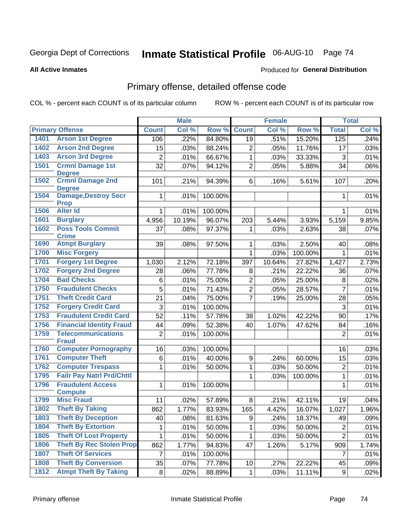# Inmate Statistical Profile 06-AUG-10 Page 74

#### **All Active Inmates**

### **Produced for General Distribution**

## Primary offense, detailed offense code

COL % - percent each COUNT is of its particular column

|      |                                            |                 | <b>Male</b> |         |                 | Female |         |                | <b>Total</b> |
|------|--------------------------------------------|-----------------|-------------|---------|-----------------|--------|---------|----------------|--------------|
|      | <b>Primary Offense</b>                     | <b>Count</b>    | Col %       | Row %   | <b>Count</b>    | Col %  | Row %   | <b>Total</b>   | Col %        |
| 1401 | <b>Arson 1st Degree</b>                    | 106             | .22%        | 84.80%  | 19              | .51%   | 15.20%  | 125            | .24%         |
| 1402 | <b>Arson 2nd Degree</b>                    | 15              | .03%        | 88.24%  | $\overline{2}$  | .05%   | 11.76%  | 17             | .03%         |
| 1403 | <b>Arson 3rd Degree</b>                    | $\overline{2}$  | .01%        | 66.67%  | $\mathbf{1}$    | .03%   | 33.33%  | $\mathbf{3}$   | .01%         |
| 1501 | <b>Crmnl Damage 1st</b>                    | 32              | .07%        | 94.12%  | $\overline{2}$  | .05%   | 5.88%   | 34             | .06%         |
|      | <b>Degree</b>                              |                 |             |         |                 |        |         |                |              |
| 1502 | <b>Crmnl Damage 2nd</b><br><b>Degree</b>   | 101             | .21%        | 94.39%  | 6               | .16%   | 5.61%   | 107            | .20%         |
| 1504 | <b>Damage, Destroy Secr</b><br><b>Prop</b> | 1               | .01%        | 100.00% |                 |        |         | $\mathbf{1}$   | .01%         |
| 1506 | <b>Alter Id</b>                            | $\mathbf{1}$    | .01%        | 100.00% |                 |        |         | $\mathbf{1}$   | .01%         |
| 1601 | <b>Burglary</b>                            | 4,956           | 10.19%      | 96.07%  | 203             | 5.44%  | 3.93%   | 5,159          | 9.85%        |
| 1602 | <b>Poss Tools Commit</b><br><b>Crime</b>   | 37              | .08%        | 97.37%  | 1               | .03%   | 2.63%   | 38             | .07%         |
| 1690 | <b>Atmpt Burglary</b>                      | 39              | .08%        | 97.50%  | 1               | .03%   | 2.50%   | 40             | .08%         |
| 1700 | <b>Misc Forgery</b>                        |                 |             |         | 1               | .03%   | 100.00% | $\mathbf{1}$   | .01%         |
| 1701 | <b>Forgery 1st Degree</b>                  | 1,030           | 2.12%       | 72.18%  | 397             | 10.64% | 27.82%  | 1,427          | 2.73%        |
| 1702 | <b>Forgery 2nd Degree</b>                  | 28              | .06%        | 77.78%  | 8               | .21%   | 22.22%  | 36             | .07%         |
| 1704 | <b>Bad Checks</b>                          | 6               | .01%        | 75.00%  | $\overline{2}$  | .05%   | 25.00%  | $\,8\,$        | .02%         |
| 1750 | <b>Fraudulent Checks</b>                   | $\overline{5}$  | .01%        | 71.43%  | $\overline{2}$  | .05%   | 28.57%  | $\overline{7}$ | .01%         |
| 1751 | <b>Theft Credit Card</b>                   | 21              | .04%        | 75.00%  | $\overline{7}$  | .19%   | 25.00%  | 28             | .05%         |
| 1752 | <b>Forgery Credit Card</b>                 | 3               | .01%        | 100.00% |                 |        |         | 3              | .01%         |
| 1753 | <b>Fraudulent Credit Card</b>              | $\overline{52}$ | .11%        | 57.78%  | 38              | 1.02%  | 42.22%  | 90             | .17%         |
| 1756 | <b>Financial Identity Fraud</b>            | 44              | .09%        | 52.38%  | 40              | 1.07%  | 47.62%  | 84             | .16%         |
| 1759 | <b>Telecommunications</b>                  | $\overline{2}$  | .01%        | 100.00% |                 |        |         | $\overline{2}$ | .01%         |
|      | <b>Fraud</b>                               |                 |             |         |                 |        |         |                |              |
| 1760 | <b>Computer Pornography</b>                | 16              | .03%        | 100.00% |                 |        |         | 16             | .03%         |
| 1761 | <b>Computer Theft</b>                      | 6               | .01%        | 40.00%  | $\mathsf g$     | .24%   | 60.00%  | 15             | .03%         |
| 1762 | <b>Computer Trespass</b>                   | $\mathbf 1$     | .01%        | 50.00%  | $\mathbf{1}$    | .03%   | 50.00%  | $\overline{2}$ | .01%         |
| 1795 | <b>Failr Pay Natrl Prd/Chttl</b>           |                 |             |         | 1               | .03%   | 100.00% | $\mathbf{1}$   | .01%         |
| 1796 | <b>Fraudulent Access</b><br><b>Compute</b> | 1               | .01%        | 100.00% |                 |        |         | $\mathbf{1}$   | .01%         |
| 1799 | <b>Misc Fraud</b>                          | 11              | .02%        | 57.89%  | 8               | .21%   | 42.11%  | 19             | .04%         |
| 1802 | <b>Theft By Taking</b>                     | 862             | 1.77%       | 83.93%  | 165             | 4.42%  | 16.07%  | 1,027          | 1.96%        |
| 1803 | <b>Theft By Deception</b>                  | 40              | .08%        | 81.63%  | 9               | .24%   | 18.37%  | 49             | .09%         |
| 1804 | <b>Theft By Extortion</b>                  | 1               | .01%        | 50.00%  | 1               | .03%   | 50.00%  | $\overline{2}$ | .01%         |
| 1805 | <b>Theft Of Lost Property</b>              | 1               | .01%        | 50.00%  | 1.              | .03%   | 50.00%  | $\overline{2}$ | .01%         |
| 1806 | <b>Theft By Rec Stolen Prop</b>            | 862             | 1.77%       | 94.83%  | 47              | 1.26%  | 5.17%   | 909            | 1.74%        |
| 1807 | <b>Theft Of Services</b>                   | $\overline{7}$  | .01%        | 100.00% |                 |        |         | 7              | .01%         |
| 1808 | <b>Theft By Conversion</b>                 | 35              | .07%        | 77.78%  | 10 <sub>1</sub> | .27%   | 22.22%  | 45             | .09%         |
| 1812 | <b>Atmpt Theft By Taking</b>               | 8               | .02%        | 88.89%  | $\mathbf 1$     | .03%   | 11.11%  | 9              | .02%         |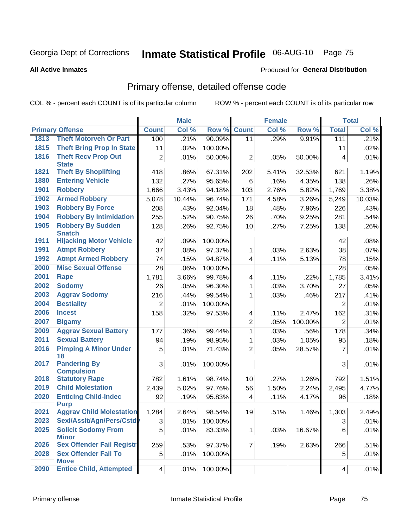# Inmate Statistical Profile 06-AUG-10 Page 75

**Produced for General Distribution** 

#### **All Active Inmates**

## Primary offense, detailed offense code

COL % - percent each COUNT is of its particular column

|      |                                            |                 | <b>Male</b> |         |                         | <b>Female</b> |                    |                         | <b>Total</b> |
|------|--------------------------------------------|-----------------|-------------|---------|-------------------------|---------------|--------------------|-------------------------|--------------|
|      | <b>Primary Offense</b>                     | <b>Count</b>    | Col %       | Row %   | <b>Count</b>            | Col %         | Row %              | <b>Total</b>            | Col %        |
| 1813 | <b>Theft Motorveh Or Part</b>              | 100             | .21%        | 90.09%  | 11                      | .29%          | 9.91%              | 111                     | .21%         |
| 1815 | <b>Theft Bring Prop In State</b>           | 11              | .02%        | 100.00% |                         |               |                    | 11                      | .02%         |
| 1816 | <b>Theft Recv Prop Out</b>                 | $\overline{2}$  | .01%        | 50.00%  | $\overline{2}$          | .05%          | 50.00%             | 4                       | .01%         |
|      | <b>State</b>                               |                 |             |         |                         |               |                    |                         |              |
| 1821 | <b>Theft By Shoplifting</b>                | 418             | .86%        | 67.31%  | 202                     | 5.41%         | 32.53%             | 621                     | 1.19%        |
| 1880 | <b>Entering Vehicle</b>                    | 132             | .27%        | 95.65%  | 6                       | .16%          | 4.35%              | 138                     | .26%         |
| 1901 | <b>Robbery</b>                             | 1,666           | 3.43%       | 94.18%  | 103                     | 2.76%         | $\frac{1}{5.82\%}$ | 1,769                   | 3.38%        |
| 1902 | <b>Armed Robbery</b>                       | 5,078           | 10.44%      | 96.74%  | 171                     | 4.58%         | 3.26%              | 5,249                   | 10.03%       |
| 1903 | <b>Robbery By Force</b>                    | 208             | .43%        | 92.04%  | 18                      | .48%          | 7.96%              | 226                     | .43%         |
| 1904 | <b>Robbery By Intimidation</b>             | 255             | .52%        | 90.75%  | 26                      | .70%          | 9.25%              | 281                     | .54%         |
| 1905 | <b>Robbery By Sudden</b><br><b>Snatch</b>  | 128             | .26%        | 92.75%  | 10                      | .27%          | 7.25%              | 138                     | .26%         |
| 1911 | <b>Hijacking Motor Vehicle</b>             | 42              | .09%        | 100.00% |                         |               |                    | 42                      | .08%         |
| 1991 | <b>Atmpt Robbery</b>                       | 37              | .08%        | 97.37%  | $\mathbf{1}$            | .03%          | 2.63%              | 38                      | .07%         |
| 1992 | <b>Atmpt Armed Robbery</b>                 | 74              | .15%        | 94.87%  | $\overline{4}$          | .11%          | 5.13%              | 78                      | .15%         |
| 2000 | <b>Misc Sexual Offense</b>                 | 28              | .06%        | 100.00% |                         |               |                    | 28                      | .05%         |
| 2001 | <b>Rape</b>                                | 1,781           | 3.66%       | 99.78%  | 4                       | .11%          | .22%               | 1,785                   | 3.41%        |
| 2002 | <b>Sodomy</b>                              | 26              | .05%        | 96.30%  | $\mathbf{1}$            | .03%          | 3.70%              | 27                      | .05%         |
| 2003 | <b>Aggrav Sodomy</b>                       | 216             | .44%        | 99.54%  | $\mathbf{1}$            | .03%          | .46%               | 217                     | .41%         |
| 2004 | <b>Bestiality</b>                          | $\overline{2}$  | .01%        | 100.00% |                         |               |                    | $\overline{2}$          | .01%         |
| 2006 | <b>Incest</b>                              | 158             | .32%        | 97.53%  | 4                       | .11%          | 2.47%              | 162                     | .31%         |
| 2007 | <b>Bigamy</b>                              |                 |             |         | $\overline{2}$          | .05%          | 100.00%            | $\overline{2}$          | .01%         |
| 2009 | <b>Aggrav Sexual Battery</b>               | 177             | .36%        | 99.44%  | $\mathbf{1}$            | .03%          | .56%               | 178                     | .34%         |
| 2011 | <b>Sexual Battery</b>                      | 94              | .19%        | 98.95%  | $\mathbf{1}$            | .03%          | 1.05%              | 95                      | .18%         |
| 2016 | <b>Pimping A Minor Under</b><br>18         | 5               | .01%        | 71.43%  | $\overline{2}$          | .05%          | 28.57%             | $\overline{7}$          | .01%         |
| 2017 | <b>Pandering By</b>                        | 3 <sup>1</sup>  | .01%        | 100.00% |                         |               |                    | 3                       | .01%         |
|      | <b>Compulsion</b>                          |                 |             |         |                         |               |                    |                         |              |
| 2018 | <b>Statutory Rape</b>                      | 782             | 1.61%       | 98.74%  | 10 <sup>1</sup>         | .27%          | 1.26%              | 792                     | 1.51%        |
| 2019 | <b>Child Molestation</b>                   | 2,439           | 5.02%       | 97.76%  | 56                      | 1.50%         | 2.24%              | 2,495                   | 4.77%        |
| 2020 | <b>Enticing Child-Indec</b><br><b>Purp</b> | 92              | .19%        | 95.83%  | $\overline{\mathbf{4}}$ | .11%          | 4.17%              | 96                      | .18%         |
| 2021 | <b>Aggrav Child Molestation</b>            | 1,284           | 2.64%       | 98.54%  | 19                      | $.51\%$       | 1.46%              | 1,303                   | 2.49%        |
| 2023 | SexI/AssIt/Agn/Pers/Cstdv                  | 3               | .01%        | 100.00% |                         |               |                    | $\sqrt{3}$              | .01%         |
| 2025 | <b>Solicit Sodomy From</b>                 | 5               | .01%        | 83.33%  | $\mathbf{1}$            | .03%          | 16.67%             | 6                       | .01%         |
|      | <b>Minor</b>                               |                 |             |         |                         |               |                    |                         |              |
| 2026 | <b>Sex Offender Fail Registr</b>           | 259             | .53%        | 97.37%  | $\overline{7}$          | .19%          | 2.63%              | 266                     | .51%         |
| 2028 | <b>Sex Offender Fail To</b><br><b>Move</b> | 5 <sup>1</sup>  | .01%        | 100.00% |                         |               |                    | 5                       | .01%         |
| 2090 | <b>Entice Child, Attempted</b>             | $\vert 4 \vert$ | .01%        | 100.00% |                         |               |                    | $\overline{\mathbf{4}}$ | .01%         |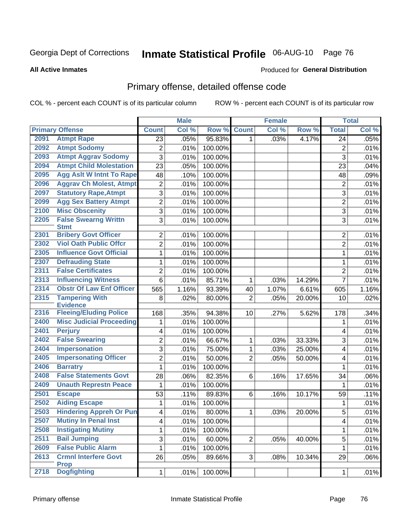# Inmate Statistical Profile 06-AUG-10 Page 76

#### **All Active Inmates**

### **Produced for General Distribution**

## Primary offense, detailed offense code

COL % - percent each COUNT is of its particular column

|      |                                            |                         | <b>Male</b> |         |                 | <b>Female</b> |        |                         | <b>Total</b> |
|------|--------------------------------------------|-------------------------|-------------|---------|-----------------|---------------|--------|-------------------------|--------------|
|      | <b>Primary Offense</b>                     | <b>Count</b>            | Col %       | Row %   | <b>Count</b>    | Col %         | Row %  | <b>Total</b>            | Col %        |
| 2091 | <b>Atmpt Rape</b>                          | 23                      | .05%        | 95.83%  | $\mathbf{1}$    | .03%          | 4.17%  | 24                      | .05%         |
| 2092 | <b>Atmpt Sodomy</b>                        | 2                       | .01%        | 100.00% |                 |               |        | $\overline{c}$          | .01%         |
| 2093 | <b>Atmpt Aggrav Sodomy</b>                 | 3                       | .01%        | 100.00% |                 |               |        | $\overline{3}$          | .01%         |
| 2094 | <b>Atmpt Child Molestation</b>             | 23                      | .05%        | 100.00% |                 |               |        | 23                      | .04%         |
| 2095 | <b>Agg Aslt W Intnt To Rape</b>            | 48                      | .10%        | 100.00% |                 |               |        | 48                      | .09%         |
| 2096 | <b>Aggrav Ch Molest, Atmpt</b>             | $\overline{c}$          | .01%        | 100.00% |                 |               |        | 2                       | .01%         |
| 2097 | <b>Statutory Rape, Atmpt</b>               | $\overline{3}$          | .01%        | 100.00% |                 |               |        | 3                       | .01%         |
| 2099 | <b>Agg Sex Battery Atmpt</b>               | $\overline{2}$          | .01%        | 100.00% |                 |               |        | $\overline{2}$          | .01%         |
| 2100 | <b>Misc Obscenity</b>                      | 3                       | .01%        | 100.00% |                 |               |        | 3                       | .01%         |
| 2205 | <b>False Swearng Writtn</b><br><b>Stmt</b> | 3                       | .01%        | 100.00% |                 |               |        | 3                       | .01%         |
| 2301 | <b>Bribery Govt Officer</b>                | $\overline{2}$          | .01%        | 100.00% |                 |               |        | 2                       | .01%         |
| 2302 | <b>Viol Oath Public Offcr</b>              | $\overline{2}$          | .01%        | 100.00% |                 |               |        | 2                       | .01%         |
| 2305 | <b>Influence Govt Official</b>             | $\mathbf{1}$            | .01%        | 100.00% |                 |               |        | $\mathbf{1}$            | .01%         |
| 2307 | <b>Defrauding State</b>                    | $\mathbf{1}$            | .01%        | 100.00% |                 |               |        | 1                       | .01%         |
| 2311 | <b>False Certificates</b>                  | $\overline{2}$          | .01%        | 100.00% |                 |               |        | $\overline{2}$          | .01%         |
| 2313 | <b>Influencing Witness</b>                 | 6                       | .01%        | 85.71%  | $\mathbf{1}$    | .03%          | 14.29% | $\overline{7}$          | .01%         |
| 2314 | <b>Obstr Of Law Enf Officer</b>            | 565                     | 1.16%       | 93.39%  | 40              | 1.07%         | 6.61%  | 605                     | 1.16%        |
| 2315 | <b>Tampering With</b><br><b>Evidence</b>   | 8                       | .02%        | 80.00%  | $\overline{2}$  | .05%          | 20.00% | 10                      | .02%         |
| 2316 | <b>Fleeing/Eluding Police</b>              | 168                     | .35%        | 94.38%  | 10 <sup>1</sup> | .27%          | 5.62%  | 178                     | .34%         |
| 2400 | <b>Misc Judicial Proceeding</b>            | 1                       | .01%        | 100.00% |                 |               |        | 1                       | .01%         |
| 2401 | <b>Perjury</b>                             | 4                       | .01%        | 100.00% |                 |               |        | 4                       | .01%         |
| 2402 | <b>False Swearing</b>                      | 2                       | .01%        | 66.67%  | $\mathbf{1}$    | .03%          | 33.33% | 3                       | .01%         |
| 2404 | <b>Impersonation</b>                       | 3                       | .01%        | 75.00%  | $\mathbf{1}$    | .03%          | 25.00% | 4                       | .01%         |
| 2405 | <b>Impersonating Officer</b>               | $\overline{2}$          | .01%        | 50.00%  | $\overline{2}$  | .05%          | 50.00% | 4                       | .01%         |
| 2406 | <b>Barratry</b>                            | $\mathbf 1$             | .01%        | 100.00% |                 |               |        | $\mathbf 1$             | .01%         |
| 2408 | <b>False Statements Govt</b>               | 28                      | .06%        | 82.35%  | 6               | .16%          | 17.65% | 34                      | .06%         |
| 2409 | <b>Unauth Represtn Peace</b>               | 1                       | .01%        | 100.00% |                 |               |        | 1                       | .01%         |
| 2501 | <b>Escape</b>                              | 53                      | .11%        | 89.83%  | 6               | .16%          | 10.17% | 59                      | .11%         |
| 2502 | <b>Aiding Escape</b>                       | 1                       | .01%        | 100.00% |                 |               |        | 1                       | .01%         |
| 2503 | <b>Hindering Appreh Or Pun</b>             | $\overline{4}$          | .01%        | 80.00%  | $\mathbf{1}$    | .03%          | 20.00% | 5                       | .01%         |
| 2507 | <b>Mutiny In Penal Inst</b>                | $\overline{\mathbf{4}}$ | .01%        | 100.00% |                 |               |        | $\overline{\mathbf{4}}$ | .01%         |
| 2508 | <b>Instigating Mutiny</b>                  | $\mathbf 1$             | .01%        | 100.00% |                 |               |        | $\mathbf{1}$            | .01%         |
| 2511 | <b>Bail Jumping</b>                        | 3                       | .01%        | 60.00%  | $\overline{2}$  | .05%          | 40.00% | $\overline{5}$          | .01%         |
| 2609 | <b>False Public Alarm</b>                  | $\mathbf 1$             | .01%        | 100.00% |                 |               |        | $\mathbf 1$             | .01%         |
| 2613 | <b>Crmnl Interfere Govt</b><br><b>Prop</b> | 26                      | .05%        | 89.66%  | 3 <sup>1</sup>  | .08%          | 10.34% | 29                      | .06%         |
| 2718 | <b>Dogfighting</b>                         | 1                       | .01%        | 100.00% |                 |               |        | $\mathbf{1}$            | .01%         |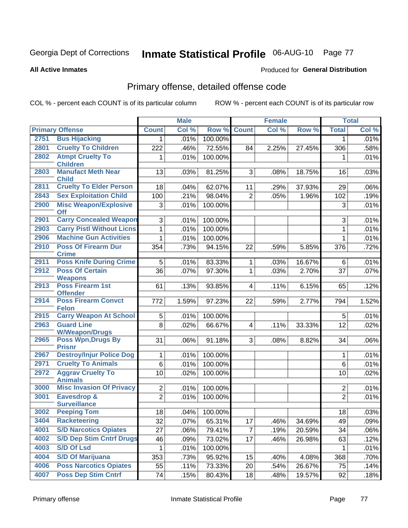# Inmate Statistical Profile 06-AUG-10 Page 77

**All Active Inmates** 

#### **Produced for General Distribution**

## Primary offense, detailed offense code

COL % - percent each COUNT is of its particular column

|      |                                               |                | <b>Male</b> |         |                         | Female |        |                | <b>Total</b> |
|------|-----------------------------------------------|----------------|-------------|---------|-------------------------|--------|--------|----------------|--------------|
|      | <b>Primary Offense</b>                        | <b>Count</b>   | Col %       | Row %   | <b>Count</b>            | Col %  | Row %  | <b>Total</b>   | Col %        |
| 2751 | <b>Bus Hijacking</b>                          | 1 <sup>1</sup> | .01%        | 100.00% |                         |        |        | 1              | .01%         |
| 2801 | <b>Cruelty To Children</b>                    | 222            | .46%        | 72.55%  | 84                      | 2.25%  | 27.45% | 306            | .58%         |
| 2802 | <b>Atmpt Cruelty To</b><br><b>Children</b>    | 1              | .01%        | 100.00% |                         |        |        | 1              | .01%         |
| 2803 | <b>Manufact Meth Near</b><br><b>Child</b>     | 13             | .03%        | 81.25%  | 3                       | .08%   | 18.75% | 16             | .03%         |
| 2811 | <b>Cruelty To Elder Person</b>                | 18             | .04%        | 62.07%  | 11                      | .29%   | 37.93% | 29             | .06%         |
| 2843 | <b>Sex Exploitation Child</b>                 | 100            | .21%        | 98.04%  | $\overline{2}$          | .05%   | 1.96%  | 102            | .19%         |
| 2900 | <b>Misc Weapon/Explosive</b><br><b>Off</b>    | 3              | .01%        | 100.00% |                         |        |        | 3              | .01%         |
| 2901 | <b>Carry Concealed Weapon</b>                 | 3 <sup>1</sup> | .01%        | 100.00% |                         |        |        | 3              | .01%         |
| 2903 | <b>Carry Pistl Without Licns</b>              | 1              | .01%        | 100.00% |                         |        |        | $\mathbf{1}$   | .01%         |
| 2906 | <b>Machine Gun Activities</b>                 | $\mathbf{1}$   | .01%        | 100.00% |                         |        |        | 1              | .01%         |
| 2910 | <b>Poss Of Firearm Dur</b><br><b>Crime</b>    | 354            | .73%        | 94.15%  | 22                      | .59%   | 5.85%  | 376            | .72%         |
| 2911 | <b>Poss Knife During Crime</b>                | 5              | .01%        | 83.33%  | 1                       | .03%   | 16.67% | 6              | .01%         |
| 2912 | <b>Poss Of Certain</b><br><b>Weapons</b>      | 36             | .07%        | 97.30%  | 1                       | .03%   | 2.70%  | 37             | .07%         |
| 2913 | <b>Poss Firearm 1st</b><br><b>Offender</b>    | 61             | .13%        | 93.85%  | $\overline{\mathbf{4}}$ | .11%   | 6.15%  | 65             | .12%         |
| 2914 | <b>Poss Firearm Convct</b><br><b>Felon</b>    | 772            | 1.59%       | 97.23%  | 22                      | .59%   | 2.77%  | 794            | 1.52%        |
| 2915 | <b>Carry Weapon At School</b>                 | 5 <sup>1</sup> | .01%        | 100.00% |                         |        |        | 5              | .01%         |
| 2963 | <b>Guard Line</b><br><b>W/Weapon/Drugs</b>    | 8              | .02%        | 66.67%  | $\overline{4}$          | .11%   | 33.33% | 12             | .02%         |
| 2965 | <b>Poss Wpn, Drugs By</b><br><b>Prisnr</b>    | 31             | .06%        | 91.18%  | 3                       | .08%   | 8.82%  | 34             | .06%         |
| 2967 | <b>Destroy/Injur Police Dog</b>               | 1              | .01%        | 100.00% |                         |        |        | 1              | .01%         |
| 2971 | <b>Cruelty To Animals</b>                     | 6              | .01%        | 100.00% |                         |        |        | 6              | .01%         |
| 2972 | <b>Aggrav Cruelty To</b><br><b>Animals</b>    | 10             | .02%        | 100.00% |                         |        |        | 10             | .02%         |
| 3000 | <b>Misc Invasion Of Privacy</b>               | $\overline{2}$ | .01%        | 100.00% |                         |        |        | $\overline{2}$ | .01%         |
| 3001 | <b>Eavesdrop &amp;</b><br><b>Surveillance</b> | $\overline{2}$ | .01%        | 100.00% |                         |        |        | $\overline{2}$ | .01%         |
| 3002 | <b>Peeping Tom</b>                            | 18             | .04%        | 100.00% |                         |        |        | 18             | .03%         |
| 3404 | <b>Racketeering</b>                           | 32             | .07%        | 65.31%  | 17                      | .46%   | 34.69% | 49             | .09%         |
| 4001 | <b>S/D Narcotics Opiates</b>                  | 27             | .06%        | 79.41%  | $\overline{7}$          | .19%   | 20.59% | 34             | .06%         |
| 4002 | <b>S/D Dep Stim Cntrf Drugs</b>               | 46             | .09%        | 73.02%  | 17                      | .46%   | 26.98% | 63             | .12%         |
| 4003 | <b>S/D Of Lsd</b>                             | 1              | .01%        | 100.00% |                         |        |        | 1              | .01%         |
| 4004 | <b>S/D Of Marijuana</b>                       | 353            | .73%        | 95.92%  | 15                      | .40%   | 4.08%  | 368            | .70%         |
| 4006 | <b>Poss Narcotics Opiates</b>                 | 55             | .11%        | 73.33%  | 20                      | .54%   | 26.67% | 75             | .14%         |
| 4007 | <b>Poss Dep Stim Cntrf</b>                    | 74             | .15%        | 80.43%  | 18                      | .48%   | 19.57% | 92             | .18%         |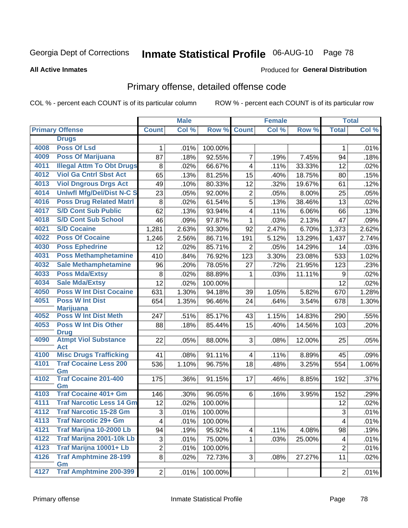# Inmate Statistical Profile 06-AUG-10 Page 78

#### **All Active Inmates**

#### **Produced for General Distribution**

## Primary offense, detailed offense code

COL % - percent each COUNT is of its particular column

|      |                                            |                | <b>Male</b> |         |                         | <b>Female</b> |        |                | <b>Total</b> |
|------|--------------------------------------------|----------------|-------------|---------|-------------------------|---------------|--------|----------------|--------------|
|      | <b>Primary Offense</b>                     | <b>Count</b>   | Col %       | Row %   | <b>Count</b>            | Col %         | Row %  | <b>Total</b>   | Col %        |
|      | <b>Drugs</b>                               |                |             |         |                         |               |        |                |              |
| 4008 | <b>Poss Of Lsd</b>                         | $\mathbf{1}$   | .01%        | 100.00% |                         |               |        | 1              | .01%         |
| 4009 | <b>Poss Of Marijuana</b>                   | 87             | .18%        | 92.55%  | $\overline{7}$          | .19%          | 7.45%  | 94             | .18%         |
| 4011 | <b>Illegal Attm To Obt Drugs</b>           | 8              | .02%        | 66.67%  | $\overline{\mathbf{4}}$ | .11%          | 33.33% | 12             | .02%         |
| 4012 | <b>Viol Ga Cntrl Sbst Act</b>              | 65             | .13%        | 81.25%  | 15                      | .40%          | 18.75% | 80             | .15%         |
| 4013 | <b>Viol Dngrous Drgs Act</b>               | 49             | .10%        | 80.33%  | 12                      | .32%          | 19.67% | 61             | .12%         |
| 4014 | <b>Uniwfl Mfg/Del/Dist N-C S</b>           | 23             | .05%        | 92.00%  | $\overline{c}$          | .05%          | 8.00%  | 25             | .05%         |
| 4016 | <b>Poss Drug Related Matri</b>             | 8              | .02%        | 61.54%  | $\overline{5}$          | .13%          | 38.46% | 13             | .02%         |
| 4017 | <b>S/D Cont Sub Public</b>                 | 62             | .13%        | 93.94%  | 4                       | .11%          | 6.06%  | 66             | .13%         |
| 4018 | <b>S/D Cont Sub School</b>                 | 46             | .09%        | 97.87%  | $\mathbf{1}$            | .03%          | 2.13%  | 47             | .09%         |
| 4021 | <b>S/D Cocaine</b>                         | 1,281          | 2.63%       | 93.30%  | 92                      | 2.47%         | 6.70%  | 1,373          | 2.62%        |
| 4022 | <b>Poss Of Cocaine</b>                     | 1,246          | 2.56%       | 86.71%  | 191                     | 5.12%         | 13.29% | 1,437          | 2.74%        |
| 4030 | <b>Poss Ephedrine</b>                      | 12             | .02%        | 85.71%  | $\overline{2}$          | .05%          | 14.29% | 14             | .03%         |
| 4031 | <b>Poss Methamphetamine</b>                | 410            | .84%        | 76.92%  | 123                     | 3.30%         | 23.08% | 533            | 1.02%        |
| 4032 | <b>Sale Methamphetamine</b>                | 96             | .20%        | 78.05%  | 27                      | .72%          | 21.95% | 123            | .23%         |
| 4033 | <b>Poss Mda/Extsy</b>                      | 8              | .02%        | 88.89%  | 1                       | .03%          | 11.11% | 9              | .02%         |
| 4034 | <b>Sale Mda/Extsy</b>                      | 12             | .02%        | 100.00% |                         |               |        | 12             | .02%         |
| 4050 | <b>Poss W Int Dist Cocaine</b>             | 631            | 1.30%       | 94.18%  | 39                      | 1.05%         | 5.82%  | 670            | 1.28%        |
| 4051 | <b>Poss W Int Dist</b>                     | 654            | 1.35%       | 96.46%  | 24                      | .64%          | 3.54%  | 678            | 1.30%        |
|      | <b>Marijuana</b>                           |                |             |         |                         |               |        |                |              |
| 4052 | <b>Poss W Int Dist Meth</b>                | 247            | .51%        | 85.17%  | 43                      | 1.15%         | 14.83% | 290            | .55%         |
| 4053 | <b>Poss W Int Dis Other</b><br><b>Drug</b> | 88             | .18%        | 85.44%  | 15                      | .40%          | 14.56% | 103            | .20%         |
| 4090 | <b>Atmpt Viol Substance</b>                | 22             | .05%        | 88.00%  | 3                       | .08%          | 12.00% | 25             | .05%         |
|      | Act                                        |                |             |         |                         |               |        |                |              |
| 4100 | <b>Misc Drugs Trafficking</b>              | 41             | .08%        | 91.11%  | 4                       | .11%          | 8.89%  | 45             | .09%         |
| 4101 | <b>Traf Cocaine Less 200</b>               | 536            | 1.10%       | 96.75%  | 18                      | .48%          | 3.25%  | 554            | 1.06%        |
| 4102 | Gm<br><b>Traf Cocaine 201-400</b>          | 175            | .36%        | 91.15%  | 17                      | .46%          | 8.85%  | 192            | .37%         |
|      | Gm                                         |                |             |         |                         |               |        |                |              |
| 4103 | <b>Traf Cocaine 401+ Gm</b>                | 146            | .30%        | 96.05%  | 6                       | .16%          | 3.95%  | 152            | .29%         |
| 4111 | <b>Traf Narcotic Less 14 Gm</b>            | 12             | .02%        | 100.00% |                         |               |        | 12             | .02%         |
| 4112 | <b>Traf Narcotic 15-28 Gm</b>              | $\overline{3}$ | .01%        | 100.00% |                         |               |        | 3              | .01%         |
| 4113 | <b>Traf Narcotic 29+ Gm</b>                | 4              | .01%        | 100.00% |                         |               |        | 4              | .01%         |
| 4121 | Traf Marijna 10-2000 Lb                    | 94             | .19%        | 95.92%  | 4                       | .11%          | 4.08%  | 98             | .19%         |
| 4122 | Traf Marijna 2001-10k Lb                   | 3              | .01%        | 75.00%  | $\mathbf{1}$            | .03%          | 25.00% | 4              | .01%         |
| 4123 | Traf Marijna 10001+ Lb                     | $\overline{2}$ | .01%        | 100.00% |                         |               |        | $\overline{2}$ | .01%         |
| 4126 | <b>Traf Amphtmine 28-199</b>               | 8              | .02%        | 72.73%  | 3 <sup>1</sup>          | .08%          | 27.27% | 11             | .02%         |
|      | Gm<br><b>Traf Amphtmine 200-399</b>        |                |             |         |                         |               |        |                |              |
| 4127 |                                            | 2              | .01%        | 100.00% |                         |               |        | 2 <sup>1</sup> | .01%         |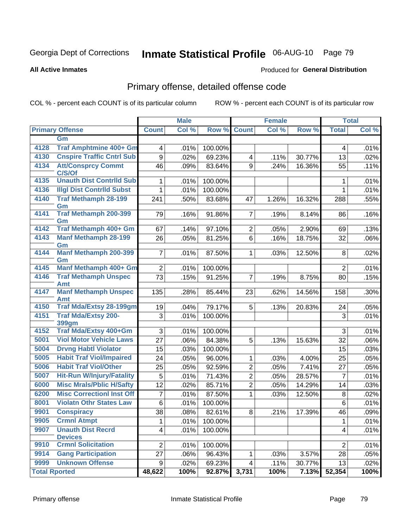# Inmate Statistical Profile 06-AUG-10 Page 79

**Produced for General Distribution** 

#### **All Active Inmates**

## Primary offense, detailed offense code

COL % - percent each COUNT is of its particular column

|                      |                                             |                         | <b>Male</b> |         |                | <b>Female</b> |        |                | <b>Total</b> |
|----------------------|---------------------------------------------|-------------------------|-------------|---------|----------------|---------------|--------|----------------|--------------|
|                      | <b>Primary Offense</b>                      | <b>Count</b>            | Col %       | Row %   | <b>Count</b>   | Col %         | Row %  | <b>Total</b>   | Col %        |
|                      | Gm                                          |                         |             |         |                |               |        |                |              |
| 4128                 | Traf Amphtmine 400+ Gm                      | $\overline{\mathbf{4}}$ | .01%        | 100.00% |                |               |        | 4              | .01%         |
| 4130                 | <b>Cnspire Traffic Cntrl Sub</b>            | 9                       | .02%        | 69.23%  | $\overline{4}$ | .11%          | 30.77% | 13             | .02%         |
| 4134                 | <b>Att/Consprcy Commt</b><br>C/S/Of         | 46                      | .09%        | 83.64%  | 9              | .24%          | 16.36% | 55             | .11%         |
| 4135                 | <b>Unauth Dist Contrild Sub</b>             | 1                       | .01%        | 100.00% |                |               |        | 1              | .01%         |
| 4136                 | <b>Illgl Dist Contrild Subst</b>            | 1                       | .01%        | 100.00% |                |               |        | 1              | .01%         |
| 4140                 | <b>Traf Methamph 28-199</b>                 | 241                     | .50%        | 83.68%  | 47             | 1.26%         | 16.32% | 288            | .55%         |
|                      | Gm                                          |                         |             |         |                |               |        |                |              |
| 4141                 | <b>Traf Methamph 200-399</b>                | 79                      | .16%        | 91.86%  | $\overline{7}$ | .19%          | 8.14%  | 86             | .16%         |
| 4142                 | Gm<br>Traf Methamph 400+ Gm                 |                         |             | 97.10%  |                |               |        |                |              |
| 4143                 | <b>Manf Methamph 28-199</b>                 | 67                      | .14%        |         | 2 <br>6        | .05%          | 2.90%  | 69             | .13%         |
|                      | Gm                                          | 26                      | .05%        | 81.25%  |                | .16%          | 18.75% | 32             | .06%         |
| 4144                 | <b>Manf Methamph 200-399</b>                | $\overline{7}$          | .01%        | 87.50%  | 1 <sup>1</sup> | .03%          | 12.50% | 8              | .02%         |
|                      | Gm                                          |                         |             |         |                |               |        |                |              |
| 4145                 | Manf Methamph 400+ Gm                       | $\overline{2}$          | .01%        | 100.00% |                |               |        | $\overline{2}$ | .01%         |
| 4146                 | <b>Traf Methamph Unspec</b><br>Amt          | 73                      | .15%        | 91.25%  | $\overline{7}$ | .19%          | 8.75%  | 80             | .15%         |
| 4147                 | <b>Manf Methamph Unspec</b>                 | 135                     | .28%        | 85.44%  | 23             | .62%          | 14.56% | 158            | .30%         |
|                      | Amt                                         |                         |             |         |                |               |        |                |              |
| 4150                 | <b>Traf Mda/Extsy 28-199gm</b>              | 19                      | .04%        | 79.17%  | 5              | .13%          | 20.83% | 24             | .05%         |
| 4151                 | <b>Traf Mda/Extsy 200-</b>                  | 3                       | .01%        | 100.00% |                |               |        | 3              | .01%         |
| 4152                 | 399gm<br>Traf Mda/Extsy 400+Gm              |                         |             |         |                |               |        |                |              |
|                      | <b>Viol Motor Vehicle Laws</b>              | 3                       | .01%        | 100.00% |                |               |        | 3              | .01%         |
| 5001                 |                                             | 27                      | .06%        | 84.38%  | 5              | .13%          | 15.63% | 32             | .06%         |
| 5004                 | <b>Drvng Habtl Violator</b>                 | 15                      | .03%        | 100.00% |                |               |        | 15             | .03%         |
| 5005                 | <b>Habit Traf Viol/Impaired</b>             | 24                      | .05%        | 96.00%  | $\mathbf{1}$   | .03%          | 4.00%  | 25             | .05%         |
| 5006                 | <b>Habit Traf Viol/Other</b>                | 25                      | .05%        | 92.59%  | $\overline{2}$ | .05%          | 7.41%  | 27             | .05%         |
| 5007                 | <b>Hit-Run W/Injury/Fatality</b>            | 5                       | .01%        | 71.43%  | $\overline{2}$ | .05%          | 28.57% | $\overline{7}$ | .01%         |
| 6000                 | <b>Misc Mrals/Pblic H/Safty</b>             | 12                      | .02%        | 85.71%  | $\overline{2}$ | .05%          | 14.29% | 14             | .03%         |
| 6200                 | <b>Misc CorrectionI Inst Off</b>            | 7                       | .01%        | 87.50%  | $\mathbf{1}$   | .03%          | 12.50% | 8              | .02%         |
| 8001                 | <b>Violatn Othr States Law</b>              | 6                       | .01%        | 100.00% |                |               |        | 6              | .01%         |
| 9901                 | <b>Conspiracy</b>                           | 38                      | .08%        | 82.61%  | 8              | .21%          | 17.39% | 46             | .09%         |
| 9905                 | <b>Crmnl Atmpt</b>                          | 1                       | .01%        | 100.00% |                |               |        | 1              | .01%         |
| 9907                 | <b>Unauth Dist Recrd</b>                    | $\overline{\mathbf{4}}$ | .01%        | 100.00% |                |               |        | 4              | .01%         |
| 9910                 | <b>Devices</b><br><b>Crmnl Solicitation</b> | $\overline{2}$          |             | 100.00% |                |               |        | $\overline{2}$ | .01%         |
| 9914                 | <b>Gang Participation</b>                   | 27                      | .01%        |         |                |               |        |                |              |
| 9999                 | <b>Unknown Offense</b>                      |                         | .06%        | 96.43%  | 1              | .03%          | 3.57%  | 28             | .05%         |
|                      |                                             | 9                       | .02%        | 69.23%  | $\overline{4}$ | .11%          | 30.77% | 13             | .02%         |
| <b>Total Rported</b> |                                             | 48,622                  | 100%        | 92.87%  | 3,731          | 100%          | 7.13%  | 52,354         | 100%         |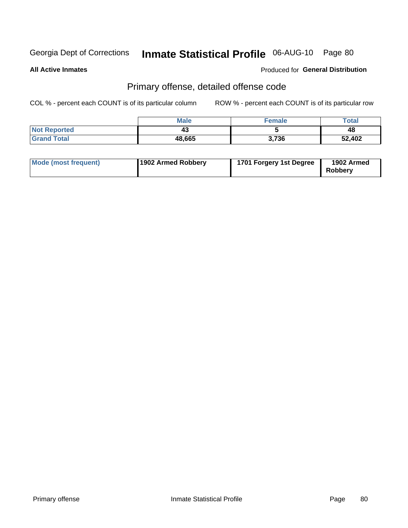# Inmate Statistical Profile 06-AUG-10 Page 80

**All Active Inmates** 

### **Produced for General Distribution**

## Primary offense, detailed offense code

COL % - percent each COUNT is of its particular column

|                     | Male   | <b>Female</b> | Total  |
|---------------------|--------|---------------|--------|
| <b>Not Reported</b> | 40     |               | 48     |
| <b>Grand Total</b>  | 48,665 | 3,736         | 52,402 |

| Mode (most frequent) | 1902 Armed Robbery | 1701 Forgery 1st Degree | 1902 Armed<br>Robbery |
|----------------------|--------------------|-------------------------|-----------------------|
|----------------------|--------------------|-------------------------|-----------------------|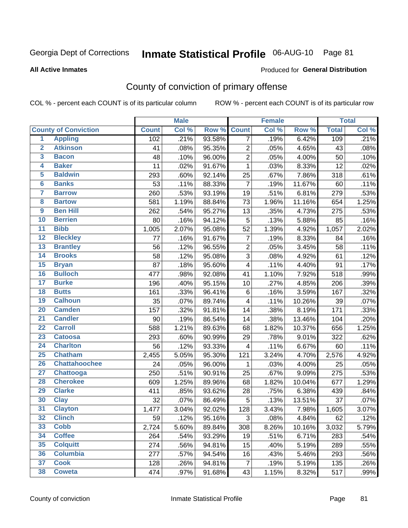# Inmate Statistical Profile 06-AUG-10 Page 81

Produced for General Distribution

#### **All Active Inmates**

## County of conviction of primary offense

COL % - percent each COUNT is of its particular column

|                         |                             |              | <b>Male</b> |        |                         | <b>Female</b> |        |              | <b>Total</b> |
|-------------------------|-----------------------------|--------------|-------------|--------|-------------------------|---------------|--------|--------------|--------------|
|                         | <b>County of Conviction</b> | <b>Count</b> | Col %       | Row %  | <b>Count</b>            | Col %         | Row %  | <b>Total</b> | Col %        |
| 1                       | <b>Appling</b>              | 102          | .21%        | 93.58% | $\overline{7}$          | .19%          | 6.42%  | 109          | .21%         |
| $\overline{2}$          | <b>Atkinson</b>             | 41           | .08%        | 95.35% | $\overline{2}$          | .05%          | 4.65%  | 43           | .08%         |
| 3                       | <b>Bacon</b>                | 48           | .10%        | 96.00% | $\overline{2}$          | .05%          | 4.00%  | 50           | .10%         |
| 4                       | <b>Baker</b>                | 11           | .02%        | 91.67% | $\mathbf{1}$            | .03%          | 8.33%  | 12           | .02%         |
| 5                       | <b>Baldwin</b>              | 293          | .60%        | 92.14% | 25                      | .67%          | 7.86%  | 318          | .61%         |
| $6\phantom{a}$          | <b>Banks</b>                | 53           | .11%        | 88.33% | $\overline{7}$          | .19%          | 11.67% | 60           | .11%         |
| 7                       | <b>Barrow</b>               | 260          | .53%        | 93.19% | 19                      | .51%          | 6.81%  | 279          | .53%         |
| $\overline{\mathbf{8}}$ | <b>Bartow</b>               | 581          | 1.19%       | 88.84% | 73                      | 1.96%         | 11.16% | 654          | 1.25%        |
| $\overline{9}$          | <b>Ben Hill</b>             | 262          | .54%        | 95.27% | 13                      | .35%          | 4.73%  | 275          | .53%         |
| 10                      | <b>Berrien</b>              | 80           | .16%        | 94.12% | 5                       | .13%          | 5.88%  | 85           | .16%         |
| 11                      | <b>Bibb</b>                 | 1,005        | 2.07%       | 95.08% | 52                      | 1.39%         | 4.92%  | 1,057        | 2.02%        |
| $\overline{12}$         | <b>Bleckley</b>             | 77           | .16%        | 91.67% | $\overline{7}$          | .19%          | 8.33%  | 84           | .16%         |
| $\overline{13}$         | <b>Brantley</b>             | 56           | .12%        | 96.55% | $\overline{2}$          | .05%          | 3.45%  | 58           | .11%         |
| $\overline{14}$         | <b>Brooks</b>               | 58           | .12%        | 95.08% | $\mathfrak{S}$          | .08%          | 4.92%  | 61           | .12%         |
| $\overline{15}$         | <b>Bryan</b>                | 87           | .18%        | 95.60% | $\overline{\mathbf{4}}$ | .11%          | 4.40%  | 91           | .17%         |
| 16                      | <b>Bulloch</b>              | 477          | .98%        | 92.08% | 41                      | 1.10%         | 7.92%  | 518          | .99%         |
| $\overline{17}$         | <b>Burke</b>                | 196          | .40%        | 95.15% | 10                      | .27%          | 4.85%  | 206          | .39%         |
| 18                      | <b>Butts</b>                | 161          | .33%        | 96.41% | $\,6$                   | .16%          | 3.59%  | 167          | .32%         |
| 19                      | <b>Calhoun</b>              | 35           | .07%        | 89.74% | $\overline{\mathbf{4}}$ | .11%          | 10.26% | 39           | .07%         |
| 20                      | <b>Camden</b>               | 157          | .32%        | 91.81% | 14                      | .38%          | 8.19%  | 171          | .33%         |
| $\overline{21}$         | <b>Candler</b>              | 90           | .19%        | 86.54% | 14                      | .38%          | 13.46% | 104          | .20%         |
| $\overline{22}$         | <b>Carroll</b>              | 588          | 1.21%       | 89.63% | 68                      | 1.82%         | 10.37% | 656          | 1.25%        |
| 23                      | <b>Catoosa</b>              | 293          | .60%        | 90.99% | 29                      | .78%          | 9.01%  | 322          | .62%         |
| $\overline{24}$         | <b>Charlton</b>             | 56           | .12%        | 93.33% | $\overline{4}$          | .11%          | 6.67%  | 60           | .11%         |
| $\overline{25}$         | <b>Chatham</b>              | 2,455        | 5.05%       | 95.30% | 121                     | 3.24%         | 4.70%  | 2,576        | 4.92%        |
| 26                      | <b>Chattahoochee</b>        | 24           | .05%        | 96.00% | 1                       | .03%          | 4.00%  | 25           | .05%         |
| 27                      | <b>Chattooga</b>            | 250          | .51%        | 90.91% | 25                      | .67%          | 9.09%  | 275          | .53%         |
| 28                      | <b>Cherokee</b>             | 609          | 1.25%       | 89.96% | 68                      | 1.82%         | 10.04% | 677          | 1.29%        |
| 29                      | <b>Clarke</b>               | 411          | .85%        | 93.62% | 28                      | .75%          | 6.38%  | 439          | .84%         |
| 30                      | <b>Clay</b>                 | 32           | .07%        | 86.49% | 5                       | .13%          | 13.51% | 37           | .07%         |
| 31                      | <b>Clayton</b>              | 1,477        | 3.04%       | 92.02% | 128                     | 3.43%         | 7.98%  | 1,605        | 3.07%        |
| 32                      | <b>Clinch</b>               | 59           | .12%        | 95.16% | $\mathfrak{S}$          | .08%          | 4.84%  | 62           | .12%         |
| 33                      | <b>Cobb</b>                 | 2,724        | 5.60%       | 89.84% | 308                     | 8.26%         | 10.16% | 3,032        | 5.79%        |
| 34                      | <b>Coffee</b>               | 264          | .54%        | 93.29% | 19                      | .51%          | 6.71%  | 283          | .54%         |
| 35                      | <b>Colquitt</b>             | 274          | .56%        | 94.81% | 15                      | .40%          | 5.19%  | 289          | .55%         |
| 36                      | <b>Columbia</b>             | 277          | .57%        | 94.54% | 16                      | .43%          | 5.46%  | 293          | .56%         |
| 37                      | <b>Cook</b>                 | 128          | .26%        | 94.81% | $\overline{7}$          | .19%          | 5.19%  | 135          | .26%         |
| 38                      | <b>Coweta</b>               | 474          | .97%        | 91.68% | 43                      | 1.15%         | 8.32%  | 517          | .99%         |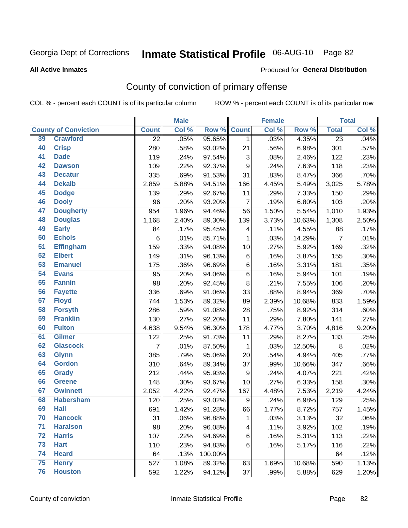# Inmate Statistical Profile 06-AUG-10 Page 82

#### **All Active Inmates**

#### Produced for General Distribution

## County of conviction of primary offense

COL % - percent each COUNT is of its particular column

|                 |                             |                 | <b>Male</b> |         |                | <b>Female</b> |        |                    | <b>Total</b> |
|-----------------|-----------------------------|-----------------|-------------|---------|----------------|---------------|--------|--------------------|--------------|
|                 | <b>County of Conviction</b> | <b>Count</b>    | Col %       | Row %   | <b>Count</b>   | Col %         | Row %  | <b>Total</b>       | Col %        |
| 39              | <b>Crawford</b>             | $\overline{22}$ | .05%        | 95.65%  | $\mathbf 1$    | .03%          | 4.35%  | $\overline{23}$    | .04%         |
| 40              | <b>Crisp</b>                | 280             | .58%        | 93.02%  | 21             | .56%          | 6.98%  | 301                | .57%         |
| 41              | <b>Dade</b>                 | 119             | .24%        | 97.54%  | 3              | .08%          | 2.46%  | 122                | .23%         |
| 42              | <b>Dawson</b>               | 109             | .22%        | 92.37%  | 9              | .24%          | 7.63%  | 118                | .23%         |
| 43              | <b>Decatur</b>              | 335             | .69%        | 91.53%  | 31             | .83%          | 8.47%  | 366                | .70%         |
| 44              | <b>Dekalb</b>               | 2,859           | 5.88%       | 94.51%  | 166            | 4.45%         | 5.49%  | 3,025              | 5.78%        |
| 45              | <b>Dodge</b>                | 139             | .29%        | 92.67%  | 11             | .29%          | 7.33%  | 150                | .29%         |
| 46              | <b>Dooly</b>                | 96              | .20%        | 93.20%  | $\overline{7}$ | .19%          | 6.80%  | 103                | .20%         |
| 47              | <b>Dougherty</b>            | 954             | 1.96%       | 94.46%  | 56             | 1.50%         | 5.54%  | $\overline{1,010}$ | 1.93%        |
| 48              | <b>Douglas</b>              | 1,168           | 2.40%       | 89.30%  | 139            | 3.73%         | 10.63% | 1,308              | 2.50%        |
| 49              | <b>Early</b>                | 84              | .17%        | 95.45%  | 4              | .11%          | 4.55%  | 88                 | .17%         |
| 50              | <b>Echols</b>               | 6               | .01%        | 85.71%  | 1              | .03%          | 14.29% | $\overline{7}$     | .01%         |
| $\overline{51}$ | <b>Effingham</b>            | 159             | .33%        | 94.08%  | 10             | .27%          | 5.92%  | 169                | .32%         |
| 52              | <b>Elbert</b>               | 149             | .31%        | 96.13%  | 6              | .16%          | 3.87%  | 155                | .30%         |
| 53              | <b>Emanuel</b>              | 175             | .36%        | 96.69%  | 6              | .16%          | 3.31%  | 181                | .35%         |
| 54              | <b>Evans</b>                | 95              | .20%        | 94.06%  | 6              | .16%          | 5.94%  | 101                | .19%         |
| 55              | <b>Fannin</b>               | 98              | .20%        | 92.45%  | 8              | .21%          | 7.55%  | 106                | .20%         |
| 56              | <b>Fayette</b>              | 336             | .69%        | 91.06%  | 33             | .88%          | 8.94%  | 369                | .70%         |
| 57              | <b>Floyd</b>                | 744             | 1.53%       | 89.32%  | 89             | 2.39%         | 10.68% | 833                | 1.59%        |
| 58              | <b>Forsyth</b>              | 286             | .59%        | 91.08%  | 28             | .75%          | 8.92%  | 314                | .60%         |
| 59              | <b>Franklin</b>             | 130             | .27%        | 92.20%  | 11             | .29%          | 7.80%  | 141                | .27%         |
| 60              | <b>Fulton</b>               | 4,638           | 9.54%       | 96.30%  | 178            | 4.77%         | 3.70%  | 4,816              | 9.20%        |
| 61              | Gilmer                      | 122             | .25%        | 91.73%  | 11             | .29%          | 8.27%  | 133                | .25%         |
| 62              | <b>Glascock</b>             | 7               | .01%        | 87.50%  | $\mathbf{1}$   | .03%          | 12.50% | 8                  | .02%         |
| 63              | <b>Glynn</b>                | 385             | .79%        | 95.06%  | 20             | .54%          | 4.94%  | 405                | .77%         |
| 64              | <b>Gordon</b>               | 310             | .64%        | 89.34%  | 37             | .99%          | 10.66% | 347                | .66%         |
| 65              | <b>Grady</b>                | 212             | .44%        | 95.93%  | 9              | .24%          | 4.07%  | 221                | .42%         |
| 66              | <b>Greene</b>               | 148             | .30%        | 93.67%  | 10             | .27%          | 6.33%  | 158                | .30%         |
| 67              | <b>Gwinnett</b>             | 2,052           | 4.22%       | 92.47%  | 167            | 4.48%         | 7.53%  | 2,219              | 4.24%        |
| 68              | <b>Habersham</b>            | 120             | .25%        | 93.02%  | 9              | .24%          | 6.98%  | 129                | .25%         |
| 69              | <b>Hall</b>                 | 691             | 1.42%       | 91.28%  | 66             | 1.77%         | 8.72%  | 757                | 1.45%        |
| 70              | <b>Hancock</b>              | 31              | .06%        | 96.88%  | 1              | .03%          | 3.13%  | 32                 | .06%         |
| 71              | <b>Haralson</b>             | 98              | .20%        | 96.08%  | 4              | .11%          | 3.92%  | 102                | .19%         |
| 72              | <b>Harris</b>               | 107             | .22%        | 94.69%  | 6              | .16%          | 5.31%  | 113                | .22%         |
| 73              | <b>Hart</b>                 | 110             | .23%        | 94.83%  | 6              | .16%          | 5.17%  | 116                | .22%         |
| 74              | <b>Heard</b>                | 64              | .13%        | 100.00% |                |               |        | 64                 | .12%         |
| 75              | <b>Henry</b>                | 527             | 1.08%       | 89.32%  | 63             | 1.69%         | 10.68% | 590                | 1.13%        |
| 76              | <b>Houston</b>              | 592             | 1.22%       | 94.12%  | 37             | .99%          | 5.88%  | 629                | 1.20%        |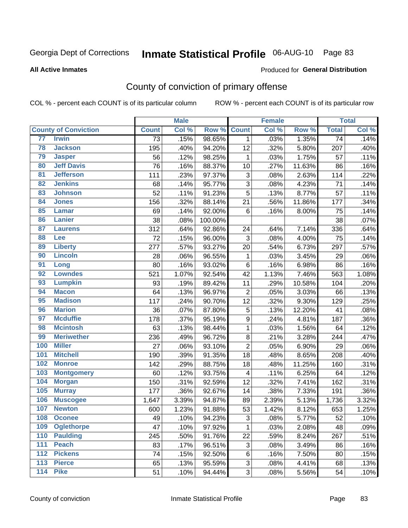# Inmate Statistical Profile 06-AUG-10 Page 83

#### **All Active Inmates**

#### Produced for General Distribution

## County of conviction of primary offense

COL % - percent each COUNT is of its particular column

|                 |                             |                 | <b>Male</b> |         |                         | <b>Female</b> |        |                 | <b>Total</b> |
|-----------------|-----------------------------|-----------------|-------------|---------|-------------------------|---------------|--------|-----------------|--------------|
|                 | <b>County of Conviction</b> | <b>Count</b>    | Col %       | Row %   | <b>Count</b>            | Col %         | Row %  | <b>Total</b>    | Col %        |
| 77              | <b>Irwin</b>                | $\overline{73}$ | .15%        | 98.65%  | $\mathbf{1}$            | .03%          | 1.35%  | $\overline{74}$ | .14%         |
| 78              | <b>Jackson</b>              | 195             | .40%        | 94.20%  | 12                      | .32%          | 5.80%  | 207             | .40%         |
| 79              | <b>Jasper</b>               | 56              | .12%        | 98.25%  | 1                       | .03%          | 1.75%  | 57              | .11%         |
| 80              | <b>Jeff Davis</b>           | 76              | .16%        | 88.37%  | 10                      | .27%          | 11.63% | 86              | .16%         |
| $\overline{81}$ | <b>Jefferson</b>            | 111             | .23%        | 97.37%  | 3                       | .08%          | 2.63%  | 114             | .22%         |
| 82              | <b>Jenkins</b>              | 68              | .14%        | 95.77%  | 3                       | .08%          | 4.23%  | 71              | .14%         |
| 83              | <b>Johnson</b>              | 52              | .11%        | 91.23%  | 5                       | .13%          | 8.77%  | 57              | .11%         |
| 84              | <b>Jones</b>                | 156             | .32%        | 88.14%  | 21                      | .56%          | 11.86% | 177             | .34%         |
| 85              | <b>Lamar</b>                | 69              | .14%        | 92.00%  | 6                       | .16%          | 8.00%  | 75              | .14%         |
| 86              | <b>Lanier</b>               | 38              | .08%        | 100.00% |                         |               |        | 38              | .07%         |
| 87              | <b>Laurens</b>              | 312             | .64%        | 92.86%  | 24                      | .64%          | 7.14%  | 336             | .64%         |
| 88              | Lee                         | 72              | .15%        | 96.00%  | 3                       | .08%          | 4.00%  | 75              | .14%         |
| 89              | <b>Liberty</b>              | 277             | .57%        | 93.27%  | 20                      | .54%          | 6.73%  | 297             | .57%         |
| 90              | <b>Lincoln</b>              | 28              | .06%        | 96.55%  | 1                       | .03%          | 3.45%  | 29              | .06%         |
| 91              | Long                        | 80              | .16%        | 93.02%  | 6                       | .16%          | 6.98%  | 86              | .16%         |
| 92              | <b>Lowndes</b>              | 521             | 1.07%       | 92.54%  | 42                      | 1.13%         | 7.46%  | 563             | 1.08%        |
| 93              | <b>Lumpkin</b>              | 93              | .19%        | 89.42%  | 11                      | .29%          | 10.58% | 104             | .20%         |
| 94              | <b>Macon</b>                | 64              | .13%        | 96.97%  | $\overline{2}$          | .05%          | 3.03%  | 66              | .13%         |
| 95              | <b>Madison</b>              | 117             | .24%        | 90.70%  | 12                      | .32%          | 9.30%  | 129             | .25%         |
| 96              | <b>Marion</b>               | 36              | .07%        | 87.80%  | $\mathbf 5$             | .13%          | 12.20% | 41              | .08%         |
| 97              | <b>Mcduffie</b>             | 178             | .37%        | 95.19%  | 9                       | .24%          | 4.81%  | 187             | .36%         |
| 98              | <b>Mcintosh</b>             | 63              | .13%        | 98.44%  | $\mathbf{1}$            | .03%          | 1.56%  | 64              | .12%         |
| 99              | <b>Meriwether</b>           | 236             | .49%        | 96.72%  | $\bf 8$                 | .21%          | 3.28%  | 244             | .47%         |
| 100             | <b>Miller</b>               | 27              | .06%        | 93.10%  | $\overline{2}$          | .05%          | 6.90%  | 29              | .06%         |
| 101             | <b>Mitchell</b>             | 190             | .39%        | 91.35%  | 18                      | .48%          | 8.65%  | 208             | .40%         |
| 102             | <b>Monroe</b>               | 142             | .29%        | 88.75%  | 18                      | .48%          | 11.25% | 160             | .31%         |
| 103             | <b>Montgomery</b>           | 60              | .12%        | 93.75%  | $\overline{\mathbf{4}}$ | .11%          | 6.25%  | 64              | .12%         |
| 104             | <b>Morgan</b>               | 150             | .31%        | 92.59%  | 12                      | .32%          | 7.41%  | 162             | .31%         |
| 105             | <b>Murray</b>               | 177             | .36%        | 92.67%  | 14                      | .38%          | 7.33%  | 191             | .36%         |
| 106             | <b>Muscogee</b>             | 1,647           | 3.39%       | 94.87%  | 89                      | 2.39%         | 5.13%  | 1,736           | 3.32%        |
| 107             | <b>Newton</b>               | 600             | 1.23%       | 91.88%  | 53                      | 1.42%         | 8.12%  | 653             | 1.25%        |
| 108             | <b>Oconee</b>               | 49              | .10%        | 94.23%  | 3                       | .08%          | 5.77%  | 52              | .10%         |
| 109             | <b>Oglethorpe</b>           | 47              | .10%        | 97.92%  | 1                       | .03%          | 2.08%  | 48              | .09%         |
| 110             | <b>Paulding</b>             | 245             | .50%        | 91.76%  | 22                      | .59%          | 8.24%  | 267             | .51%         |
| 111             | <b>Peach</b>                | 83              | .17%        | 96.51%  | 3                       | .08%          | 3.49%  | 86              | .16%         |
| 112             | <b>Pickens</b>              | 74              | .15%        | 92.50%  | 6                       | .16%          | 7.50%  | 80              | .15%         |
| 113             | <b>Pierce</b>               | 65              | .13%        | 95.59%  | 3                       | .08%          | 4.41%  | 68              | .13%         |
| 114             | <b>Pike</b>                 | 51              | .10%        | 94.44%  | 3                       | .08%          | 5.56%  | 54              | .10%         |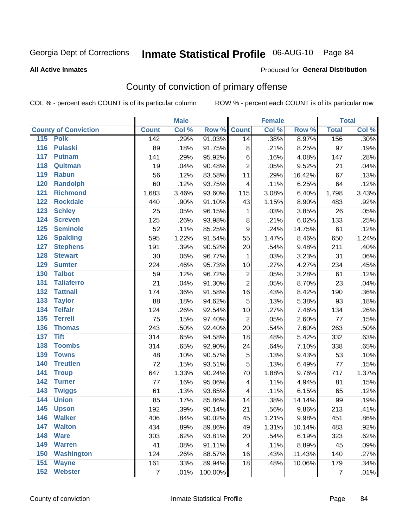## Inmate Statistical Profile 06-AUG-10 Page 84

#### **All Active Inmates**

#### Produced for General Distribution

## County of conviction of primary offense

COL % - percent each COUNT is of its particular column

|                                     |                  | <b>Male</b> |         |                         | <b>Female</b> |        |                | <b>Total</b>               |
|-------------------------------------|------------------|-------------|---------|-------------------------|---------------|--------|----------------|----------------------------|
| <b>County of Conviction</b>         | <b>Count</b>     | Col %       | Row %   | <b>Count</b>            | Col %         | Row %  | <b>Total</b>   | $\overline{\text{Col }\%}$ |
| 115 Polk                            | $\overline{142}$ | .29%        | 91.03%  | 14                      | .38%          | 8.97%  | 156            | .30%                       |
| <b>Pulaski</b><br>$\overline{116}$  | 89               | .18%        | 91.75%  | 8                       | .21%          | 8.25%  | 97             | .19%                       |
| 117<br><b>Putnam</b>                | 141              | .29%        | 95.92%  | 6                       | .16%          | 4.08%  | 147            | .28%                       |
| 118<br>Quitman                      | 19               | .04%        | 90.48%  | $\overline{2}$          | .05%          | 9.52%  | 21             | .04%                       |
| 119<br><b>Rabun</b>                 | 56               | .12%        | 83.58%  | 11                      | .29%          | 16.42% | 67             | .13%                       |
| 120<br><b>Randolph</b>              | 60               | .12%        | 93.75%  | $\overline{\mathbf{4}}$ | .11%          | 6.25%  | 64             | .12%                       |
| 121<br><b>Richmond</b>              | 1,683            | 3.46%       | 93.60%  | 115                     | 3.08%         | 6.40%  | 1,798          | 3.43%                      |
| 122<br><b>Rockdale</b>              | 440              | .90%        | 91.10%  | 43                      | 1.15%         | 8.90%  | 483            | .92%                       |
| 123<br><b>Schley</b>                | 25               | .05%        | 96.15%  | 1                       | .03%          | 3.85%  | 26             | .05%                       |
| 124<br><b>Screven</b>               | 125              | .26%        | 93.98%  | 8                       | .21%          | 6.02%  | 133            | .25%                       |
| 125<br><b>Seminole</b>              | 52               | .11%        | 85.25%  | $\boldsymbol{9}$        | .24%          | 14.75% | 61             | .12%                       |
| <b>Spalding</b><br>126              | 595              | 1.22%       | 91.54%  | 55                      | 1.47%         | 8.46%  | 650            | 1.24%                      |
| 127<br><b>Stephens</b>              | 191              | .39%        | 90.52%  | 20                      | .54%          | 9.48%  | 211            | .40%                       |
| 128<br><b>Stewart</b>               | 30               | .06%        | 96.77%  | $\mathbf 1$             | .03%          | 3.23%  | 31             | .06%                       |
| <b>Sumter</b><br>129                | 224              | .46%        | 95.73%  | 10                      | .27%          | 4.27%  | 234            | .45%                       |
| <b>Talbot</b><br>130                | 59               | .12%        | 96.72%  | $\overline{2}$          | .05%          | 3.28%  | 61             | .12%                       |
| 131<br><b>Taliaferro</b>            | 21               | .04%        | 91.30%  | $\overline{2}$          | .05%          | 8.70%  | 23             | .04%                       |
| $\overline{132}$<br><b>Tattnall</b> | 174              | .36%        | 91.58%  | 16                      | .43%          | 8.42%  | 190            | .36%                       |
| 133<br><b>Taylor</b>                | 88               | .18%        | 94.62%  | 5                       | .13%          | 5.38%  | 93             | .18%                       |
| <b>Telfair</b><br>134               | 124              | .26%        | 92.54%  | 10                      | .27%          | 7.46%  | 134            | .26%                       |
| 135<br><b>Terrell</b>               | 75               | .15%        | 97.40%  | $\overline{2}$          | .05%          | 2.60%  | 77             | .15%                       |
| 136<br><b>Thomas</b>                | 243              | .50%        | 92.40%  | 20                      | .54%          | 7.60%  | 263            | .50%                       |
| 137<br><b>Tift</b>                  | 314              | .65%        | 94.58%  | 18                      | .48%          | 5.42%  | 332            | .63%                       |
| <b>Toombs</b><br>138                | 314              | .65%        | 92.90%  | 24                      | .64%          | 7.10%  | 338            | .65%                       |
| 139<br><b>Towns</b>                 | 48               | .10%        | 90.57%  | $\mathbf 5$             | .13%          | 9.43%  | 53             | .10%                       |
| 140<br><b>Treutlen</b>              | 72               | .15%        | 93.51%  | 5                       | .13%          | 6.49%  | 77             | .15%                       |
| <b>Troup</b><br>141                 | 647              | 1.33%       | 90.24%  | 70                      | 1.88%         | 9.76%  | 717            | 1.37%                      |
| 142<br><b>Turner</b>                | 77               | .16%        | 95.06%  | $\overline{\mathbf{4}}$ | .11%          | 4.94%  | 81             | .15%                       |
| 143<br><b>Twiggs</b>                | 61               | .13%        | 93.85%  | 4                       | .11%          | 6.15%  | 65             | .12%                       |
| 144<br><b>Union</b>                 | 85               | .17%        | 85.86%  | 14                      | .38%          | 14.14% | 99             | .19%                       |
| 145<br><b>Upson</b>                 | 192              | .39%        | 90.14%  | 21                      | .56%          | 9.86%  | 213            | .41%                       |
| 146<br><b>Walker</b>                | 406              | .84%        | 90.02%  | 45                      | 1.21%         | 9.98%  | 451            | .86%                       |
| 147<br><b>Walton</b>                | 434              | .89%        | 89.86%  | 49                      | 1.31%         | 10.14% | 483            | .92%                       |
| <b>Ware</b><br>148                  | 303              | .62%        | 93.81%  | 20                      | .54%          | 6.19%  | 323            | .62%                       |
| <b>Warren</b><br>149                | 41               | .08%        | 91.11%  | 4                       | .11%          | 8.89%  | 45             | .09%                       |
| <b>Washington</b><br>150            | 124              | .26%        | 88.57%  | 16                      | .43%          | 11.43% | 140            | .27%                       |
| 151<br><b>Wayne</b>                 | 161              | .33%        | 89.94%  | 18                      | .48%          | 10.06% | 179            | .34%                       |
| <b>Webster</b><br>152               | $\overline{7}$   | .01%        | 100.00% |                         |               |        | $\overline{7}$ | .01%                       |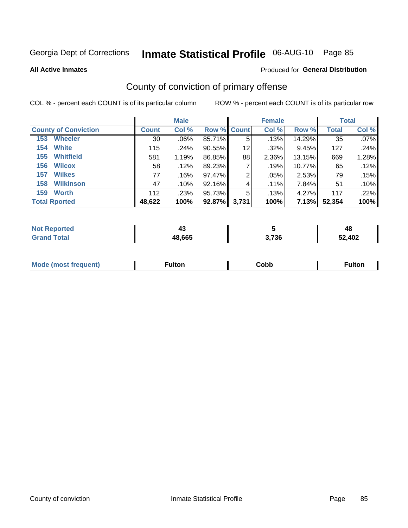# Inmate Statistical Profile 06-AUG-10 Page 85

Produced for General Distribution

#### **All Active Inmates**

## County of conviction of primary offense

COL % - percent each COUNT is of its particular column

|                             |                 | <b>Male</b> |             |       | <b>Female</b> |        |              | <b>Total</b> |
|-----------------------------|-----------------|-------------|-------------|-------|---------------|--------|--------------|--------------|
| <b>County of Conviction</b> | <b>Count</b>    | Col %       | Row % Count |       | Col %         | Row %  | <b>Total</b> | Col %        |
| <b>Wheeler</b><br>153       | 30 <sup>1</sup> | $.06\%$     | 85.71%      | 5     | .13%          | 14.29% | 35           | .07%         |
| White<br>154                | 115             | .24%        | 90.55%      | 12    | .32%          | 9.45%  | 127          | .24%         |
| <b>Whitfield</b><br>155     | 581             | 1.19%       | 86.85%      | 88    | 2.36%         | 13.15% | 669          | 1.28%        |
| <b>Wilcox</b><br>156        | 58              | .12%        | 89.23%      |       | .19%          | 10.77% | 65           | .12%         |
| <b>Wilkes</b><br>157        | 77              | .16%        | 97.47%      | 2     | .05%          | 2.53%  | 79           | .15%         |
| <b>Wilkinson</b><br>158     | 47              | .10%        | 92.16%      | 4     | $.11\%$       | 7.84%  | 51           | .10%         |
| <b>Worth</b><br>159         | 112             | .23%        | 95.73%      | 5     | .13%          | 4.27%  | 117          | .22%         |
| <b>Total Rported</b>        | 48,622          | 100%        | 92.87%      | 3,731 | 100%          | 7.13%  | 52,354       | 100%         |

| enorted      |        |       | A C    |
|--------------|--------|-------|--------|
| Nt           | ∼      |       | 4C     |
| <b>Fotal</b> | 48,665 | 3,736 | 52,402 |

| <b>Mode</b><br>---<br>luent)<br>nost tren | ™ulton | copp; | Fulto |
|-------------------------------------------|--------|-------|-------|
|                                           |        |       |       |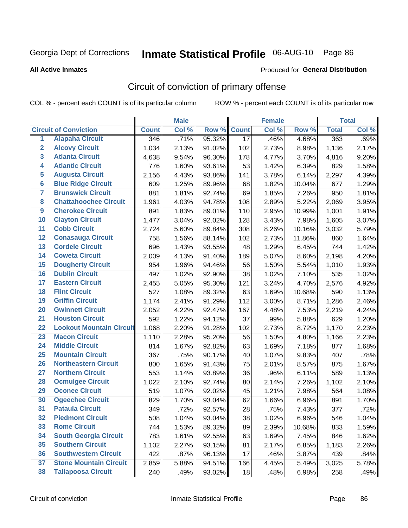# Inmate Statistical Profile 06-AUG-10 Page 86

**Produced for General Distribution** 

#### **All Active Inmates**

## Circuit of conviction of primary offense

COL % - percent each COUNT is of its particular column

|                         |                                 |              | <b>Male</b> |        |                 | <b>Female</b> |        |              | <b>Total</b> |
|-------------------------|---------------------------------|--------------|-------------|--------|-----------------|---------------|--------|--------------|--------------|
|                         | <b>Circuit of Conviction</b>    | <b>Count</b> | Col %       | Row %  | <b>Count</b>    | Col %         | Row %  | <b>Total</b> | Col %        |
| 1                       | <b>Alapaha Circuit</b>          | 346          | .71%        | 95.32% | $\overline{17}$ | .46%          | 4.68%  | 363          | .69%         |
| $\overline{2}$          | <b>Alcovy Circuit</b>           | 1,034        | 2.13%       | 91.02% | 102             | 2.73%         | 8.98%  | 1,136        | 2.17%        |
| 3                       | <b>Atlanta Circuit</b>          | 4,638        | 9.54%       | 96.30% | 178             | 4.77%         | 3.70%  | 4,816        | 9.20%        |
| 4                       | <b>Atlantic Circuit</b>         | 776          | 1.60%       | 93.61% | 53              | 1.42%         | 6.39%  | 829          | 1.58%        |
| 5                       | <b>Augusta Circuit</b>          | 2,156        | 4.43%       | 93.86% | 141             | 3.78%         | 6.14%  | 2,297        | 4.39%        |
| $6\overline{6}$         | <b>Blue Ridge Circuit</b>       | 609          | 1.25%       | 89.96% | 68              | 1.82%         | 10.04% | 677          | 1.29%        |
| $\overline{\mathbf{7}}$ | <b>Brunswick Circuit</b>        | 881          | 1.81%       | 92.74% | 69              | 1.85%         | 7.26%  | 950          | 1.81%        |
| 8                       | <b>Chattahoochee Circuit</b>    | 1,961        | 4.03%       | 94.78% | 108             | 2.89%         | 5.22%  | 2,069        | 3.95%        |
| $\overline{9}$          | <b>Cherokee Circuit</b>         | 891          | 1.83%       | 89.01% | 110             | 2.95%         | 10.99% | 1,001        | 1.91%        |
| 10                      | <b>Clayton Circuit</b>          | 1,477        | 3.04%       | 92.02% | 128             | 3.43%         | 7.98%  | 1,605        | 3.07%        |
| 11                      | <b>Cobb Circuit</b>             | 2,724        | 5.60%       | 89.84% | 308             | 8.26%         | 10.16% | 3,032        | 5.79%        |
| 12                      | <b>Conasauga Circuit</b>        | 758          | 1.56%       | 88.14% | 102             | 2.73%         | 11.86% | 860          | 1.64%        |
| 13                      | <b>Cordele Circuit</b>          | 696          | 1.43%       | 93.55% | 48              | 1.29%         | 6.45%  | 744          | 1.42%        |
| $\overline{14}$         | <b>Coweta Circuit</b>           | 2,009        | 4.13%       | 91.40% | 189             | 5.07%         | 8.60%  | 2,198        | 4.20%        |
| 15                      | <b>Dougherty Circuit</b>        | 954          | 1.96%       | 94.46% | 56              | 1.50%         | 5.54%  | 1,010        | 1.93%        |
| 16                      | <b>Dublin Circuit</b>           | 497          | 1.02%       | 92.90% | 38              | 1.02%         | 7.10%  | 535          | 1.02%        |
| 17                      | <b>Eastern Circuit</b>          | 2,455        | 5.05%       | 95.30% | 121             | 3.24%         | 4.70%  | 2,576        | 4.92%        |
| 18                      | <b>Flint Circuit</b>            | 527          | 1.08%       | 89.32% | 63              | 1.69%         | 10.68% | 590          | 1.13%        |
| 19                      | <b>Griffin Circuit</b>          | 1,174        | 2.41%       | 91.29% | 112             | 3.00%         | 8.71%  | 1,286        | 2.46%        |
| 20                      | <b>Gwinnett Circuit</b>         | 2,052        | 4.22%       | 92.47% | 167             | 4.48%         | 7.53%  | 2,219        | 4.24%        |
| $\overline{21}$         | <b>Houston Circuit</b>          | 592          | 1.22%       | 94.12% | 37              | .99%          | 5.88%  | 629          | 1.20%        |
| $\overline{22}$         | <b>Lookout Mountain Circuit</b> | 1,068        | 2.20%       | 91.28% | 102             | 2.73%         | 8.72%  | 1,170        | 2.23%        |
| 23                      | <b>Macon Circuit</b>            | 1,110        | 2.28%       | 95.20% | 56              | 1.50%         | 4.80%  | 1,166        | 2.23%        |
| 24                      | <b>Middle Circuit</b>           | 814          | 1.67%       | 92.82% | 63              | 1.69%         | 7.18%  | 877          | 1.68%        |
| 25                      | <b>Mountain Circuit</b>         | 367          | .75%        | 90.17% | 40              | 1.07%         | 9.83%  | 407          | .78%         |
| 26                      | <b>Northeastern Circuit</b>     | 800          | 1.65%       | 91.43% | 75              | 2.01%         | 8.57%  | 875          | 1.67%        |
| $\overline{27}$         | <b>Northern Circuit</b>         | 553          | 1.14%       | 93.89% | 36              | .96%          | 6.11%  | 589          | 1.13%        |
| 28                      | <b>Ocmulgee Circuit</b>         | 1,022        | 2.10%       | 92.74% | 80              | 2.14%         | 7.26%  | 1,102        | 2.10%        |
| 29                      | <b>Oconee Circuit</b>           | 519          | 1.07%       | 92.02% | 45              | 1.21%         | 7.98%  | 564          | 1.08%        |
| 30                      | <b>Ogeechee Circuit</b>         | 829          | 1.70%       | 93.04% | 62              | 1.66%         | 6.96%  | 891          | 1.70%        |
| $\overline{31}$         | <b>Pataula Circuit</b>          | 349          | .72%        | 92.57% | 28              | .75%          | 7.43%  | 377          | .72%         |
| 32                      | <b>Piedmont Circuit</b>         | 508          | 1.04%       | 93.04% | 38              | 1.02%         | 6.96%  | 546          | 1.04%        |
| 33                      | <b>Rome Circuit</b>             | 744          | 1.53%       | 89.32% | 89              | 2.39%         | 10.68% | 833          | 1.59%        |
| 34                      | <b>South Georgia Circuit</b>    | 783          | 1.61%       | 92.55% | 63              | 1.69%         | 7.45%  | 846          | 1.62%        |
| 35                      | <b>Southern Circuit</b>         | 1,102        | 2.27%       | 93.15% | 81              | 2.17%         | 6.85%  | 1,183        | 2.26%        |
| 36                      | <b>Southwestern Circuit</b>     | 422          | .87%        | 96.13% | 17              | .46%          | 3.87%  | 439          | .84%         |
| 37                      | <b>Stone Mountain Circuit</b>   | 2,859        | 5.88%       | 94.51% | 166             | 4.45%         | 5.49%  | 3,025        | 5.78%        |
| 38                      | <b>Tallapoosa Circuit</b>       | 240          | .49%        | 93.02% | 18              | .48%          | 6.98%  | 258          | .49%         |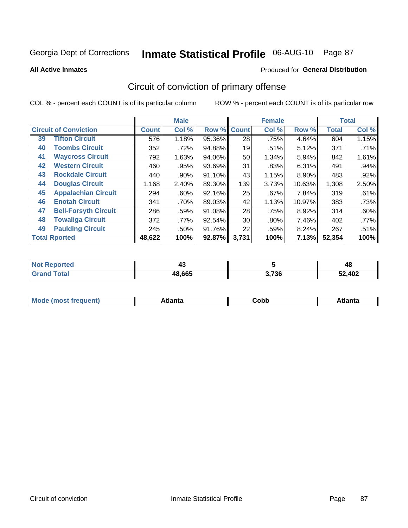# Inmate Statistical Profile 06-AUG-10 Page 87

Produced for General Distribution

#### **All Active Inmates**

# Circuit of conviction of primary offense

COL % - percent each COUNT is of its particular column

|                                   |              | <b>Male</b> |        |              | <b>Female</b> |        |              | <b>Total</b> |
|-----------------------------------|--------------|-------------|--------|--------------|---------------|--------|--------------|--------------|
| <b>Circuit of Conviction</b>      | <b>Count</b> | Col %       | Row %  | <b>Count</b> | Col %         | Row %  | <b>Total</b> | Col %        |
| <b>Tifton Circuit</b><br>39       | 576          | 1.18%       | 95.36% | 28           | .75%          | 4.64%  | 604          | 1.15%        |
| <b>Toombs Circuit</b><br>40       | 352          | .72%        | 94.88% | 19           | .51%          | 5.12%  | 371          | .71%         |
| <b>Waycross Circuit</b><br>41     | 792          | 1.63%       | 94.06% | 50           | 1.34%         | 5.94%  | 842          | 1.61%        |
| <b>Western Circuit</b><br>42      | 460          | .95%        | 93.69% | 31           | .83%          | 6.31%  | 491          | .94%         |
| <b>Rockdale Circuit</b><br>43     | 440          | .90%        | 91.10% | 43           | 1.15%         | 8.90%  | 483          | .92%         |
| <b>Douglas Circuit</b><br>44      | 1,168        | 2.40%       | 89.30% | 139          | 3.73%         | 10.63% | 1,308        | 2.50%        |
| <b>Appalachian Circuit</b><br>45  | 294          | $.60\%$     | 92.16% | 25           | .67%          | 7.84%  | 319          | .61%         |
| <b>Enotah Circuit</b><br>46       | 341          | .70%        | 89.03% | 42           | 1.13%         | 10.97% | 383          | .73%         |
| 47<br><b>Bell-Forsyth Circuit</b> | 286          | .59%        | 91.08% | 28           | .75%          | 8.92%  | 314          | .60%         |
| <b>Towaliga Circuit</b><br>48     | 372          | .77%        | 92.54% | 30           | $.80\%$       | 7.46%  | 402          | $.77\%$      |
| <b>Paulding Circuit</b><br>49     | 245          | .50%        | 91.76% | 22           | .59%          | 8.24%  | 267          | .51%         |
| <b>Total Rported</b>              | 48,622       | 100%        | 92.87% | 3,731        | 100%          | 7.13%  | 52,354       | 100%         |

| 11 H O | ∼      |                    | 4c     |
|--------|--------|--------------------|--------|
|        | 48,665 | <b>2.72C</b><br>סכ | 52,402 |

| M<br>- - -<br>.<br>.<br>∪opp<br>нс |
|------------------------------------|
|------------------------------------|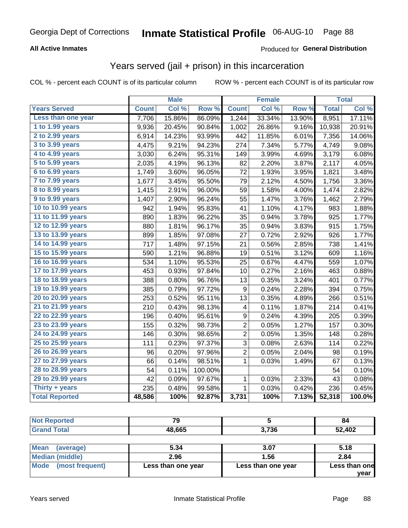# Inmate Statistical Profile 06-AUG-10 Page 88

### **All Active Inmates**

### Produced for General Distribution

### Years served (jail + prison) in this incarceration

COL % - percent each COUNT is of its particular column

|                              |              | <b>Male</b> |         |                  | <b>Female</b> |        |              | <b>Total</b> |
|------------------------------|--------------|-------------|---------|------------------|---------------|--------|--------------|--------------|
| <b>Years Served</b>          | <b>Count</b> | Col %       | Row %   | <b>Count</b>     | Col %         | Row %  | <b>Total</b> | Col %        |
| Less than one year           | 7,706        | 15.86%      | 86.09%  | 1,244            | 33.34%        | 13.90% | 8,951        | 17.11%       |
| 1 to 1.99 years              | 9,936        | 20.45%      | 90.84%  | 1,002            | 26.86%        | 9.16%  | 10,938       | 20.91%       |
| $2$ to 2.99 years            | 6,914        | 14.23%      | 93.99%  | 442              | 11.85%        | 6.01%  | 7,356        | 14.06%       |
| $3$ to $3.99$ years          | 4,475        | 9.21%       | 94.23%  | 274              | 7.34%         | 5.77%  | 4,749        | 9.08%        |
| $\overline{4}$ to 4.99 years | 3,030        | 6.24%       | 95.31%  | 149              | 3.99%         | 4.69%  | 3,179        | 6.08%        |
| 5 to 5.99 years              | 2,035        | 4.19%       | 96.13%  | 82               | 2.20%         | 3.87%  | 2,117        | 4.05%        |
| 6 to 6.99 years              | 1,749        | 3.60%       | 96.05%  | 72               | 1.93%         | 3.95%  | 1,821        | 3.48%        |
| 7 to 7.99 years              | 1,677        | 3.45%       | 95.50%  | 79               | 2.12%         | 4.50%  | 1,756        | 3.36%        |
| <b>8 to 8.99 years</b>       | 1,415        | 2.91%       | 96.00%  | 59               | 1.58%         | 4.00%  | 1,474        | 2.82%        |
| 9 to 9.99 years              | 1,407        | 2.90%       | 96.24%  | 55               | 1.47%         | 3.76%  | 1,462        | 2.79%        |
| 10 to 10.99 years            | 942          | 1.94%       | 95.83%  | 41               | 1.10%         | 4.17%  | 983          | 1.88%        |
| 11 to 11.99 years            | 890          | 1.83%       | 96.22%  | 35               | 0.94%         | 3.78%  | 925          | 1.77%        |
| 12 to 12.99 years            | 880          | 1.81%       | 96.17%  | 35               | 0.94%         | 3.83%  | 915          | 1.75%        |
| 13 to 13.99 years            | 899          | 1.85%       | 97.08%  | 27               | 0.72%         | 2.92%  | 926          | 1.77%        |
| 14 to 14.99 years            | 717          | 1.48%       | 97.15%  | 21               | 0.56%         | 2.85%  | 738          | 1.41%        |
| 15 to 15.99 years            | 590          | 1.21%       | 96.88%  | 19               | 0.51%         | 3.12%  | 609          | 1.16%        |
| 16 to 16.99 years            | 534          | 1.10%       | 95.53%  | 25               | 0.67%         | 4.47%  | 559          | 1.07%        |
| 17 to 17.99 years            | 453          | 0.93%       | 97.84%  | 10               | 0.27%         | 2.16%  | 463          | 0.88%        |
| 18 to 18.99 years            | 388          | 0.80%       | 96.76%  | 13               | 0.35%         | 3.24%  | 401          | 0.77%        |
| 19 to 19.99 years            | 385          | 0.79%       | 97.72%  | $\boldsymbol{9}$ | 0.24%         | 2.28%  | 394          | 0.75%        |
| 20 to 20.99 years            | 253          | 0.52%       | 95.11%  | 13               | 0.35%         | 4.89%  | 266          | 0.51%        |
| 21 to 21.99 years            | 210          | 0.43%       | 98.13%  | 4                | 0.11%         | 1.87%  | 214          | 0.41%        |
| 22 to 22.99 years            | 196          | 0.40%       | 95.61%  | 9                | 0.24%         | 4.39%  | 205          | 0.39%        |
| 23 to 23.99 years            | 155          | 0.32%       | 98.73%  | $\overline{c}$   | 0.05%         | 1.27%  | 157          | 0.30%        |
| 24 to 24.99 years            | 146          | 0.30%       | 98.65%  | 2                | 0.05%         | 1.35%  | 148          | 0.28%        |
| 25 to 25.99 years            | 111          | 0.23%       | 97.37%  | $\overline{3}$   | 0.08%         | 2.63%  | 114          | 0.22%        |
| 26 to 26.99 years            | 96           | 0.20%       | 97.96%  | $\overline{c}$   | 0.05%         | 2.04%  | 98           | 0.19%        |
| 27 to 27.99 years            | 66           | 0.14%       | 98.51%  | 1                | 0.03%         | 1.49%  | 67           | 0.13%        |
| 28 to 28.99 years            | 54           | 0.11%       | 100.00% |                  |               |        | 54           | 0.10%        |
| 29 to 29.99 years            | 42           | 0.09%       | 97.67%  | $\mathbf{1}$     | 0.03%         | 2.33%  | 43           | 0.08%        |
| Thirty + years               | 235          | 0.48%       | 99.58%  | $\mathbf{1}$     | 0.03%         | 0.42%  | 236          | 0.45%        |
| <b>Total Reported</b>        | 48,586       | 100%        | 92.87%  | 3,731            | 100%          | 7.13%  | 52,318       | 100.0%       |

| <b>Not Reported</b>      | 70     |       | 84     |
|--------------------------|--------|-------|--------|
| <b>Grand Total</b>       | 48,665 | 3,736 | 52,402 |
|                          |        |       |        |
| <b>Mean</b><br>(average) | 5.34   | 307   | 518    |

|                      | J.J4               | J.V1               | <u>ว. เด</u>  |
|----------------------|--------------------|--------------------|---------------|
| Median (middle)      | 2.96               | . 56               | 2.84          |
| Mode (most frequent) | Less than one year | Less than one year | Less than one |
|                      |                    |                    | vear          |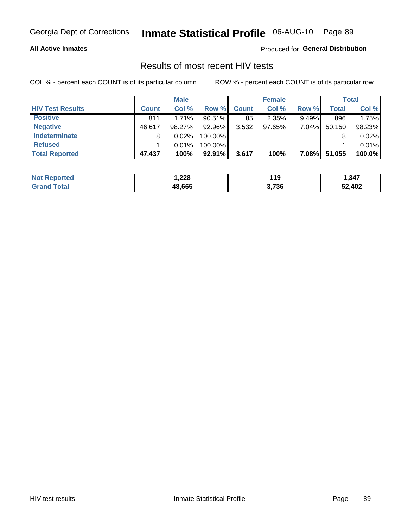# Inmate Statistical Profile 06-AUG-10 Page 89

### **All Active Inmates**

Produced for General Distribution

### Results of most recent HIV tests

COL % - percent each COUNT is of its particular column

|                         |              | <b>Male</b> |           |              | <b>Female</b> |          |        | <b>Total</b> |
|-------------------------|--------------|-------------|-----------|--------------|---------------|----------|--------|--------------|
| <b>HIV Test Results</b> | <b>Count</b> | Col %       | Row %I    | <b>Count</b> | Col %         | Row %    | Total  | Col %        |
| <b>Positive</b>         | 811          | 1.71%       | $90.51\%$ | 85           | 2.35%         | $9.49\%$ | 896    | 1.75%        |
| <b>Negative</b>         | 46,617       | 98.27%      | 92.96%    | 3,532        | $97.65\%$     | $7.04\%$ | 50,150 | 98.23%       |
| Indeterminate           | 8            | 0.02%       | 100.00%   |              |               |          |        | 0.02%        |
| <b>Refused</b>          |              | 0.01%       | 100.00%   |              |               |          |        | 0.01%        |
| <b>Total Reported</b>   | 47,437       | 100%        | $92.91\%$ | 3,617        | 100%          | $7.08\%$ | 51,055 | 100.0%       |

| <b>Not</b><br><b>Reported</b> | 228, ا | 4 4 N | 347,،  |
|-------------------------------|--------|-------|--------|
| <b>Total</b><br>l Grand       | 48.665 | 3,736 | 52,402 |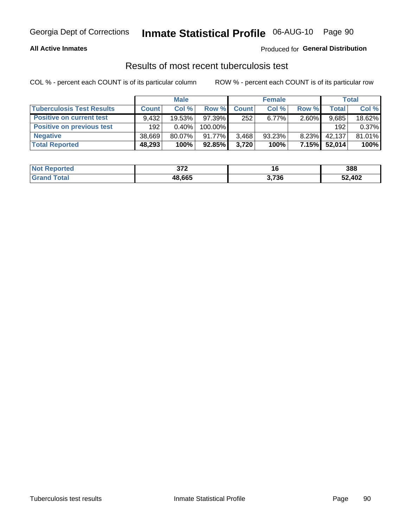## Inmate Statistical Profile 06-AUG-10 Page 90

### **All Active Inmates**

### Produced for General Distribution

### Results of most recent tuberculosis test

COL % - percent each COUNT is of its particular column

|                                  |              | <b>Male</b> |           |              | <b>Female</b> |          |              | Total  |
|----------------------------------|--------------|-------------|-----------|--------------|---------------|----------|--------------|--------|
| <b>Tuberculosis Test Results</b> | <b>Count</b> | Col%        | Row %     | <b>Count</b> | Col %         | Row %    | <b>Total</b> | Col %  |
| <b>Positive on current test</b>  | 9.432        | 19.53%      | 97.39%    | 252          | $6.77\%$      | $2.60\%$ | 9,685        | 18.62% |
| <b>Positive on previous test</b> | 192          | $0.40\%$    | 100.00%   |              |               |          | 192          | 0.37%  |
| <b>Negative</b>                  | 38,669       | $80.07\%$   | 91.77%    | 3,468        | 93.23%        | $8.23\%$ | 42,137       | 81.01% |
| <b>Total Reported</b>            | 48,293       | 100%        | $92.85\%$ | 3.720        | 100%          | 7.15%    | 52,014       | 100%   |

| <b>Not Reported</b>     | ^7^<br>31 Z | 16    | 388    |
|-------------------------|-------------|-------|--------|
| <b>Total</b><br>' Grand | 48,665      | 3,736 | 52,402 |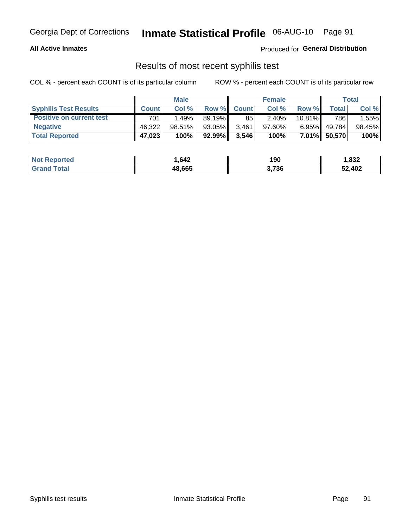## Georgia Dept of Corrections **Inmate Statistical Profile** 06-AUG-10 Page 91

### **All Active Inmates**

Produced for **General Distribution**

### Results of most recent syphilis test

COL % - percent each COUNT is of its particular column ROW % - percent each COUNT is of its particular row

|                                 |              | <b>Male</b> |           |              | <b>Female</b> |           |         | Total  |
|---------------------------------|--------------|-------------|-----------|--------------|---------------|-----------|---------|--------|
| <b>Syphilis Test Results</b>    | <b>Count</b> | Col%        | Row %     | <b>Count</b> | Col %         | Row %     | Total I | Col %  |
| <b>Positive on current test</b> | 701          | 1.49% l     | 89.19%    | 85           | 2.40%         | $10.81\%$ | 786     | 1.55%  |
| <b>Negative</b>                 | 46.322       | $98.51\%$   | $93.05\%$ | 3,461        | $97.60\%$     | $6.95\%$  | 49,784  | 98.45% |
| <b>Total Reported</b>           | 47,023       | 100%        | 92.99%    | 3,546        | 100%          | $7.01\%$  | 50,570  | 100%   |

| <b>Not Reported</b> | 1,642  | 190   | 1,832  |
|---------------------|--------|-------|--------|
| <b>Grand Total</b>  | 48,665 | 3,736 | 52,402 |